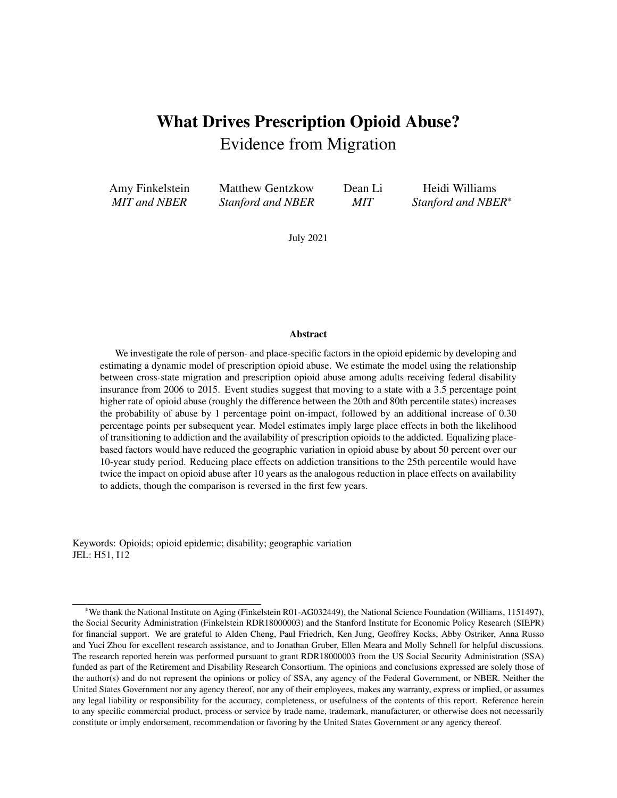# <span id="page-0-0"></span>What Drives Prescription Opioid Abuse? Evidence from Migration

Amy Finkelstein *MIT and NBER*

Matthew Gentzkow *Stanford and NBER*

Dean Li *MIT*

Heidi Williams *Stanford and NBER*\*

July 2021

#### Abstract

We investigate the role of person- and place-specific factors in the opioid epidemic by developing and estimating a dynamic model of prescription opioid abuse. We estimate the model using the relationship between cross-state migration and prescription opioid abuse among adults receiving federal disability insurance from 2006 to 2015. Event studies suggest that moving to a state with a 3.5 percentage point higher rate of opioid abuse (roughly the difference between the 20th and 80th percentile states) increases the probability of abuse by 1 percentage point on-impact, followed by an additional increase of 0.30 percentage points per subsequent year. Model estimates imply large place effects in both the likelihood of transitioning to addiction and the availability of prescription opioids to the addicted. Equalizing placebased factors would have reduced the geographic variation in opioid abuse by about 50 percent over our 10-year study period. Reducing place effects on addiction transitions to the 25th percentile would have twice the impact on opioid abuse after 10 years as the analogous reduction in place effects on availability to addicts, though the comparison is reversed in the first few years.

Keywords: Opioids; opioid epidemic; disability; geographic variation JEL: H51, I12

<sup>\*</sup>We thank the National Institute on Aging (Finkelstein R01-AG032449), the National Science Foundation (Williams, 1151497), the Social Security Administration (Finkelstein RDR18000003) and the Stanford Institute for Economic Policy Research (SIEPR) for financial support. We are grateful to Alden Cheng, Paul Friedrich, Ken Jung, Geoffrey Kocks, Abby Ostriker, Anna Russo and Yuci Zhou for excellent research assistance, and to Jonathan Gruber, Ellen Meara and Molly Schnell for helpful discussions. The research reported herein was performed pursuant to grant RDR18000003 from the US Social Security Administration (SSA) funded as part of the Retirement and Disability Research Consortium. The opinions and conclusions expressed are solely those of the author(s) and do not represent the opinions or policy of SSA, any agency of the Federal Government, or NBER. Neither the United States Government nor any agency thereof, nor any of their employees, makes any warranty, express or implied, or assumes any legal liability or responsibility for the accuracy, completeness, or usefulness of the contents of this report. Reference herein to any specific commercial product, process or service by trade name, trademark, manufacturer, or otherwise does not necessarily constitute or imply endorsement, recommendation or favoring by the United States Government or any agency thereof.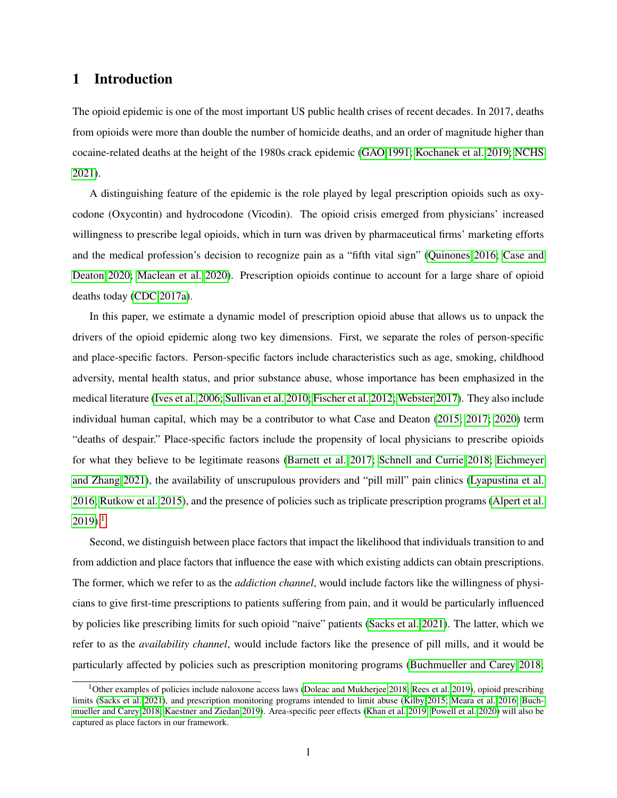# 1 Introduction

The opioid epidemic is one of the most important US public health crises of recent decades. In 2017, deaths from opioids were more than double the number of homicide deaths, and an order of magnitude higher than cocaine-related deaths at the height of the 1980s crack epidemic [\(GAO 1991;](#page-26-0) [Kochanek et al. 2019;](#page-27-0) [NCHS](#page-28-0) [2021\)](#page-28-0).

A distinguishing feature of the epidemic is the role played by legal prescription opioids such as oxycodone (Oxycontin) and hydrocodone (Vicodin). The opioid crisis emerged from physicians' increased willingness to prescribe legal opioids, which in turn was driven by pharmaceutical firms' marketing efforts and the medical profession's decision to recognize pain as a "fifth vital sign" [\(Quinones 2016;](#page-28-1) [Case and](#page-25-0) [Deaton 2020;](#page-25-0) [Maclean et al. 2020\)](#page-28-2). Prescription opioids continue to account for a large share of opioid deaths today [\(CDC 2017a\)](#page-25-1).

In this paper, we estimate a dynamic model of prescription opioid abuse that allows us to unpack the drivers of the opioid epidemic along two key dimensions. First, we separate the roles of person-specific and place-specific factors. Person-specific factors include characteristics such as age, smoking, childhood adversity, mental health status, and prior substance abuse, whose importance has been emphasized in the medical literature [\(Ives et al. 2006;](#page-27-1) [Sullivan et al. 2010;](#page-29-0) [Fischer et al. 2012;](#page-26-1) [Webster 2017\)](#page-30-0). They also include individual human capital, which may be a contributor to what Case and Deaton [\(2015;](#page-24-0) [2017;](#page-25-2) [2020\)](#page-25-0) term "deaths of despair." Place-specific factors include the propensity of local physicians to prescribe opioids for what they believe to be legitimate reasons [\(Barnett et al. 2017;](#page-24-1) [Schnell and Currie 2018;](#page-29-1) [Eichmeyer](#page-26-2) [and Zhang 2021\)](#page-26-2), the availability of unscrupulous providers and "pill mill" pain clinics [\(Lyapustina et al.](#page-28-3) [2016;](#page-28-3) [Rutkow et al. 2015\)](#page-29-2), and the presence of policies such as triplicate prescription programs [\(Alpert et al.](#page-24-2)  $2019$  $2019$  $2019$ ).<sup>1</sup>

Second, we distinguish between place factors that impact the likelihood that individuals transition to and from addiction and place factors that influence the ease with which existing addicts can obtain prescriptions. The former, which we refer to as the *addiction channel*, would include factors like the willingness of physicians to give first-time prescriptions to patients suffering from pain, and it would be particularly influenced by policies like prescribing limits for such opioid "naive" patients [\(Sacks et al. 2021\)](#page-29-3). The latter, which we refer to as the *availability channel*, would include factors like the presence of pill mills, and it would be particularly affected by policies such as prescription monitoring programs [\(Buchmueller and Carey 2018;](#page-24-3)

<sup>&</sup>lt;sup>1</sup>Other examples of policies include naloxone access laws [\(Doleac and Mukherjee 2018;](#page-26-3) [Rees et al. 2019\)](#page-28-4), opioid prescribing limits [\(Sacks et al. 2021\)](#page-29-3), and prescription monitoring programs intended to limit abuse [\(Kilby 2015;](#page-27-2) [Meara et al. 2016;](#page-28-5) [Buch](#page-24-3)[mueller and Carey 2018;](#page-24-3) [Kaestner and Ziedan 2019\)](#page-27-3). Area-specific peer effects [\(Khan et al. 2019;](#page-27-4) [Powell et al. 2020\)](#page-28-6) will also be captured as place factors in our framework.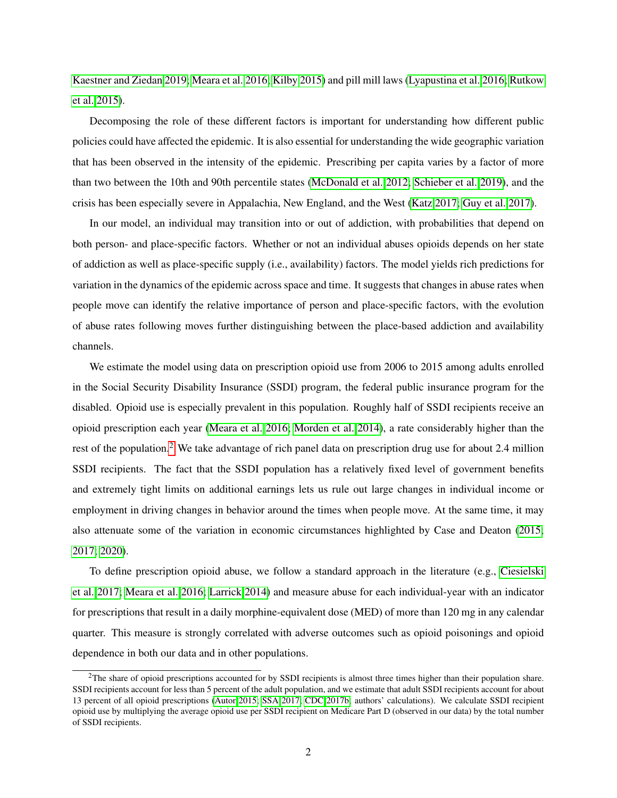[Kaestner and Ziedan 2019;](#page-27-3) [Meara et al. 2016;](#page-28-5) [Kilby 2015\)](#page-27-2) and pill mill laws [\(Lyapustina et al. 2016;](#page-28-3) [Rutkow](#page-29-2) [et al. 2015\)](#page-29-2).

Decomposing the role of these different factors is important for understanding how different public policies could have affected the epidemic. It is also essential for understanding the wide geographic variation that has been observed in the intensity of the epidemic. Prescribing per capita varies by a factor of more than two between the 10th and 90th percentile states [\(McDonald et al. 2012;](#page-28-7) [Schieber et al. 2019\)](#page-29-4), and the crisis has been especially severe in Appalachia, New England, and the West [\(Katz 2017;](#page-27-5) [Guy et al. 2017\)](#page-26-4).

In our model, an individual may transition into or out of addiction, with probabilities that depend on both person- and place-specific factors. Whether or not an individual abuses opioids depends on her state of addiction as well as place-specific supply (i.e., availability) factors. The model yields rich predictions for variation in the dynamics of the epidemic across space and time. It suggests that changes in abuse rates when people move can identify the relative importance of person and place-specific factors, with the evolution of abuse rates following moves further distinguishing between the place-based addiction and availability channels.

We estimate the model using data on prescription opioid use from 2006 to 2015 among adults enrolled in the Social Security Disability Insurance (SSDI) program, the federal public insurance program for the disabled. Opioid use is especially prevalent in this population. Roughly half of SSDI recipients receive an opioid prescription each year [\(Meara et al. 2016;](#page-28-5) [Morden et al. 2014\)](#page-28-8), a rate considerably higher than the rest of the population.<sup>[2](#page-0-0)</sup> We take advantage of rich panel data on prescription drug use for about 2.4 million SSDI recipients. The fact that the SSDI population has a relatively fixed level of government benefits and extremely tight limits on additional earnings lets us rule out large changes in individual income or employment in driving changes in behavior around the times when people move. At the same time, it may also attenuate some of the variation in economic circumstances highlighted by Case and Deaton [\(2015;](#page-24-0) [2017;](#page-25-2) [2020\)](#page-25-0).

To define prescription opioid abuse, we follow a standard approach in the literature (e.g., [Ciesielski](#page-25-3) [et al. 2017;](#page-25-3) [Meara et al. 2016;](#page-28-5) [Larrick 2014\)](#page-27-6) and measure abuse for each individual-year with an indicator for prescriptions that result in a daily morphine-equivalent dose (MED) of more than 120 mg in any calendar quarter. This measure is strongly correlated with adverse outcomes such as opioid poisonings and opioid dependence in both our data and in other populations.

 $2$ The share of opioid prescriptions accounted for by SSDI recipients is almost three times higher than their population share. SSDI recipients account for less than 5 percent of the adult population, and we estimate that adult SSDI recipients account for about 13 percent of all opioid prescriptions [\(Autor 2015;](#page-24-4) [SSA 2017;](#page-29-5) [CDC 2017b;](#page-25-4) authors' calculations). We calculate SSDI recipient opioid use by multiplying the average opioid use per SSDI recipient on Medicare Part D (observed in our data) by the total number of SSDI recipients.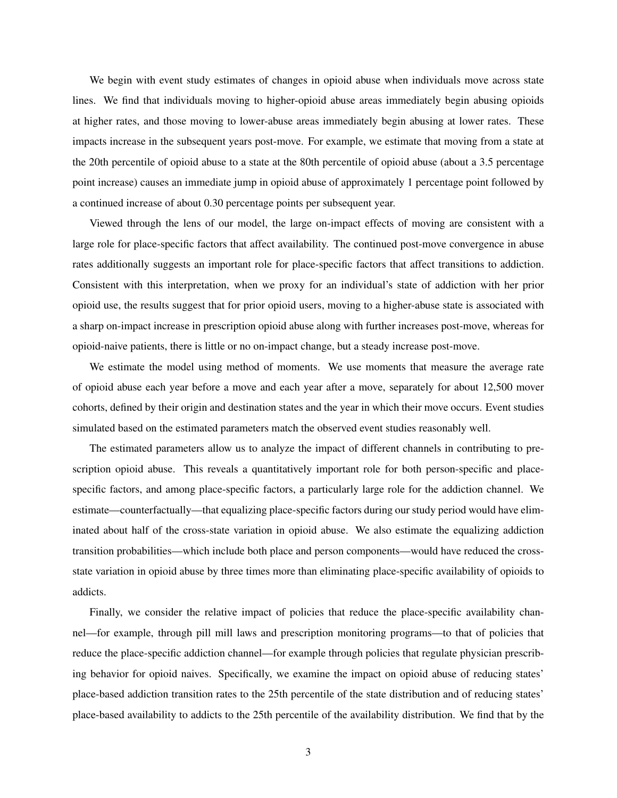We begin with event study estimates of changes in opioid abuse when individuals move across state lines. We find that individuals moving to higher-opioid abuse areas immediately begin abusing opioids at higher rates, and those moving to lower-abuse areas immediately begin abusing at lower rates. These impacts increase in the subsequent years post-move. For example, we estimate that moving from a state at the 20th percentile of opioid abuse to a state at the 80th percentile of opioid abuse (about a 3.5 percentage point increase) causes an immediate jump in opioid abuse of approximately 1 percentage point followed by a continued increase of about 0.30 percentage points per subsequent year.

Viewed through the lens of our model, the large on-impact effects of moving are consistent with a large role for place-specific factors that affect availability. The continued post-move convergence in abuse rates additionally suggests an important role for place-specific factors that affect transitions to addiction. Consistent with this interpretation, when we proxy for an individual's state of addiction with her prior opioid use, the results suggest that for prior opioid users, moving to a higher-abuse state is associated with a sharp on-impact increase in prescription opioid abuse along with further increases post-move, whereas for opioid-naive patients, there is little or no on-impact change, but a steady increase post-move.

We estimate the model using method of moments. We use moments that measure the average rate of opioid abuse each year before a move and each year after a move, separately for about 12,500 mover cohorts, defined by their origin and destination states and the year in which their move occurs. Event studies simulated based on the estimated parameters match the observed event studies reasonably well.

The estimated parameters allow us to analyze the impact of different channels in contributing to prescription opioid abuse. This reveals a quantitatively important role for both person-specific and placespecific factors, and among place-specific factors, a particularly large role for the addiction channel. We estimate—counterfactually—that equalizing place-specific factors during our study period would have eliminated about half of the cross-state variation in opioid abuse. We also estimate the equalizing addiction transition probabilities—which include both place and person components—would have reduced the crossstate variation in opioid abuse by three times more than eliminating place-specific availability of opioids to addicts.

Finally, we consider the relative impact of policies that reduce the place-specific availability channel—for example, through pill mill laws and prescription monitoring programs—to that of policies that reduce the place-specific addiction channel—for example through policies that regulate physician prescribing behavior for opioid naives. Specifically, we examine the impact on opioid abuse of reducing states' place-based addiction transition rates to the 25th percentile of the state distribution and of reducing states' place-based availability to addicts to the 25th percentile of the availability distribution. We find that by the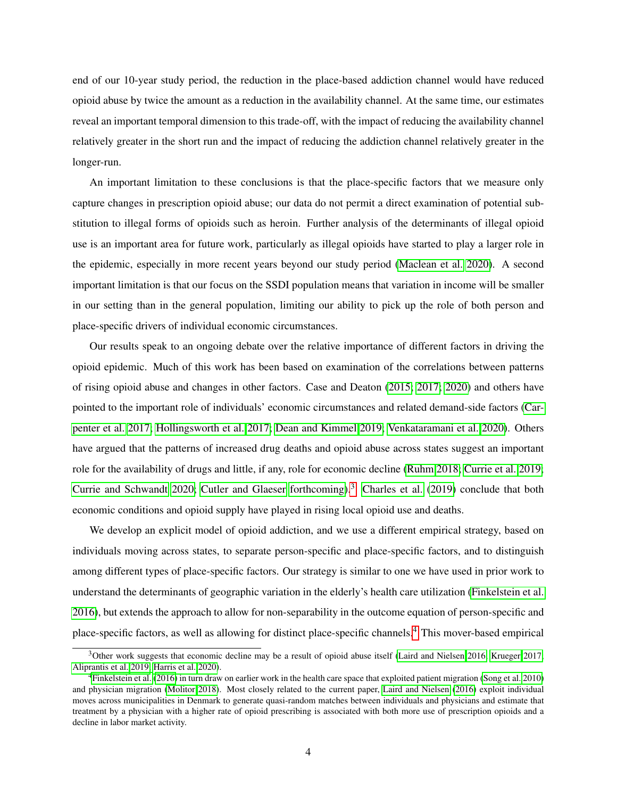end of our 10-year study period, the reduction in the place-based addiction channel would have reduced opioid abuse by twice the amount as a reduction in the availability channel. At the same time, our estimates reveal an important temporal dimension to this trade-off, with the impact of reducing the availability channel relatively greater in the short run and the impact of reducing the addiction channel relatively greater in the longer-run.

An important limitation to these conclusions is that the place-specific factors that we measure only capture changes in prescription opioid abuse; our data do not permit a direct examination of potential substitution to illegal forms of opioids such as heroin. Further analysis of the determinants of illegal opioid use is an important area for future work, particularly as illegal opioids have started to play a larger role in the epidemic, especially in more recent years beyond our study period [\(Maclean et al. 2020\)](#page-28-2). A second important limitation is that our focus on the SSDI population means that variation in income will be smaller in our setting than in the general population, limiting our ability to pick up the role of both person and place-specific drivers of individual economic circumstances.

Our results speak to an ongoing debate over the relative importance of different factors in driving the opioid epidemic. Much of this work has been based on examination of the correlations between patterns of rising opioid abuse and changes in other factors. Case and Deaton [\(2015;](#page-24-0) [2017;](#page-25-2) [2020\)](#page-25-0) and others have pointed to the important role of individuals' economic circumstances and related demand-side factors [\(Car](#page-24-5)[penter et al. 2017;](#page-24-5) [Hollingsworth et al. 2017;](#page-27-7) [Dean and Kimmel 2019;](#page-26-5) [Venkataramani et al. 2020\)](#page-29-6). Others have argued that the patterns of increased drug deaths and opioid abuse across states suggest an important role for the availability of drugs and little, if any, role for economic decline [\(Ruhm 2018;](#page-29-7) [Currie et al. 2019;](#page-25-5) [Currie and Schwandt 2020;](#page-25-6) [Cutler and Glaeser forthcoming\)](#page-25-7).[3](#page-0-0) [Charles et al.](#page-25-8) [\(2019\)](#page-25-8) conclude that both economic conditions and opioid supply have played in rising local opioid use and deaths.

We develop an explicit model of opioid addiction, and we use a different empirical strategy, based on individuals moving across states, to separate person-specific and place-specific factors, and to distinguish among different types of place-specific factors. Our strategy is similar to one we have used in prior work to understand the determinants of geographic variation in the elderly's health care utilization [\(Finkelstein et al.](#page-26-6) [2016\)](#page-26-6), but extends the approach to allow for non-separability in the outcome equation of person-specific and place-specific factors, as well as allowing for distinct place-specific channels.[4](#page-0-0) This mover-based empirical

 $3$ Other work suggests that economic decline may be a result of opioid abuse itself [\(Laird and Nielsen 2016;](#page-27-8) [Krueger 2017;](#page-27-9) [Aliprantis et al. 2019;](#page-24-6) [Harris et al. 2020\)](#page-27-10).

<sup>&</sup>lt;sup>4</sup>[Finkelstein et al.](#page-26-6) [\(2016\)](#page-26-6) in turn draw on earlier work in the health care space that exploited patient migration [\(Song et al. 2010\)](#page-29-8) and physician migration [\(Molitor 2018\)](#page-28-9). Most closely related to the current paper, [Laird and Nielsen](#page-27-8) [\(2016\)](#page-27-8) exploit individual moves across municipalities in Denmark to generate quasi-random matches between individuals and physicians and estimate that treatment by a physician with a higher rate of opioid prescribing is associated with both more use of prescription opioids and a decline in labor market activity.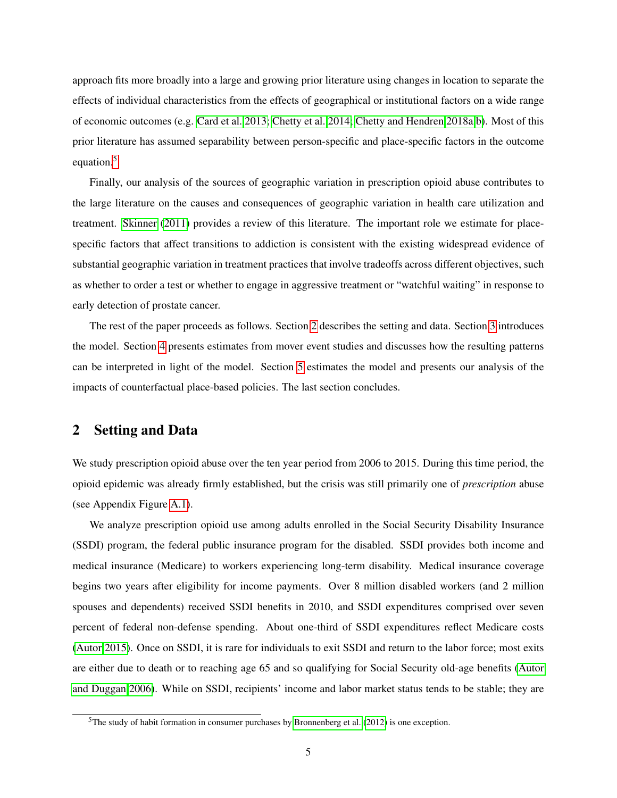approach fits more broadly into a large and growing prior literature using changes in location to separate the effects of individual characteristics from the effects of geographical or institutional factors on a wide range of economic outcomes (e.g. [Card et al. 2013;](#page-24-7) [Chetty et al. 2014;](#page-25-9) [Chetty and Hendren 2018a](#page-25-10)[,b\)](#page-25-11). Most of this prior literature has assumed separability between person-specific and place-specific factors in the outcome equation.<sup>[5](#page-0-0)</sup>

Finally, our analysis of the sources of geographic variation in prescription opioid abuse contributes to the large literature on the causes and consequences of geographic variation in health care utilization and treatment. [Skinner](#page-29-9) [\(2011\)](#page-29-9) provides a review of this literature. The important role we estimate for placespecific factors that affect transitions to addiction is consistent with the existing widespread evidence of substantial geographic variation in treatment practices that involve tradeoffs across different objectives, such as whether to order a test or whether to engage in aggressive treatment or "watchful waiting" in response to early detection of prostate cancer.

The rest of the paper proceeds as follows. Section [2](#page-5-0) describes the setting and data. Section [3](#page-9-0) introduces the model. Section [4](#page-11-0) presents estimates from mover event studies and discusses how the resulting patterns can be interpreted in light of the model. Section [5](#page-18-0) estimates the model and presents our analysis of the impacts of counterfactual place-based policies. The last section concludes.

# <span id="page-5-0"></span>2 Setting and Data

We study prescription opioid abuse over the ten year period from 2006 to 2015. During this time period, the opioid epidemic was already firmly established, but the crisis was still primarily one of *prescription* abuse (see Appendix Figure [A.1\)](#page-50-0).

We analyze prescription opioid use among adults enrolled in the Social Security Disability Insurance (SSDI) program, the federal public insurance program for the disabled. SSDI provides both income and medical insurance (Medicare) to workers experiencing long-term disability. Medical insurance coverage begins two years after eligibility for income payments. Over 8 million disabled workers (and 2 million spouses and dependents) received SSDI benefits in 2010, and SSDI expenditures comprised over seven percent of federal non-defense spending. About one-third of SSDI expenditures reflect Medicare costs [\(Autor 2015\)](#page-24-4). Once on SSDI, it is rare for individuals to exit SSDI and return to the labor force; most exits are either due to death or to reaching age 65 and so qualifying for Social Security old-age benefits [\(Autor](#page-24-8) [and Duggan 2006\)](#page-24-8). While on SSDI, recipients' income and labor market status tends to be stable; they are

 $5$ The study of habit formation in consumer purchases by [Bronnenberg et al.](#page-24-9) [\(2012\)](#page-24-9) is one exception.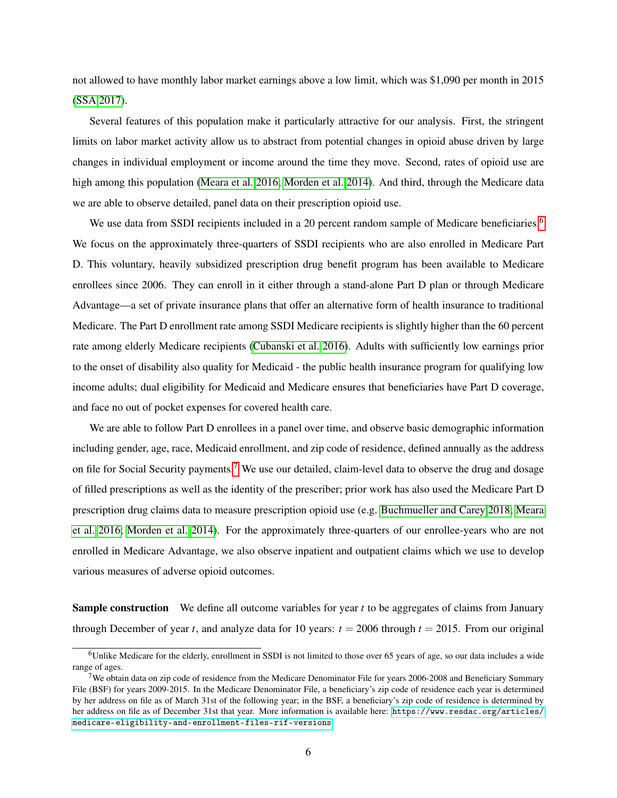not allowed to have monthly labor market earnings above a low limit, which was \$1,090 per month in 2015 [\(SSA 2017\)](#page-29-5).

Several features of this population make it particularly attractive for our analysis. First, the stringent limits on labor market activity allow us to abstract from potential changes in opioid abuse driven by large changes in individual employment or income around the time they move. Second, rates of opioid use are high among this population [\(Meara et al. 2016;](#page-28-5) [Morden et al. 2014\)](#page-28-8). And third, through the Medicare data we are able to observe detailed, panel data on their prescription opioid use.

We use data from SSDI recipients included in a 20 percent random sample of Medicare beneficiaries.<sup>[6](#page-0-0)</sup> We focus on the approximately three-quarters of SSDI recipients who are also enrolled in Medicare Part D. This voluntary, heavily subsidized prescription drug benefit program has been available to Medicare enrollees since 2006. They can enroll in it either through a stand-alone Part D plan or through Medicare Advantage—a set of private insurance plans that offer an alternative form of health insurance to traditional Medicare. The Part D enrollment rate among SSDI Medicare recipients is slightly higher than the 60 percent rate among elderly Medicare recipients [\(Cubanski et al. 2016\)](#page-25-12). Adults with sufficiently low earnings prior to the onset of disability also quality for Medicaid - the public health insurance program for qualifying low income adults; dual eligibility for Medicaid and Medicare ensures that beneficiaries have Part D coverage, and face no out of pocket expenses for covered health care.

We are able to follow Part D enrollees in a panel over time, and observe basic demographic information including gender, age, race, Medicaid enrollment, and zip code of residence, defined annually as the address on file for Social Security payments.[7](#page-0-0) We use our detailed, claim-level data to observe the drug and dosage of filled prescriptions as well as the identity of the prescriber; prior work has also used the Medicare Part D prescription drug claims data to measure prescription opioid use (e.g. [Buchmueller and Carey 2018;](#page-24-3) [Meara](#page-28-5) [et al. 2016;](#page-28-5) [Morden et al. 2014\)](#page-28-8). For the approximately three-quarters of our enrollee-years who are not enrolled in Medicare Advantage, we also observe inpatient and outpatient claims which we use to develop various measures of adverse opioid outcomes.

Sample construction We define all outcome variables for year *t* to be aggregates of claims from January through December of year *t*, and analyze data for 10 years:  $t = 2006$  through  $t = 2015$ . From our original

 $6$ Unlike Medicare for the elderly, enrollment in SSDI is not limited to those over 65 years of age, so our data includes a wide range of ages.

<sup>&</sup>lt;sup>7</sup>We obtain data on zip code of residence from the Medicare Denominator File for years 2006-2008 and Beneficiary Summary File (BSF) for years 2009-2015. In the Medicare Denominator File, a beneficiary's zip code of residence each year is determined by her address on file as of March 31st of the following year; in the BSF, a beneficiary's zip code of residence is determined by her address on file as of December 31st that year. More information is available here: [https://www.resdac.org/articles/](https://www.resdac.org/articles/medicare-eligibility-and-enrollment-files-rif-versions) [medicare-eligibility-and-enrollment-files-rif-versions](https://www.resdac.org/articles/medicare-eligibility-and-enrollment-files-rif-versions).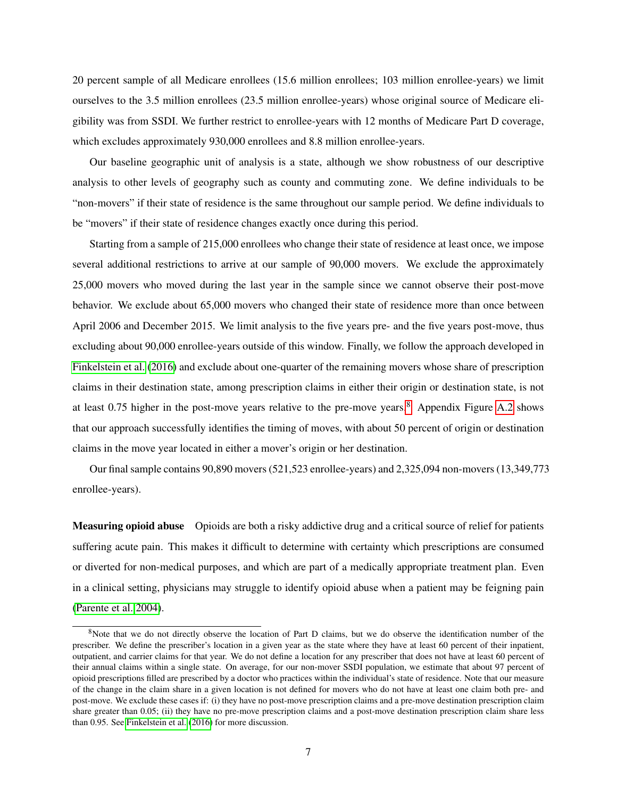20 percent sample of all Medicare enrollees (15.6 million enrollees; 103 million enrollee-years) we limit ourselves to the 3.5 million enrollees (23.5 million enrollee-years) whose original source of Medicare eligibility was from SSDI. We further restrict to enrollee-years with 12 months of Medicare Part D coverage, which excludes approximately 930,000 enrollees and 8.8 million enrollee-years.

Our baseline geographic unit of analysis is a state, although we show robustness of our descriptive analysis to other levels of geography such as county and commuting zone. We define individuals to be "non-movers" if their state of residence is the same throughout our sample period. We define individuals to be "movers" if their state of residence changes exactly once during this period.

Starting from a sample of 215,000 enrollees who change their state of residence at least once, we impose several additional restrictions to arrive at our sample of 90,000 movers. We exclude the approximately 25,000 movers who moved during the last year in the sample since we cannot observe their post-move behavior. We exclude about 65,000 movers who changed their state of residence more than once between April 2006 and December 2015. We limit analysis to the five years pre- and the five years post-move, thus excluding about 90,000 enrollee-years outside of this window. Finally, we follow the approach developed in [Finkelstein et al.](#page-26-6) [\(2016\)](#page-26-6) and exclude about one-quarter of the remaining movers whose share of prescription claims in their destination state, among prescription claims in either their origin or destination state, is not at least 0.75 higher in the post-move years relative to the pre-move years.[8](#page-0-0) Appendix Figure [A.2](#page-51-0) shows that our approach successfully identifies the timing of moves, with about 50 percent of origin or destination claims in the move year located in either a mover's origin or her destination.

Our final sample contains 90,890 movers (521,523 enrollee-years) and 2,325,094 non-movers (13,349,773 enrollee-years).

Measuring opioid abuse Opioids are both a risky addictive drug and a critical source of relief for patients suffering acute pain. This makes it difficult to determine with certainty which prescriptions are consumed or diverted for non-medical purposes, and which are part of a medically appropriate treatment plan. Even in a clinical setting, physicians may struggle to identify opioid abuse when a patient may be feigning pain [\(Parente et al. 2004\)](#page-28-10).

<sup>&</sup>lt;sup>8</sup>Note that we do not directly observe the location of Part D claims, but we do observe the identification number of the prescriber. We define the prescriber's location in a given year as the state where they have at least 60 percent of their inpatient, outpatient, and carrier claims for that year. We do not define a location for any prescriber that does not have at least 60 percent of their annual claims within a single state. On average, for our non-mover SSDI population, we estimate that about 97 percent of opioid prescriptions filled are prescribed by a doctor who practices within the individual's state of residence. Note that our measure of the change in the claim share in a given location is not defined for movers who do not have at least one claim both pre- and post-move. We exclude these cases if: (i) they have no post-move prescription claims and a pre-move destination prescription claim share greater than 0.05; (ii) they have no pre-move prescription claims and a post-move destination prescription claim share less than 0.95. See [Finkelstein et al.](#page-26-6) [\(2016\)](#page-26-6) for more discussion.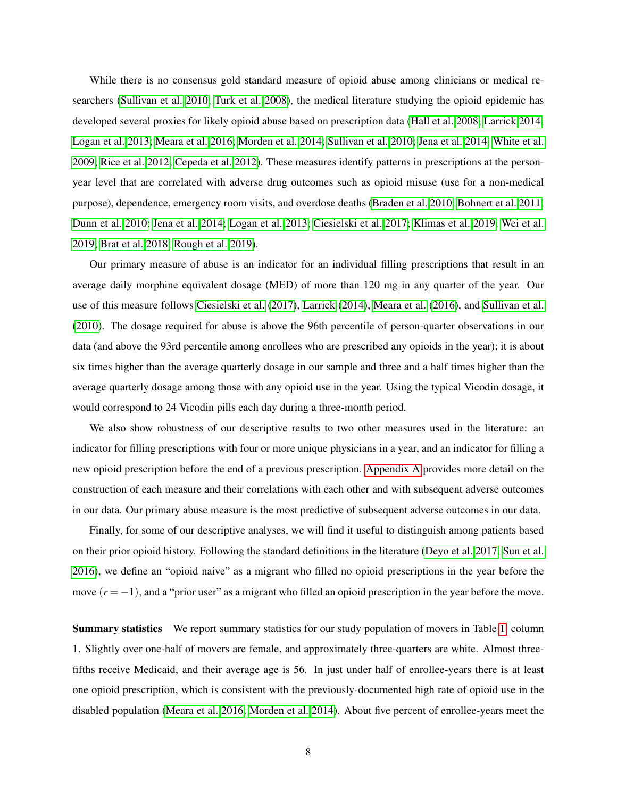While there is no consensus gold standard measure of opioid abuse among clinicians or medical researchers [\(Sullivan et al. 2010;](#page-29-0) [Turk et al. 2008\)](#page-29-10), the medical literature studying the opioid epidemic has developed several proxies for likely opioid abuse based on prescription data [\(Hall et al. 2008;](#page-26-7) [Larrick 2014;](#page-27-6) [Logan et al. 2013;](#page-27-11) [Meara et al. 2016;](#page-28-5) [Morden et al. 2014;](#page-28-8) [Sullivan et al. 2010;](#page-29-0) [Jena et al. 2014;](#page-27-12) [White et al.](#page-30-1) [2009;](#page-30-1) [Rice et al. 2012;](#page-28-11) [Cepeda et al. 2012\)](#page-25-13). These measures identify patterns in prescriptions at the personyear level that are correlated with adverse drug outcomes such as opioid misuse (use for a non-medical purpose), dependence, emergency room visits, and overdose deaths [\(Braden et al. 2010;](#page-24-10) [Bohnert et al. 2011;](#page-24-11) [Dunn et al. 2010;](#page-26-8) [Jena et al. 2014;](#page-27-12) [Logan et al. 2013;](#page-27-11) [Ciesielski et al. 2017;](#page-25-3) [Klimas et al. 2019;](#page-27-13) [Wei et al.](#page-30-2) [2019;](#page-30-2) [Brat et al. 2018;](#page-24-12) [Rough et al. 2019\)](#page-28-12).

Our primary measure of abuse is an indicator for an individual filling prescriptions that result in an average daily morphine equivalent dosage (MED) of more than 120 mg in any quarter of the year. Our use of this measure follows [Ciesielski et al.](#page-25-3) [\(2017\)](#page-25-3), [Larrick](#page-27-6) [\(2014\)](#page-27-6), [Meara et al.](#page-28-5) [\(2016\)](#page-28-5), and [Sullivan et al.](#page-29-0) [\(2010\)](#page-29-0). The dosage required for abuse is above the 96th percentile of person-quarter observations in our data (and above the 93rd percentile among enrollees who are prescribed any opioids in the year); it is about six times higher than the average quarterly dosage in our sample and three and a half times higher than the average quarterly dosage among those with any opioid use in the year. Using the typical Vicodin dosage, it would correspond to 24 Vicodin pills each day during a three-month period.

We also show robustness of our descriptive results to two other measures used in the literature: an indicator for filling prescriptions with four or more unique physicians in a year, and an indicator for filling a new opioid prescription before the end of a previous prescription. [Appendix A](#page-43-0) provides more detail on the construction of each measure and their correlations with each other and with subsequent adverse outcomes in our data. Our primary abuse measure is the most predictive of subsequent adverse outcomes in our data.

Finally, for some of our descriptive analyses, we will find it useful to distinguish among patients based on their prior opioid history. Following the standard definitions in the literature [\(Deyo et al. 2017;](#page-26-9) [Sun et al.](#page-29-11) [2016\)](#page-29-11), we define an "opioid naive" as a migrant who filled no opioid prescriptions in the year before the move  $(r = -1)$ , and a "prior user" as a migrant who filled an opioid prescription in the year before the move.

Summary statistics We report summary statistics for our study population of movers in Table [1,](#page-40-0) column 1. Slightly over one-half of movers are female, and approximately three-quarters are white. Almost threefifths receive Medicaid, and their average age is 56. In just under half of enrollee-years there is at least one opioid prescription, which is consistent with the previously-documented high rate of opioid use in the disabled population [\(Meara et al. 2016;](#page-28-5) [Morden et al. 2014\)](#page-28-8). About five percent of enrollee-years meet the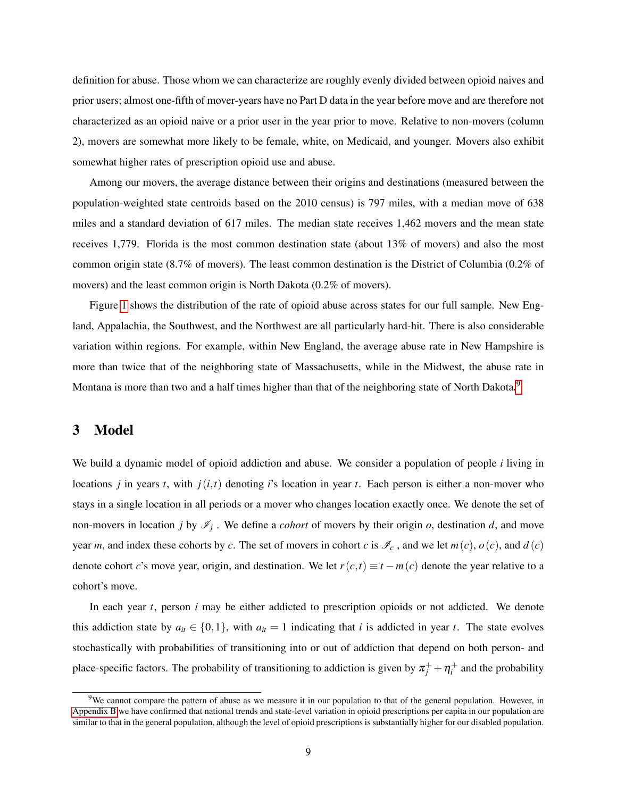definition for abuse. Those whom we can characterize are roughly evenly divided between opioid naives and prior users; almost one-fifth of mover-years have no Part D data in the year before move and are therefore not characterized as an opioid naive or a prior user in the year prior to move. Relative to non-movers (column 2), movers are somewhat more likely to be female, white, on Medicaid, and younger. Movers also exhibit somewhat higher rates of prescription opioid use and abuse.

Among our movers, the average distance between their origins and destinations (measured between the population-weighted state centroids based on the 2010 census) is 797 miles, with a median move of 638 miles and a standard deviation of 617 miles. The median state receives 1,462 movers and the mean state receives 1,779. Florida is the most common destination state (about 13% of movers) and also the most common origin state (8.7% of movers). The least common destination is the District of Columbia (0.2% of movers) and the least common origin is North Dakota (0.2% of movers).

Figure [1](#page-31-0) shows the distribution of the rate of opioid abuse across states for our full sample. New England, Appalachia, the Southwest, and the Northwest are all particularly hard-hit. There is also considerable variation within regions. For example, within New England, the average abuse rate in New Hampshire is more than twice that of the neighboring state of Massachusetts, while in the Midwest, the abuse rate in Montana is more than two and a half times higher than that of the neighboring state of North Dakota.<sup>[9](#page-0-0)</sup>

### <span id="page-9-0"></span>3 Model

We build a dynamic model of opioid addiction and abuse. We consider a population of people *i* living in locations *j* in years *t*, with  $j(i, t)$  denoting *i*'s location in year *t*. Each person is either a non-mover who stays in a single location in all periods or a mover who changes location exactly once. We denote the set of non-movers in location *j* by  $\mathscr{I}_j$ . We define a *cohort* of movers by their origin *o*, destination *d*, and move year *m*, and index these cohorts by *c*. The set of movers in cohort *c* is  $\mathcal{I}_c$ , and we let *m*(*c*), *o*(*c*), and *d*(*c*) denote cohort *c*'s move year, origin, and destination. We let  $r(c,t) \equiv t - m(c)$  denote the year relative to a cohort's move.

In each year *t*, person *i* may be either addicted to prescription opioids or not addicted. We denote this addiction state by  $a_{it} \in \{0,1\}$ , with  $a_{it} = 1$  indicating that *i* is addicted in year *t*. The state evolves stochastically with probabilities of transitioning into or out of addiction that depend on both person- and place-specific factors. The probability of transitioning to addiction is given by  $\pi_j^+ + \eta_i^+$  and the probability

 $9$ We cannot compare the pattern of abuse as we measure it in our population to that of the general population. However, in [Appendix B](#page-45-0) we have confirmed that national trends and state-level variation in opioid prescriptions per capita in our population are similar to that in the general population, although the level of opioid prescriptions is substantially higher for our disabled population.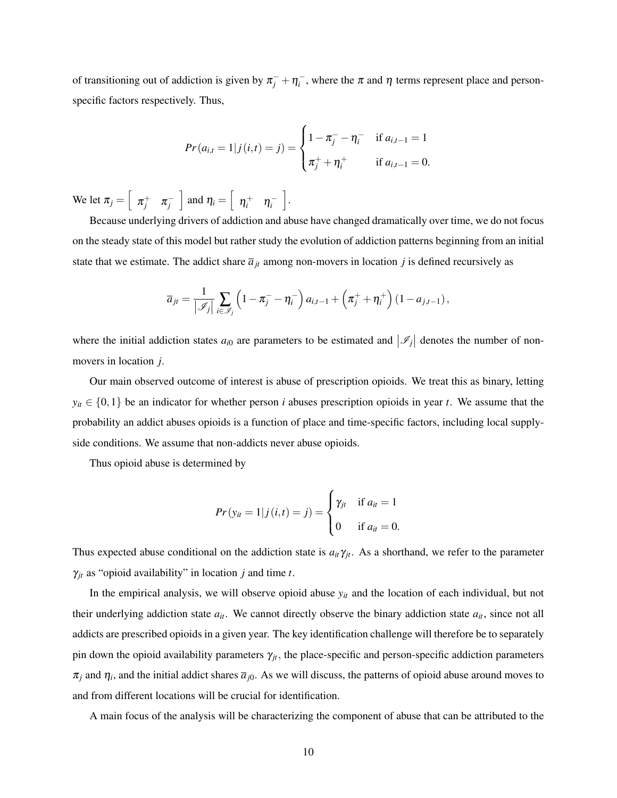of transitioning out of addiction is given by  $\pi_j^- + \eta_i^-$ , where the  $\pi$  and  $\eta$  terms represent place and personspecific factors respectively. Thus,

$$
Pr(a_{i,t} = 1 | j(i,t) = j) = \begin{cases} 1 - \pi_j^- - \eta_i^- & \text{if } a_{i,t-1} = 1 \\ \pi_j^+ + \eta_i^+ & \text{if } a_{i,t-1} = 0. \end{cases}
$$

We let  $\pi_j = \begin{bmatrix} \pi_j^+ & \pi_j^- \end{bmatrix}$ and  $\eta_i = \begin{bmatrix} \eta_i^+ & \eta_i^- \end{bmatrix}$ i .

Because underlying drivers of addiction and abuse have changed dramatically over time, we do not focus on the steady state of this model but rather study the evolution of addiction patterns beginning from an initial state that we estimate. The addict share  $\bar{a}_{jt}$  among non-movers in location *j* is defined recursively as

$$
\overline{a}_{jt} = \frac{1}{|\mathscr{I}_j|} \sum_{i \in \mathscr{I}_j} \left(1 - \pi_j^- - \eta_i^-\right) a_{i,t-1} + \left(\pi_j^+ + \eta_i^+\right) \left(1 - a_{j,t-1}\right),\,
$$

where the initial addiction states  $a_{i0}$  are parameters to be estimated and  $|\mathcal{I}_j|$  denotes the number of nonmovers in location *j*.

Our main observed outcome of interest is abuse of prescription opioids. We treat this as binary, letting  $y_{it} \in \{0,1\}$  be an indicator for whether person *i* abuses prescription opioids in year *t*. We assume that the probability an addict abuses opioids is a function of place and time-specific factors, including local supplyside conditions. We assume that non-addicts never abuse opioids.

Thus opioid abuse is determined by

$$
Pr(y_{it} = 1 | j(i, t) = j) = \begin{cases} \gamma_{jt} & \text{if } a_{it} = 1 \\ 0 & \text{if } a_{it} = 0. \end{cases}
$$

Thus expected abuse conditional on the addiction state is  $a_{it}\gamma_{jt}$ . As a shorthand, we refer to the parameter  $\gamma_{jt}$  as "opioid availability" in location *j* and time *t*.

In the empirical analysis, we will observe opioid abuse *yit* and the location of each individual, but not their underlying addiction state  $a_{it}$ . We cannot directly observe the binary addiction state  $a_{it}$ , since not all addicts are prescribed opioids in a given year. The key identification challenge will therefore be to separately pin down the opioid availability parameters  $\gamma_{jt}$ , the place-specific and person-specific addiction parameters  $\pi_j$  and  $\eta_i$ , and the initial addict shares  $\bar{a}_{j0}$ . As we will discuss, the patterns of opioid abuse around moves to and from different locations will be crucial for identification.

A main focus of the analysis will be characterizing the component of abuse that can be attributed to the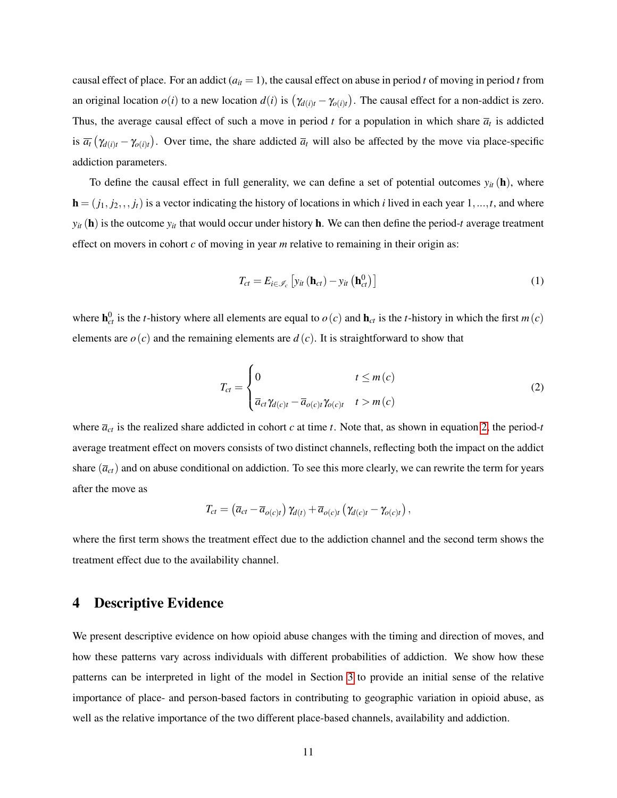causal effect of place. For an addict  $(a_{it} = 1)$ , the causal effect on abuse in period *t* of moving in period *t* from an original location  $o(i)$  to a new location  $d(i)$  is  $(\gamma_{d(i)t} - \gamma_{o(i)t})$ . The causal effect for a non-addict is zero. Thus, the average causal effect of such a move in period  $t$  for a population in which share  $\bar{a}_t$  is addicted is  $\overline{a_t}(\gamma_{d(i)t} - \gamma_{o(i)t})$ . Over time, the share addicted  $\overline{a_t}$  will also be affected by the move via place-specific addiction parameters.

To define the causal effect in full generality, we can define a set of potential outcomes  $y_{it}(\mathbf{h})$ , where  **is a vector indicating the history of locations in which** *i* **lived in each year 1,...,***t***, and where**  $y_{it}$  (h) is the outcome  $y_{it}$  that would occur under history h. We can then define the period-*t* average treatment effect on movers in cohort *c* of moving in year *m* relative to remaining in their origin as:

<span id="page-11-2"></span>
$$
T_{ct} = E_{i \in \mathscr{I}_c} \left[ y_{it} \left( \mathbf{h}_{ct} \right) - y_{it} \left( \mathbf{h}_{ct}^0 \right) \right] \tag{1}
$$

where  $h_{ct}^0$  is the *t*-history where all elements are equal to  $o(c)$  and  $h_{ct}$  is the *t*-history in which the first  $m(c)$ elements are  $o(c)$  and the remaining elements are  $d(c)$ . It is straightforward to show that

<span id="page-11-1"></span>
$$
T_{ct} = \begin{cases} 0 & t \le m(c) \\ \overline{a}_{ct} \gamma_{d(c)t} - \overline{a}_{o(c)t} \gamma_{o(c)t} & t > m(c) \end{cases}
$$
 (2)

where  $\overline{a}_{ct}$  is the realized share addicted in cohort *c* at time *t*. Note that, as shown in equation [2,](#page-11-1) the period-*t* average treatment effect on movers consists of two distinct channels, reflecting both the impact on the addict share  $(\bar{a}_{ct})$  and on abuse conditional on addiction. To see this more clearly, we can rewrite the term for years after the move as

$$
T_{ct} = (\overline{a}_{ct} - \overline{a}_{o(c)t}) \gamma_{d(t)} + \overline{a}_{o(c)t} (\gamma_{d(c)t} - \gamma_{o(c)t}),
$$

where the first term shows the treatment effect due to the addiction channel and the second term shows the treatment effect due to the availability channel.

### <span id="page-11-0"></span>4 Descriptive Evidence

We present descriptive evidence on how opioid abuse changes with the timing and direction of moves, and how these patterns vary across individuals with different probabilities of addiction. We show how these patterns can be interpreted in light of the model in Section [3](#page-9-0) to provide an initial sense of the relative importance of place- and person-based factors in contributing to geographic variation in opioid abuse, as well as the relative importance of the two different place-based channels, availability and addiction.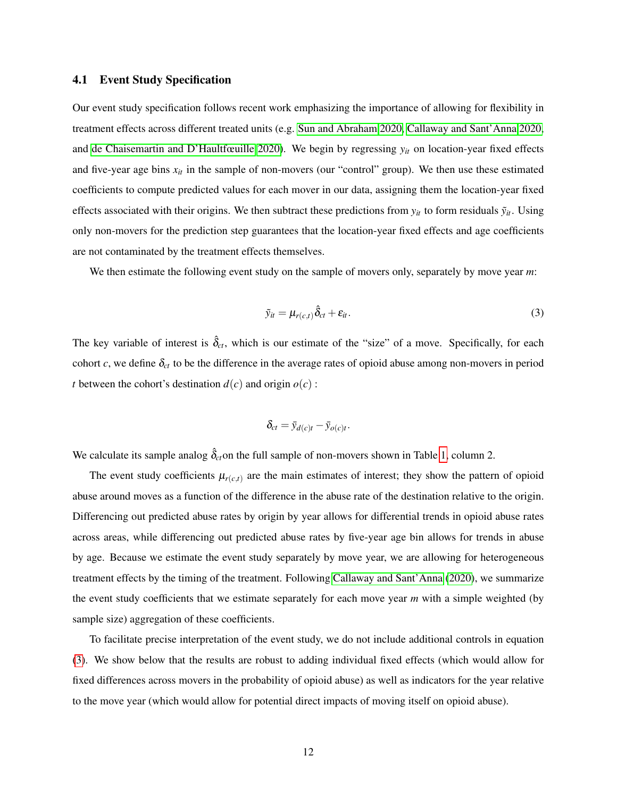### 4.1 Event Study Specification

Our event study specification follows recent work emphasizing the importance of allowing for flexibility in treatment effects across different treated units (e.g. [Sun and Abraham 2020,](#page-29-12) [Callaway and Sant'Anna 2020,](#page-24-13) and [de Chaisemartin and D'Haultfœuille 2020\)](#page-26-10). We begin by regressing *yit* on location-year fixed effects and five-year age bins  $x_{it}$  in the sample of non-movers (our "control" group). We then use these estimated coefficients to compute predicted values for each mover in our data, assigning them the location-year fixed effects associated with their origins. We then subtract these predictions from  $y_{it}$  to form residuals  $\tilde{y}_{it}$ . Using only non-movers for the prediction step guarantees that the location-year fixed effects and age coefficients are not contaminated by the treatment effects themselves.

We then estimate the following event study on the sample of movers only, separately by move year *m*:

<span id="page-12-0"></span>
$$
\tilde{y}_{it} = \mu_{r(c,t)} \hat{\delta}_{ct} + \varepsilon_{it}.
$$
\n(3)

The key variable of interest is  $\hat{\delta}_{ct}$ , which is our estimate of the "size" of a move. Specifically, for each cohort *c*, we define  $\delta_{ct}$  to be the difference in the average rates of opioid abuse among non-movers in period *t* between the cohort's destination  $d(c)$  and origin  $o(c)$ :

$$
\delta_{ct} = \bar{y}_{d(c)t} - \bar{y}_{o(c)t}.
$$

We calculate its sample analog  $\hat{\delta}_{ct}$  on the full sample of non-movers shown in Table [1,](#page-40-0) column 2.

The event study coefficients  $\mu_{r(c,t)}$  are the main estimates of interest; they show the pattern of opioid abuse around moves as a function of the difference in the abuse rate of the destination relative to the origin. Differencing out predicted abuse rates by origin by year allows for differential trends in opioid abuse rates across areas, while differencing out predicted abuse rates by five-year age bin allows for trends in abuse by age. Because we estimate the event study separately by move year, we are allowing for heterogeneous treatment effects by the timing of the treatment. Following [Callaway and Sant'Anna](#page-24-13) [\(2020\)](#page-24-13), we summarize the event study coefficients that we estimate separately for each move year *m* with a simple weighted (by sample size) aggregation of these coefficients.

To facilitate precise interpretation of the event study, we do not include additional controls in equation [\(3\)](#page-12-0). We show below that the results are robust to adding individual fixed effects (which would allow for fixed differences across movers in the probability of opioid abuse) as well as indicators for the year relative to the move year (which would allow for potential direct impacts of moving itself on opioid abuse).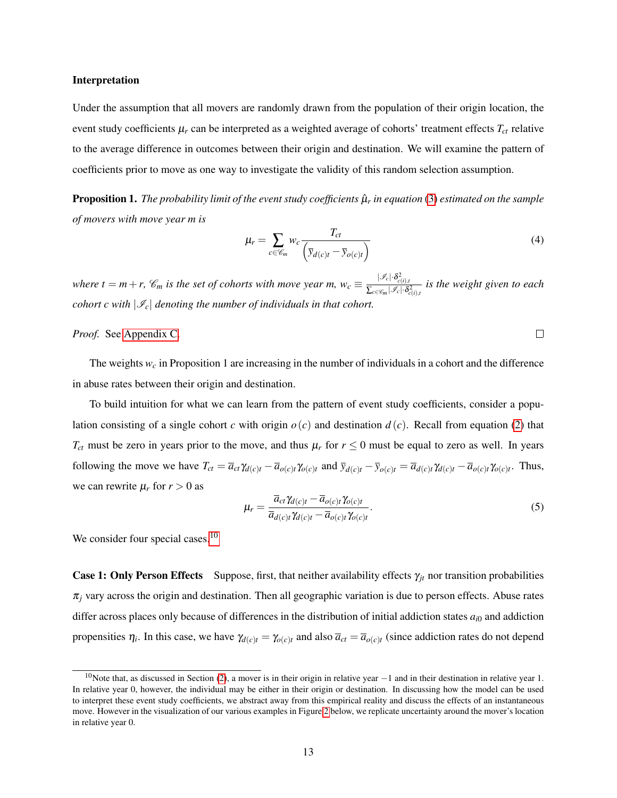### <span id="page-13-1"></span>Interpretation

Under the assumption that all movers are randomly drawn from the population of their origin location, the event study coefficients  $\mu_r$  can be interpreted as a weighted average of cohorts' treatment effects  $T_{ct}$  relative to the average difference in outcomes between their origin and destination. We will examine the pattern of coefficients prior to move as one way to investigate the validity of this random selection assumption.

Proposition 1. *The probability limit of the event study coefficients* µˆ*<sup>r</sup> in equation* [\(3\)](#page-12-0) *estimated on the sample of movers with move year m is*

<span id="page-13-2"></span>
$$
\mu_r = \sum_{c \in \mathscr{C}_m} w_c \frac{T_{ct}}{\left(\overline{y}_{d(c)t} - \overline{y}_{o(c)t}\right)}
$$
(4)

 $\Box$ 

*where t* = *m* + *r*,  $\mathcal{C}_m$  *is the set of cohorts with move year m, w<sub>c</sub>*  $\equiv \frac{|\mathcal{I}_c| \cdot \delta_{c(i),l}^2}{\sum_{c \in [l], \delta} |\mathcal{I}_c| \cdot \delta_c^2}$  $\frac{\sum_{c \in \mathscr{C}_m} |\mathscr{I}_c| \cdot \delta_{c(i),t}^2}{\sum_{c \in \mathscr{C}_m} |\mathscr{I}_c| \cdot \delta_{c(i),t}^2}$  is the weight given to each *cohort c with*  $|\mathcal{I}_c|$  *denoting the number of individuals in that cohort.* 

### *Proof.* See [Appendix C.](#page-47-0)

The weights *w<sup>c</sup>* in Proposition 1 are increasing in the number of individuals in a cohort and the difference in abuse rates between their origin and destination.

To build intuition for what we can learn from the pattern of event study coefficients, consider a population consisting of a single cohort *c* with origin  $o(c)$  and destination  $d(c)$ . Recall from equation [\(2\)](#page-11-1) that  $T_{ct}$  must be zero in years prior to the move, and thus  $\mu_r$  for  $r \leq 0$  must be equal to zero as well. In years following the move we have  $T_{ct} = \overline{a}_{ct} \gamma_{d(c)t} - \overline{a}_{o(c)t} \gamma_{o(c)t}$  and  $\overline{y}_{d(c)t} - \overline{y}_{o(c)t} = \overline{a}_{d(c)t} \gamma_{d(c)t} - \overline{a}_{o(c)t} \gamma_{o(c)t}$ . Thus, we can rewrite  $\mu_r$  for  $r > 0$  as

<span id="page-13-0"></span>
$$
\mu_r = \frac{\overline{a}_{ct} \gamma_{d(c)t} - \overline{a}_{o(c)t} \gamma_{o(c)t}}{\overline{a}_{d(c)t} \gamma_{d(c)t} - \overline{a}_{o(c)t} \gamma_{o(c)t}}.
$$
\n(5)

We consider four special cases.<sup>[10](#page-0-0)</sup>

**Case 1: Only Person Effects** Suppose, first, that neither availability effects  $\gamma_{it}$  nor transition probabilities  $\pi$ <sub>*j*</sub> vary across the origin and destination. Then all geographic variation is due to person effects. Abuse rates differ across places only because of differences in the distribution of initial addiction states  $a_{i0}$  and addiction propensities  $\eta_i$ . In this case, we have  $\gamma_{d(c)t} = \gamma_{o(c)t}$  and also  $\overline{a}_{ct} = \overline{a}_{o(c)t}$  (since addiction rates do not depend

 $10$ Note that, as discussed in Section [\(2\)](#page-5-0), a mover is in their origin in relative year  $-1$  and in their destination in relative year 1. In relative year 0, however, the individual may be either in their origin or destination. In discussing how the model can be used to interpret these event study coefficients, we abstract away from this empirical reality and discuss the effects of an instantaneous move. However in the visualization of our various examples in Figure [2](#page-32-0) below, we replicate uncertainty around the mover's location in relative year 0.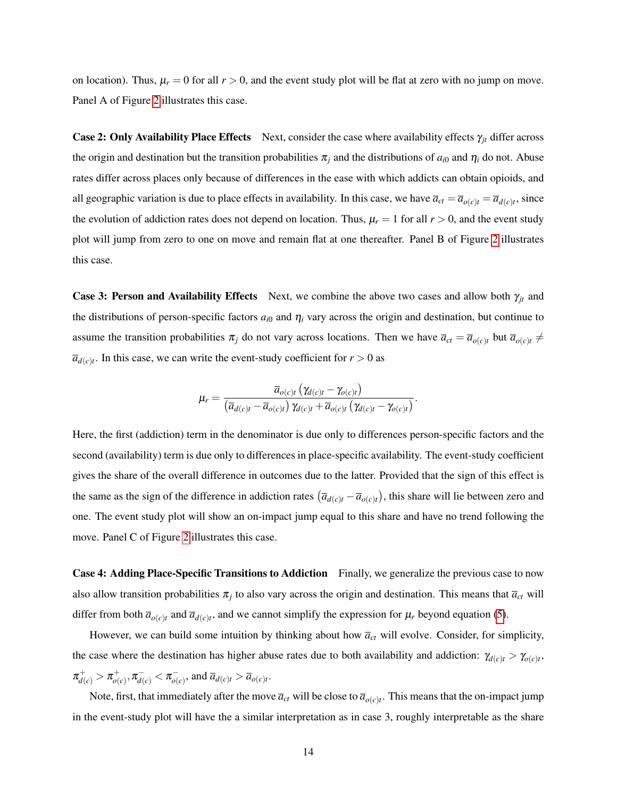on location). Thus,  $\mu_r = 0$  for all  $r > 0$ , and the event study plot will be flat at zero with no jump on move. Panel A of Figure [2](#page-32-0) illustrates this case.

**Case 2: Only Availability Place Effects** Next, consider the case where availability effects  $\gamma_{it}$  differ across the origin and destination but the transition probabilities  $\pi_i$  and the distributions of  $a_{i0}$  and  $\eta_i$  do not. Abuse rates differ across places only because of differences in the ease with which addicts can obtain opioids, and all geographic variation is due to place effects in availability. In this case, we have  $\overline{a}_{ct} = \overline{a}_{o(c)t} = \overline{a}_{d(c)t}$ , since the evolution of addiction rates does not depend on location. Thus,  $\mu_r = 1$  for all  $r > 0$ , and the event study plot will jump from zero to one on move and remain flat at one thereafter. Panel B of Figure [2](#page-32-0) illustrates this case.

**Case 3: Person and Availability Effects** Next, we combine the above two cases and allow both  $\gamma_{jt}$  and the distributions of person-specific factors  $a_{i0}$  and  $\eta_i$  vary across the origin and destination, but continue to assume the transition probabilities  $\pi_j$  do not vary across locations. Then we have  $\bar{a}_{ct} = \bar{a}_{o(c)t}$  but  $\bar{a}_{o(c)t} \neq$  $\overline{a}_{d(c)t}$ . In this case, we can write the event-study coefficient for  $r > 0$  as

$$
\mu_r = \frac{\overline{a}_{o(c)t}\left(\gamma_{d(c)t} - \gamma_{o(c)t}\right)}{\left(\overline{a}_{d(c)t} - \overline{a}_{o(c)t}\right)\gamma_{d(c)t} + \overline{a}_{o(c)t}\left(\gamma_{d(c)t} - \gamma_{o(c)t}\right)}.
$$

Here, the first (addiction) term in the denominator is due only to differences person-specific factors and the second (availability) term is due only to differences in place-specific availability. The event-study coefficient gives the share of the overall difference in outcomes due to the latter. Provided that the sign of this effect is the same as the sign of the difference in addiction rates  $(\overline{a}_{d(c)t} - \overline{a}_{o(c)t})$ , this share will lie between zero and one. The event study plot will show an on-impact jump equal to this share and have no trend following the move. Panel C of Figure [2](#page-32-0) illustrates this case.

Case 4: Adding Place-Specific Transitions to Addiction Finally, we generalize the previous case to now also allow transition probabilities  $\pi_j$  to also vary across the origin and destination. This means that  $\bar{a}_{ct}$  will differ from both  $\bar{a}_{o(c)t}$  and  $\bar{a}_{d(c)t}$ , and we cannot simplify the expression for  $\mu_r$  beyond equation [\(5\)](#page-13-0).

However, we can build some intuition by thinking about how  $\bar{a}_{ct}$  will evolve. Consider, for simplicity, the case where the destination has higher abuse rates due to both availability and addiction:  $\gamma_{d(c)t} > \gamma_{o(c)t}$ ,  $\pi_{d(c)}^+ > \pi_{o(}^+$  $\pi_{a(c)}^+,\pi_{d(c)}^-<\pi_{a(c)}^ \overline{a}_{o(c)}$ , and  $\overline{a}_{d(c)t} > \overline{a}_{o(c)t}$ .

Note, first, that immediately after the move  $\overline{a}_{ct}$  will be close to  $\overline{a}_{o(c)t}$ . This means that the on-impact jump in the event-study plot will have the a similar interpretation as in case 3, roughly interpretable as the share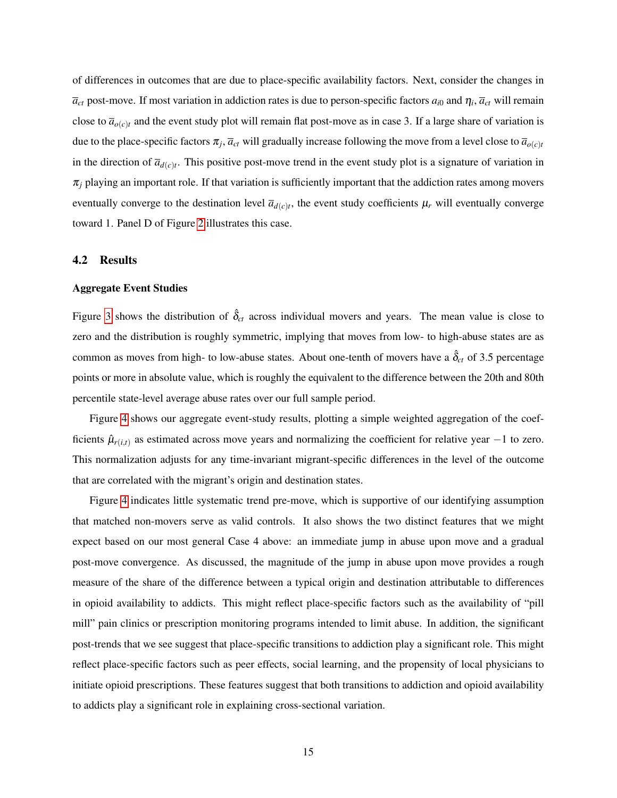of differences in outcomes that are due to place-specific availability factors. Next, consider the changes in  $\overline{a}_{ct}$  post-move. If most variation in addiction rates is due to person-specific factors  $a_{i0}$  and  $\eta_i$ ,  $\overline{a}_{ct}$  will remain close to  $\bar{a}_{o(c)t}$  and the event study plot will remain flat post-move as in case 3. If a large share of variation is due to the place-specific factors  $\pi_j$ ,  $\bar{a}_{ct}$  will gradually increase following the move from a level close to  $\bar{a}_{o(c)t}$ in the direction of  $\overline{a}_{d(c)t}$ . This positive post-move trend in the event study plot is a signature of variation in  $\pi_j$  playing an important role. If that variation is sufficiently important that the addiction rates among movers eventually converge to the destination level  $\bar{a}_{d(c)t}$ , the event study coefficients  $\mu_r$  will eventually converge toward 1. Panel D of Figure [2](#page-32-0) illustrates this case.

### 4.2 Results

### Aggregate Event Studies

Figure [3](#page-33-0) shows the distribution of  $\hat{\delta}_{ct}$  across individual movers and years. The mean value is close to zero and the distribution is roughly symmetric, implying that moves from low- to high-abuse states are as common as moves from high- to low-abuse states. About one-tenth of movers have a  $\hat{\delta}_{ct}$  of 3.5 percentage points or more in absolute value, which is roughly the equivalent to the difference between the 20th and 80th percentile state-level average abuse rates over our full sample period.

Figure [4](#page-34-0) shows our aggregate event-study results, plotting a simple weighted aggregation of the coefficients  $\hat{\mu}_{r(i,t)}$  as estimated across move years and normalizing the coefficient for relative year  $-1$  to zero. This normalization adjusts for any time-invariant migrant-specific differences in the level of the outcome that are correlated with the migrant's origin and destination states.

Figure [4](#page-34-0) indicates little systematic trend pre-move, which is supportive of our identifying assumption that matched non-movers serve as valid controls. It also shows the two distinct features that we might expect based on our most general Case 4 above: an immediate jump in abuse upon move and a gradual post-move convergence. As discussed, the magnitude of the jump in abuse upon move provides a rough measure of the share of the difference between a typical origin and destination attributable to differences in opioid availability to addicts. This might reflect place-specific factors such as the availability of "pill mill" pain clinics or prescription monitoring programs intended to limit abuse. In addition, the significant post-trends that we see suggest that place-specific transitions to addiction play a significant role. This might reflect place-specific factors such as peer effects, social learning, and the propensity of local physicians to initiate opioid prescriptions. These features suggest that both transitions to addiction and opioid availability to addicts play a significant role in explaining cross-sectional variation.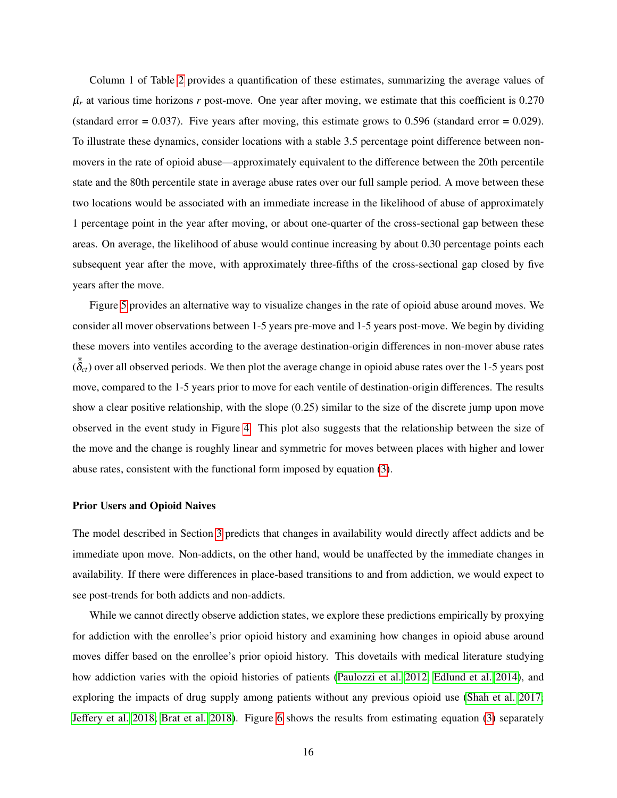Column 1 of Table [2](#page-41-0) provides a quantification of these estimates, summarizing the average values of  $\hat{\mu}_r$  at various time horizons *r* post-move. One year after moving, we estimate that this coefficient is 0.270 (standard error  $= 0.037$ ). Five years after moving, this estimate grows to 0.596 (standard error  $= 0.029$ ). To illustrate these dynamics, consider locations with a stable 3.5 percentage point difference between nonmovers in the rate of opioid abuse—approximately equivalent to the difference between the 20th percentile state and the 80th percentile state in average abuse rates over our full sample period. A move between these two locations would be associated with an immediate increase in the likelihood of abuse of approximately 1 percentage point in the year after moving, or about one-quarter of the cross-sectional gap between these areas. On average, the likelihood of abuse would continue increasing by about 0.30 percentage points each subsequent year after the move, with approximately three-fifths of the cross-sectional gap closed by five years after the move.

Figure [5](#page-35-0) provides an alternative way to visualize changes in the rate of opioid abuse around moves. We consider all mover observations between 1-5 years pre-move and 1-5 years post-move. We begin by dividing these movers into ventiles according to the average destination-origin differences in non-mover abuse rates  $(\bar{\hat{\delta}}_c t)$  over all observed periods. We then plot the average change in opioid abuse rates over the 1-5 years post move, compared to the 1-5 years prior to move for each ventile of destination-origin differences. The results show a clear positive relationship, with the slope (0.25) similar to the size of the discrete jump upon move observed in the event study in Figure [4.](#page-34-0) This plot also suggests that the relationship between the size of the move and the change is roughly linear and symmetric for moves between places with higher and lower abuse rates, consistent with the functional form imposed by equation [\(3\)](#page-12-0).

#### Prior Users and Opioid Naives

The model described in Section [3](#page-9-0) predicts that changes in availability would directly affect addicts and be immediate upon move. Non-addicts, on the other hand, would be unaffected by the immediate changes in availability. If there were differences in place-based transitions to and from addiction, we would expect to see post-trends for both addicts and non-addicts.

While we cannot directly observe addiction states, we explore these predictions empirically by proxying for addiction with the enrollee's prior opioid history and examining how changes in opioid abuse around moves differ based on the enrollee's prior opioid history. This dovetails with medical literature studying how addiction varies with the opioid histories of patients [\(Paulozzi et al. 2012;](#page-28-13) [Edlund et al. 2014\)](#page-26-11), and exploring the impacts of drug supply among patients without any previous opioid use [\(Shah et al. 2017;](#page-29-13) [Jeffery et al. 2018;](#page-27-14) [Brat et al. 2018\)](#page-24-12). Figure [6](#page-36-0) shows the results from estimating equation [\(3\)](#page-12-0) separately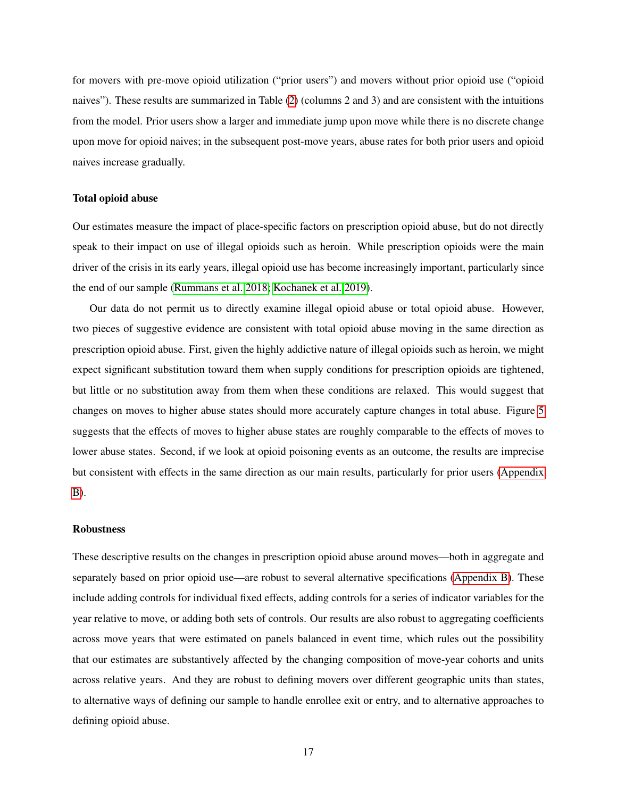for movers with pre-move opioid utilization ("prior users") and movers without prior opioid use ("opioid naives"). These results are summarized in Table [\(2\)](#page-41-0) (columns 2 and 3) and are consistent with the intuitions from the model. Prior users show a larger and immediate jump upon move while there is no discrete change upon move for opioid naives; in the subsequent post-move years, abuse rates for both prior users and opioid naives increase gradually.

### Total opioid abuse

Our estimates measure the impact of place-specific factors on prescription opioid abuse, but do not directly speak to their impact on use of illegal opioids such as heroin. While prescription opioids were the main driver of the crisis in its early years, illegal opioid use has become increasingly important, particularly since the end of our sample [\(Rummans et al. 2018;](#page-29-14) [Kochanek et al. 2019\)](#page-27-0).

Our data do not permit us to directly examine illegal opioid abuse or total opioid abuse. However, two pieces of suggestive evidence are consistent with total opioid abuse moving in the same direction as prescription opioid abuse. First, given the highly addictive nature of illegal opioids such as heroin, we might expect significant substitution toward them when supply conditions for prescription opioids are tightened, but little or no substitution away from them when these conditions are relaxed. This would suggest that changes on moves to higher abuse states should more accurately capture changes in total abuse. Figure [5](#page-35-0) suggests that the effects of moves to higher abuse states are roughly comparable to the effects of moves to lower abuse states. Second, if we look at opioid poisoning events as an outcome, the results are imprecise but consistent with effects in the same direction as our main results, particularly for prior users [\(Appendix](#page-45-0) [B\)](#page-45-0).

#### Robustness

These descriptive results on the changes in prescription opioid abuse around moves—both in aggregate and separately based on prior opioid use—are robust to several alternative specifications [\(Appendix B\)](#page-45-0). These include adding controls for individual fixed effects, adding controls for a series of indicator variables for the year relative to move, or adding both sets of controls. Our results are also robust to aggregating coefficients across move years that were estimated on panels balanced in event time, which rules out the possibility that our estimates are substantively affected by the changing composition of move-year cohorts and units across relative years. And they are robust to defining movers over different geographic units than states, to alternative ways of defining our sample to handle enrollee exit or entry, and to alternative approaches to defining opioid abuse.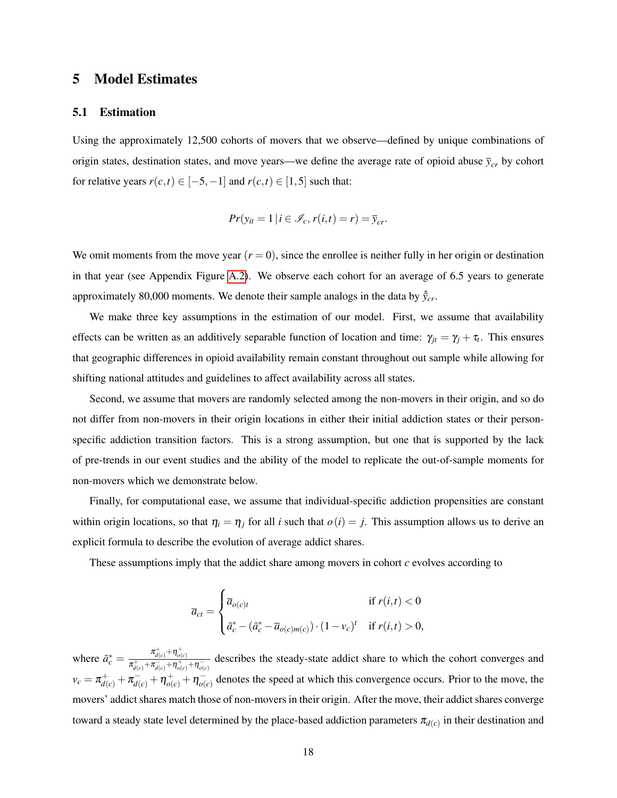## <span id="page-18-0"></span>5 Model Estimates

### <span id="page-18-1"></span>5.1 Estimation

Using the approximately 12,500 cohorts of movers that we observe—defined by unique combinations of origin states, destination states, and move years—we define the average rate of opioid abuse  $\bar{y}_{cr}$  by cohort for relative years  $r(c,t) \in [-5, -1]$  and  $r(c,t) \in [1, 5]$  such that:

$$
Pr(y_{it} = 1 | i \in \mathcal{I}_c, r(i, t) = r) = \overline{y}_{cr}.
$$

We omit moments from the move year  $(r = 0)$ , since the enrollee is neither fully in her origin or destination in that year (see Appendix Figure [A.2\)](#page-51-0). We observe each cohort for an average of 6.5 years to generate approximately 80,000 moments. We denote their sample analogs in the data by  $\hat{y}_{cr}$ .

We make three key assumptions in the estimation of our model. First, we assume that availability effects can be written as an additively separable function of location and time:  $\gamma_{jt} = \gamma_j + \tau_t$ . This ensures that geographic differences in opioid availability remain constant throughout out sample while allowing for shifting national attitudes and guidelines to affect availability across all states.

Second, we assume that movers are randomly selected among the non-movers in their origin, and so do not differ from non-movers in their origin locations in either their initial addiction states or their personspecific addiction transition factors. This is a strong assumption, but one that is supported by the lack of pre-trends in our event studies and the ability of the model to replicate the out-of-sample moments for non-movers which we demonstrate below.

Finally, for computational ease, we assume that individual-specific addiction propensities are constant within origin locations, so that  $\eta_i = \eta_j$  for all *i* such that  $o(i) = j$ . This assumption allows us to derive an explicit formula to describe the evolution of average addict shares.

These assumptions imply that the addict share among movers in cohort *c* evolves according to

$$
\overline{a}_{ct} = \begin{cases}\n\overline{a}_{o(c)t} & \text{if } r(i,t) < 0 \\
\overline{a}_c^* - (\overline{a}_c^* - \overline{a}_{o(c)m(c)}) \cdot (1 - v_c)^t & \text{if } r(i,t) > 0,\n\end{cases}
$$

where  $\bar{a}_c^* = \frac{\pi_{d(c)}^+ + \eta_{o(c)}^+}{\pi_{c}^+ + \pi_{c}^- + \pi_{c}^+}$  $\frac{d(c)}{\pi^+_{d(c)}+\pi^-_{d(c)}+\eta^+_{o(c)}}$  describes the steady-state addict share to which the cohort converges and  $v_c = \pi_{d(c)}^+ + \pi_{d(c)}^- + \eta_{o(c)}^+ + \eta_{o(c)}^ \overline{\phi}(c)$  denotes the speed at which this convergence occurs. Prior to the move, the movers' addict shares match those of non-movers in their origin. After the move, their addict shares converge toward a steady state level determined by the place-based addiction parameters  $\pi_{d(c)}$  in their destination and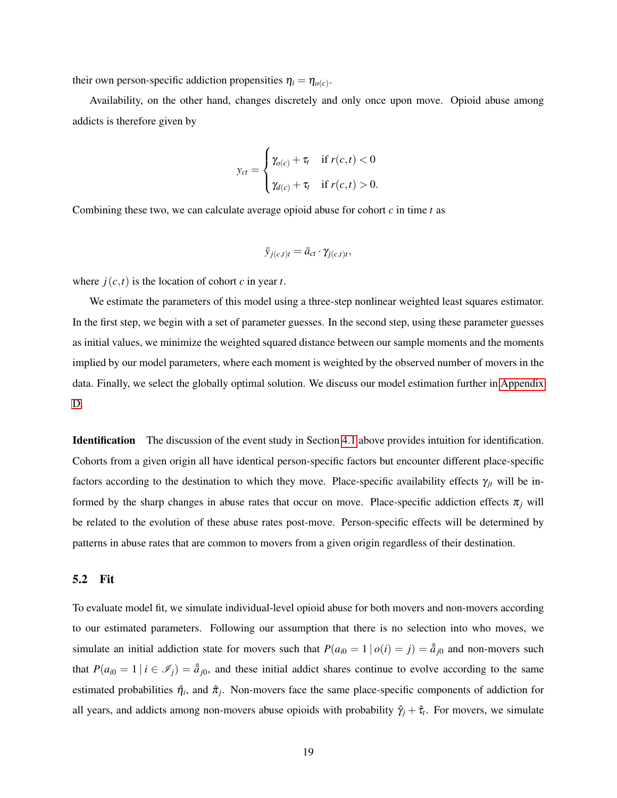their own person-specific addiction propensities  $\eta_i = \eta_{o(c)}$ .

Availability, on the other hand, changes discretely and only once upon move. Opioid abuse among addicts is therefore given by

$$
y_{ct} = \begin{cases} \gamma_{o(c)} + \tau_t & \text{if } r(c, t) < 0 \\ \gamma_{d(c)} + \tau_t & \text{if } r(c, t) > 0. \end{cases}
$$

Combining these two, we can calculate average opioid abuse for cohort *c* in time *t* as

$$
\bar{y}_{j(c,t)t} = \bar{a}_{ct} \cdot \gamma_{j(c,t)t},
$$

where  $j(c,t)$  is the location of cohort *c* in year *t*.

We estimate the parameters of this model using a three-step nonlinear weighted least squares estimator. In the first step, we begin with a set of parameter guesses. In the second step, using these parameter guesses as initial values, we minimize the weighted squared distance between our sample moments and the moments implied by our model parameters, where each moment is weighted by the observed number of movers in the data. Finally, we select the globally optimal solution. We discuss our model estimation further in [Appendix](#page-48-0) [D.](#page-48-0)

Identification The discussion of the event study in Section [4.1](#page-13-1) above provides intuition for identification. Cohorts from a given origin all have identical person-specific factors but encounter different place-specific factors according to the destination to which they move. Place-specific availability effects  $\gamma_{it}$  will be informed by the sharp changes in abuse rates that occur on move. Place-specific addiction effects  $\pi_j$  will be related to the evolution of these abuse rates post-move. Person-specific effects will be determined by patterns in abuse rates that are common to movers from a given origin regardless of their destination.

### 5.2 Fit

To evaluate model fit, we simulate individual-level opioid abuse for both movers and non-movers according to our estimated parameters. Following our assumption that there is no selection into who moves, we simulate an initial addiction state for movers such that  $P(a_{i0} = 1 | o(i) = j) = \hat{a}_{j0}$  and non-movers such that  $P(a_{i0} = 1 | i \in \mathcal{I}_j) = \hat{a}_{j0}$ , and these initial addict shares continue to evolve according to the same estimated probabilities  $\hat{\eta}_i$ , and  $\hat{\pi}_j$ . Non-movers face the same place-specific components of addiction for all years, and addicts among non-movers abuse opioids with probability  $\hat{\gamma}_j + \hat{\tau}_t$ . For movers, we simulate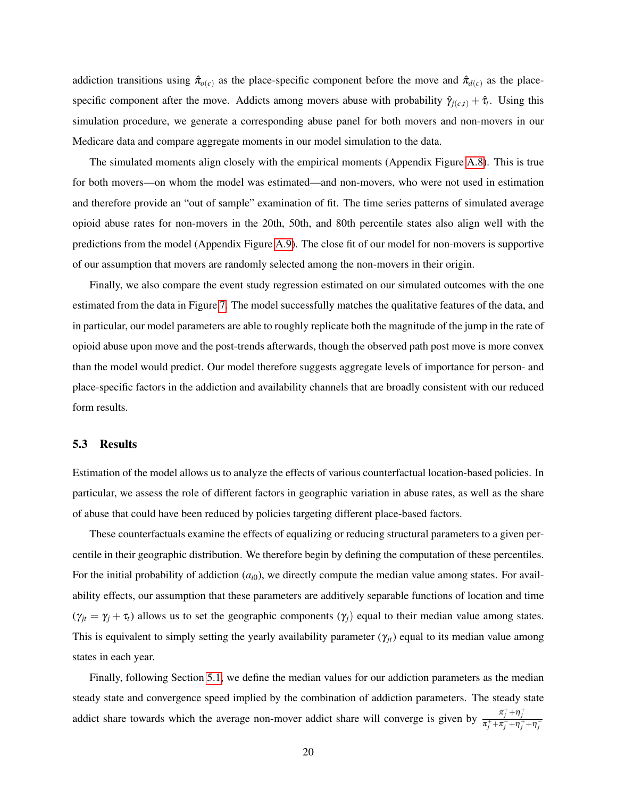addiction transitions using  $\hat{\pi}_{o(c)}$  as the place-specific component before the move and  $\hat{\pi}_{d(c)}$  as the placespecific component after the move. Addicts among movers abuse with probability  $\hat{\gamma}_{j(c,t)} + \hat{\tau}_t$ . Using this simulation procedure, we generate a corresponding abuse panel for both movers and non-movers in our Medicare data and compare aggregate moments in our model simulation to the data.

The simulated moments align closely with the empirical moments (Appendix Figure [A.8\)](#page-57-0). This is true for both movers—on whom the model was estimated—and non-movers, who were not used in estimation and therefore provide an "out of sample" examination of fit. The time series patterns of simulated average opioid abuse rates for non-movers in the 20th, 50th, and 80th percentile states also align well with the predictions from the model (Appendix Figure [A.9\)](#page-57-1). The close fit of our model for non-movers is supportive of our assumption that movers are randomly selected among the non-movers in their origin.

Finally, we also compare the event study regression estimated on our simulated outcomes with the one estimated from the data in Figure [7.](#page-37-0) The model successfully matches the qualitative features of the data, and in particular, our model parameters are able to roughly replicate both the magnitude of the jump in the rate of opioid abuse upon move and the post-trends afterwards, though the observed path post move is more convex than the model would predict. Our model therefore suggests aggregate levels of importance for person- and place-specific factors in the addiction and availability channels that are broadly consistent with our reduced form results.

### 5.3 Results

Estimation of the model allows us to analyze the effects of various counterfactual location-based policies. In particular, we assess the role of different factors in geographic variation in abuse rates, as well as the share of abuse that could have been reduced by policies targeting different place-based factors.

These counterfactuals examine the effects of equalizing or reducing structural parameters to a given percentile in their geographic distribution. We therefore begin by defining the computation of these percentiles. For the initial probability of addiction  $(a_{i0})$ , we directly compute the median value among states. For availability effects, our assumption that these parameters are additively separable functions of location and time  $(\gamma_{jt} = \gamma_j + \tau_t)$  allows us to set the geographic components  $(\gamma_j)$  equal to their median value among states. This is equivalent to simply setting the yearly availability parameter  $(\gamma_{jt})$  equal to its median value among states in each year.

Finally, following Section [5.1,](#page-18-1) we define the median values for our addiction parameters as the median steady state and convergence speed implied by the combination of addiction parameters. The steady state addict share towards which the average non-mover addict share will converge is given by  $\frac{\pi_j^+ + \eta_j^+}{\pi^+ + \pi^- - \eta^+}$  $\frac{\pi_j^+ + \pi_j^- + \eta_j^+ + \eta_j^-}{\pi_j^- + \eta_j^-}$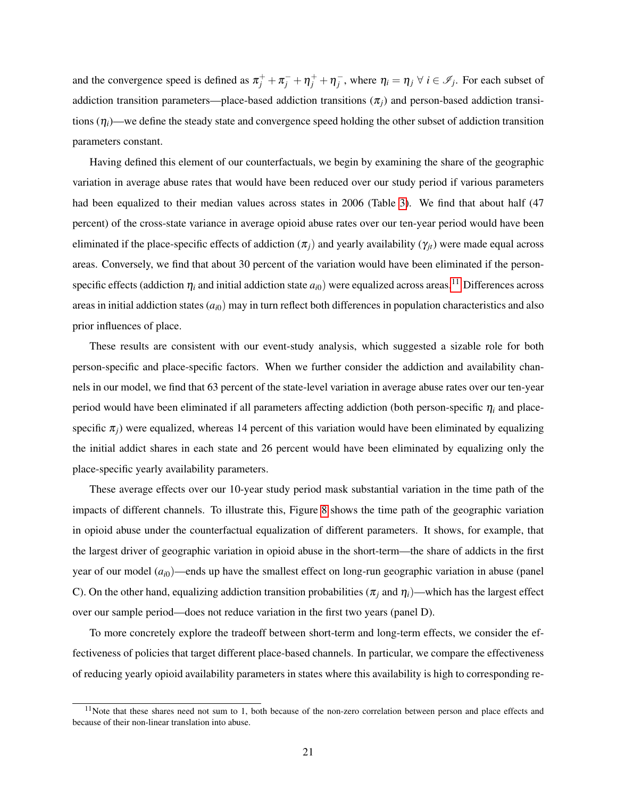and the convergence speed is defined as  $\pi_j^+ + \pi_j^- + \eta_j^+ + \eta_j^-$ , where  $\eta_i = \eta_j \ \forall \ i \in \mathscr{I}_j$ . For each subset of addiction transition parameters—place-based addiction transitions  $(\pi_i)$  and person-based addiction transitions (η*i*)—we define the steady state and convergence speed holding the other subset of addiction transition parameters constant.

Having defined this element of our counterfactuals, we begin by examining the share of the geographic variation in average abuse rates that would have been reduced over our study period if various parameters had been equalized to their median values across states in 2006 (Table [3\)](#page-42-0). We find that about half (47 percent) of the cross-state variance in average opioid abuse rates over our ten-year period would have been eliminated if the place-specific effects of addiction  $(\pi_i)$  and yearly availability  $(\gamma_{it})$  were made equal across areas. Conversely, we find that about 30 percent of the variation would have been eliminated if the personspecific effects (addiction  $\eta_i$  and initial addiction state  $a_{i0}$ ) were equalized across areas.<sup>[11](#page-0-0)</sup> Differences across areas in initial addiction states  $(a_{i0})$  may in turn reflect both differences in population characteristics and also prior influences of place.

These results are consistent with our event-study analysis, which suggested a sizable role for both person-specific and place-specific factors. When we further consider the addiction and availability channels in our model, we find that 63 percent of the state-level variation in average abuse rates over our ten-year period would have been eliminated if all parameters affecting addiction (both person-specific  $\eta_i$  and placespecific  $\pi$ <sub>*i*</sub>) were equalized, whereas 14 percent of this variation would have been eliminated by equalizing the initial addict shares in each state and 26 percent would have been eliminated by equalizing only the place-specific yearly availability parameters.

These average effects over our 10-year study period mask substantial variation in the time path of the impacts of different channels. To illustrate this, Figure [8](#page-38-0) shows the time path of the geographic variation in opioid abuse under the counterfactual equalization of different parameters. It shows, for example, that the largest driver of geographic variation in opioid abuse in the short-term—the share of addicts in the first year of our model ( $a_{i0}$ )—ends up have the smallest effect on long-run geographic variation in abuse (panel C). On the other hand, equalizing addiction transition probabilities ( $\pi_j$  and  $\eta_i$ )—which has the largest effect over our sample period—does not reduce variation in the first two years (panel D).

To more concretely explore the tradeoff between short-term and long-term effects, we consider the effectiveness of policies that target different place-based channels. In particular, we compare the effectiveness of reducing yearly opioid availability parameters in states where this availability is high to corresponding re-

 $11$ Note that these shares need not sum to 1, both because of the non-zero correlation between person and place effects and because of their non-linear translation into abuse.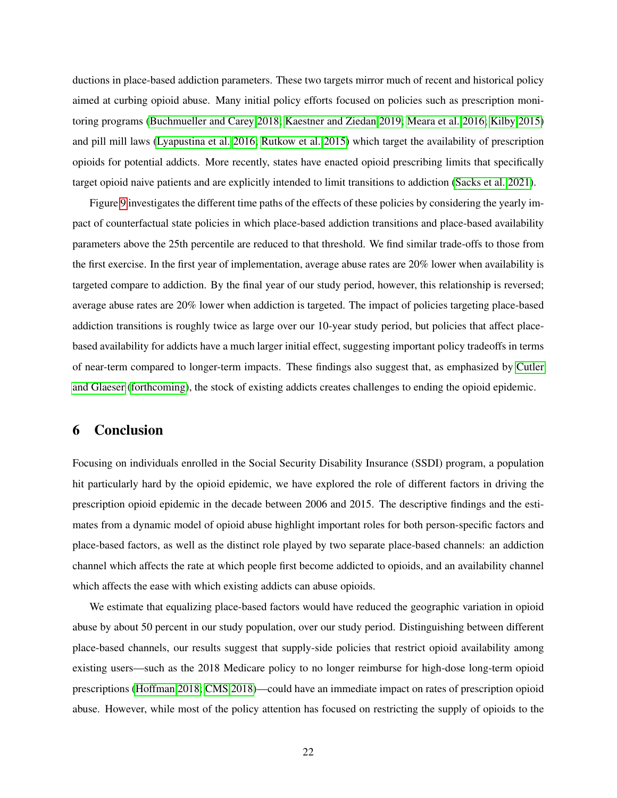ductions in place-based addiction parameters. These two targets mirror much of recent and historical policy aimed at curbing opioid abuse. Many initial policy efforts focused on policies such as prescription monitoring programs [\(Buchmueller and Carey 2018;](#page-24-3) [Kaestner and Ziedan 2019;](#page-27-3) [Meara et al. 2016;](#page-28-5) [Kilby 2015\)](#page-27-2) and pill mill laws [\(Lyapustina et al. 2016;](#page-28-3) [Rutkow et al. 2015\)](#page-29-2) which target the availability of prescription opioids for potential addicts. More recently, states have enacted opioid prescribing limits that specifically target opioid naive patients and are explicitly intended to limit transitions to addiction [\(Sacks et al. 2021\)](#page-29-3).

Figure [9](#page-39-0) investigates the different time paths of the effects of these policies by considering the yearly impact of counterfactual state policies in which place-based addiction transitions and place-based availability parameters above the 25th percentile are reduced to that threshold. We find similar trade-offs to those from the first exercise. In the first year of implementation, average abuse rates are 20% lower when availability is targeted compare to addiction. By the final year of our study period, however, this relationship is reversed; average abuse rates are 20% lower when addiction is targeted. The impact of policies targeting place-based addiction transitions is roughly twice as large over our 10-year study period, but policies that affect placebased availability for addicts have a much larger initial effect, suggesting important policy tradeoffs in terms of near-term compared to longer-term impacts. These findings also suggest that, as emphasized by [Cutler](#page-25-7) [and Glaeser](#page-25-7) [\(forthcoming\)](#page-25-7), the stock of existing addicts creates challenges to ending the opioid epidemic.

# 6 Conclusion

Focusing on individuals enrolled in the Social Security Disability Insurance (SSDI) program, a population hit particularly hard by the opioid epidemic, we have explored the role of different factors in driving the prescription opioid epidemic in the decade between 2006 and 2015. The descriptive findings and the estimates from a dynamic model of opioid abuse highlight important roles for both person-specific factors and place-based factors, as well as the distinct role played by two separate place-based channels: an addiction channel which affects the rate at which people first become addicted to opioids, and an availability channel which affects the ease with which existing addicts can abuse opioids.

We estimate that equalizing place-based factors would have reduced the geographic variation in opioid abuse by about 50 percent in our study population, over our study period. Distinguishing between different place-based channels, our results suggest that supply-side policies that restrict opioid availability among existing users—such as the 2018 Medicare policy to no longer reimburse for high-dose long-term opioid prescriptions [\(Hoffman 2018;](#page-27-15) [CMS 2018\)](#page-25-14)—could have an immediate impact on rates of prescription opioid abuse. However, while most of the policy attention has focused on restricting the supply of opioids to the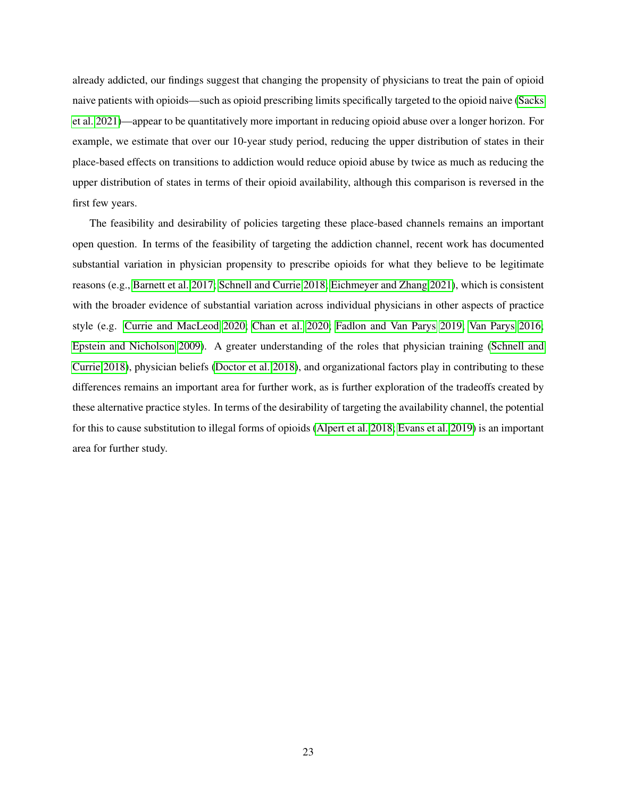already addicted, our findings suggest that changing the propensity of physicians to treat the pain of opioid naive patients with opioids—such as opioid prescribing limits specifically targeted to the opioid naive [\(Sacks](#page-29-3) [et al. 2021\)](#page-29-3)—appear to be quantitatively more important in reducing opioid abuse over a longer horizon. For example, we estimate that over our 10-year study period, reducing the upper distribution of states in their place-based effects on transitions to addiction would reduce opioid abuse by twice as much as reducing the upper distribution of states in terms of their opioid availability, although this comparison is reversed in the first few years.

The feasibility and desirability of policies targeting these place-based channels remains an important open question. In terms of the feasibility of targeting the addiction channel, recent work has documented substantial variation in physician propensity to prescribe opioids for what they believe to be legitimate reasons (e.g., [Barnett et al. 2017;](#page-24-1) [Schnell and Currie 2018;](#page-29-1) [Eichmeyer and Zhang 2021\)](#page-26-2), which is consistent with the broader evidence of substantial variation across individual physicians in other aspects of practice style (e.g. [Currie and MacLeod 2020;](#page-25-15) [Chan et al. 2020;](#page-25-16) [Fadlon and Van Parys 2019;](#page-26-12) [Van Parys 2016;](#page-29-15) [Epstein and Nicholson 2009\)](#page-26-13). A greater understanding of the roles that physician training [\(Schnell and](#page-29-1) [Currie 2018\)](#page-29-1), physician beliefs [\(Doctor et al. 2018\)](#page-26-14), and organizational factors play in contributing to these differences remains an important area for further work, as is further exploration of the tradeoffs created by these alternative practice styles. In terms of the desirability of targeting the availability channel, the potential for this to cause substitution to illegal forms of opioids [\(Alpert et al. 2018;](#page-24-14) [Evans et al. 2019\)](#page-26-15) is an important area for further study.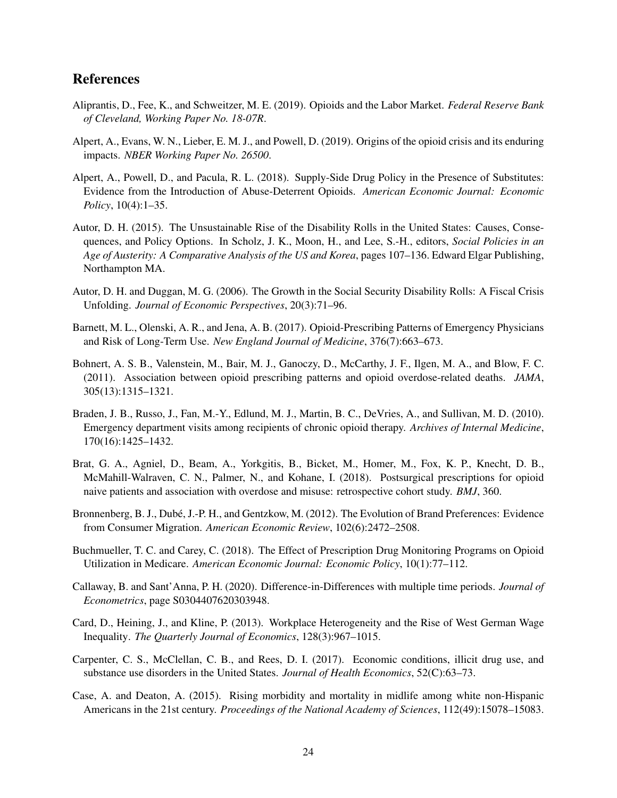# References

- <span id="page-24-6"></span>Aliprantis, D., Fee, K., and Schweitzer, M. E. (2019). Opioids and the Labor Market. *Federal Reserve Bank of Cleveland, Working Paper No. 18-07R*.
- <span id="page-24-2"></span>Alpert, A., Evans, W. N., Lieber, E. M. J., and Powell, D. (2019). Origins of the opioid crisis and its enduring impacts. *NBER Working Paper No. 26500*.
- <span id="page-24-14"></span>Alpert, A., Powell, D., and Pacula, R. L. (2018). Supply-Side Drug Policy in the Presence of Substitutes: Evidence from the Introduction of Abuse-Deterrent Opioids. *American Economic Journal: Economic Policy*, 10(4):1–35.
- <span id="page-24-4"></span>Autor, D. H. (2015). The Unsustainable Rise of the Disability Rolls in the United States: Causes, Consequences, and Policy Options. In Scholz, J. K., Moon, H., and Lee, S.-H., editors, *Social Policies in an Age of Austerity: A Comparative Analysis of the US and Korea*, pages 107–136. Edward Elgar Publishing, Northampton MA.
- <span id="page-24-8"></span>Autor, D. H. and Duggan, M. G. (2006). The Growth in the Social Security Disability Rolls: A Fiscal Crisis Unfolding. *Journal of Economic Perspectives*, 20(3):71–96.
- <span id="page-24-1"></span>Barnett, M. L., Olenski, A. R., and Jena, A. B. (2017). Opioid-Prescribing Patterns of Emergency Physicians and Risk of Long-Term Use. *New England Journal of Medicine*, 376(7):663–673.
- <span id="page-24-11"></span>Bohnert, A. S. B., Valenstein, M., Bair, M. J., Ganoczy, D., McCarthy, J. F., Ilgen, M. A., and Blow, F. C. (2011). Association between opioid prescribing patterns and opioid overdose-related deaths. *JAMA*, 305(13):1315–1321.
- <span id="page-24-10"></span>Braden, J. B., Russo, J., Fan, M.-Y., Edlund, M. J., Martin, B. C., DeVries, A., and Sullivan, M. D. (2010). Emergency department visits among recipients of chronic opioid therapy. *Archives of Internal Medicine*, 170(16):1425–1432.
- <span id="page-24-12"></span>Brat, G. A., Agniel, D., Beam, A., Yorkgitis, B., Bicket, M., Homer, M., Fox, K. P., Knecht, D. B., McMahill-Walraven, C. N., Palmer, N., and Kohane, I. (2018). Postsurgical prescriptions for opioid naive patients and association with overdose and misuse: retrospective cohort study. *BMJ*, 360.
- <span id="page-24-9"></span>Bronnenberg, B. J., Dubé, J.-P. H., and Gentzkow, M. (2012). The Evolution of Brand Preferences: Evidence from Consumer Migration. *American Economic Review*, 102(6):2472–2508.
- <span id="page-24-3"></span>Buchmueller, T. C. and Carey, C. (2018). The Effect of Prescription Drug Monitoring Programs on Opioid Utilization in Medicare. *American Economic Journal: Economic Policy*, 10(1):77–112.
- <span id="page-24-13"></span>Callaway, B. and Sant'Anna, P. H. (2020). Difference-in-Differences with multiple time periods. *Journal of Econometrics*, page S0304407620303948.
- <span id="page-24-7"></span>Card, D., Heining, J., and Kline, P. (2013). Workplace Heterogeneity and the Rise of West German Wage Inequality. *The Quarterly Journal of Economics*, 128(3):967–1015.
- <span id="page-24-5"></span>Carpenter, C. S., McClellan, C. B., and Rees, D. I. (2017). Economic conditions, illicit drug use, and substance use disorders in the United States. *Journal of Health Economics*, 52(C):63–73.
- <span id="page-24-0"></span>Case, A. and Deaton, A. (2015). Rising morbidity and mortality in midlife among white non-Hispanic Americans in the 21st century. *Proceedings of the National Academy of Sciences*, 112(49):15078–15083.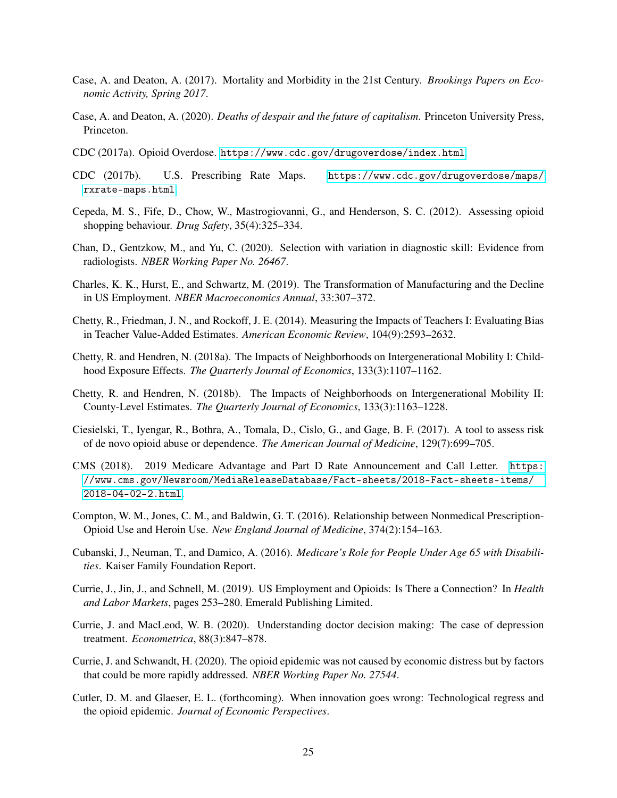- <span id="page-25-2"></span>Case, A. and Deaton, A. (2017). Mortality and Morbidity in the 21st Century. *Brookings Papers on Economic Activity, Spring 2017*.
- <span id="page-25-0"></span>Case, A. and Deaton, A. (2020). *Deaths of despair and the future of capitalism*. Princeton University Press, Princeton.
- <span id="page-25-1"></span>CDC (2017a). Opioid Overdose. <https://www.cdc.gov/drugoverdose/index.html>.
- <span id="page-25-4"></span>CDC (2017b). U.S. Prescribing Rate Maps. [https://www.cdc.gov/drugoverdose/maps/](https://www.cdc.gov/drugoverdose/maps/rxrate-maps.html) [rxrate-maps.html](https://www.cdc.gov/drugoverdose/maps/rxrate-maps.html).
- <span id="page-25-13"></span>Cepeda, M. S., Fife, D., Chow, W., Mastrogiovanni, G., and Henderson, S. C. (2012). Assessing opioid shopping behaviour. *Drug Safety*, 35(4):325–334.
- <span id="page-25-16"></span>Chan, D., Gentzkow, M., and Yu, C. (2020). Selection with variation in diagnostic skill: Evidence from radiologists. *NBER Working Paper No. 26467*.
- <span id="page-25-8"></span>Charles, K. K., Hurst, E., and Schwartz, M. (2019). The Transformation of Manufacturing and the Decline in US Employment. *NBER Macroeconomics Annual*, 33:307–372.
- <span id="page-25-9"></span>Chetty, R., Friedman, J. N., and Rockoff, J. E. (2014). Measuring the Impacts of Teachers I: Evaluating Bias in Teacher Value-Added Estimates. *American Economic Review*, 104(9):2593–2632.
- <span id="page-25-10"></span>Chetty, R. and Hendren, N. (2018a). The Impacts of Neighborhoods on Intergenerational Mobility I: Childhood Exposure Effects. *The Quarterly Journal of Economics*, 133(3):1107–1162.
- <span id="page-25-11"></span>Chetty, R. and Hendren, N. (2018b). The Impacts of Neighborhoods on Intergenerational Mobility II: County-Level Estimates. *The Quarterly Journal of Economics*, 133(3):1163–1228.
- <span id="page-25-3"></span>Ciesielski, T., Iyengar, R., Bothra, A., Tomala, D., Cislo, G., and Gage, B. F. (2017). A tool to assess risk of de novo opioid abuse or dependence. *The American Journal of Medicine*, 129(7):699–705.
- <span id="page-25-14"></span>CMS (2018). 2019 Medicare Advantage and Part D Rate Announcement and Call Letter. [https:](https://www.cms.gov/Newsroom/MediaReleaseDatabase/Fact-sheets/2018-Fact-sheets-items/2018-04-02-2.html) [//www.cms.gov/Newsroom/MediaReleaseDatabase/Fact-sheets/2018-Fact-sheets-items/](https://www.cms.gov/Newsroom/MediaReleaseDatabase/Fact-sheets/2018-Fact-sheets-items/2018-04-02-2.html) [2018-04-02-2.html](https://www.cms.gov/Newsroom/MediaReleaseDatabase/Fact-sheets/2018-Fact-sheets-items/2018-04-02-2.html).
- <span id="page-25-17"></span>Compton, W. M., Jones, C. M., and Baldwin, G. T. (2016). Relationship between Nonmedical Prescription-Opioid Use and Heroin Use. *New England Journal of Medicine*, 374(2):154–163.
- <span id="page-25-12"></span>Cubanski, J., Neuman, T., and Damico, A. (2016). *Medicare's Role for People Under Age 65 with Disabilities*. Kaiser Family Foundation Report.
- <span id="page-25-5"></span>Currie, J., Jin, J., and Schnell, M. (2019). US Employment and Opioids: Is There a Connection? In *Health and Labor Markets*, pages 253–280. Emerald Publishing Limited.
- <span id="page-25-15"></span>Currie, J. and MacLeod, W. B. (2020). Understanding doctor decision making: The case of depression treatment. *Econometrica*, 88(3):847–878.
- <span id="page-25-6"></span>Currie, J. and Schwandt, H. (2020). The opioid epidemic was not caused by economic distress but by factors that could be more rapidly addressed. *NBER Working Paper No. 27544*.
- <span id="page-25-7"></span>Cutler, D. M. and Glaeser, E. L. (forthcoming). When innovation goes wrong: Technological regress and the opioid epidemic. *Journal of Economic Perspectives*.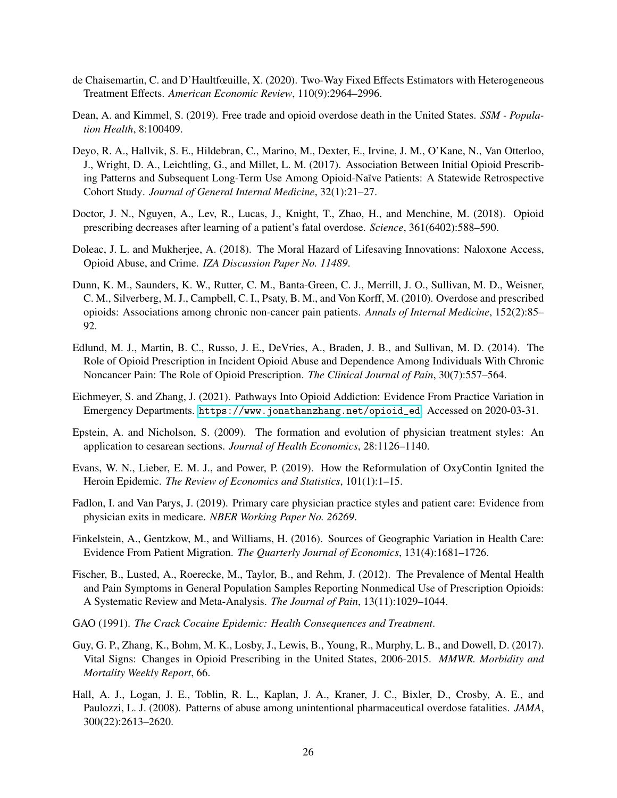- <span id="page-26-10"></span>de Chaisemartin, C. and D'Haultfœuille, X. (2020). Two-Way Fixed Effects Estimators with Heterogeneous Treatment Effects. *American Economic Review*, 110(9):2964–2996.
- <span id="page-26-5"></span>Dean, A. and Kimmel, S. (2019). Free trade and opioid overdose death in the United States. *SSM - Population Health*, 8:100409.
- <span id="page-26-9"></span>Deyo, R. A., Hallvik, S. E., Hildebran, C., Marino, M., Dexter, E., Irvine, J. M., O'Kane, N., Van Otterloo, J., Wright, D. A., Leichtling, G., and Millet, L. M. (2017). Association Between Initial Opioid Prescribing Patterns and Subsequent Long-Term Use Among Opioid-Naïve Patients: A Statewide Retrospective Cohort Study. *Journal of General Internal Medicine*, 32(1):21–27.
- <span id="page-26-14"></span>Doctor, J. N., Nguyen, A., Lev, R., Lucas, J., Knight, T., Zhao, H., and Menchine, M. (2018). Opioid prescribing decreases after learning of a patient's fatal overdose. *Science*, 361(6402):588–590.
- <span id="page-26-3"></span>Doleac, J. L. and Mukherjee, A. (2018). The Moral Hazard of Lifesaving Innovations: Naloxone Access, Opioid Abuse, and Crime. *IZA Discussion Paper No. 11489*.
- <span id="page-26-8"></span>Dunn, K. M., Saunders, K. W., Rutter, C. M., Banta-Green, C. J., Merrill, J. O., Sullivan, M. D., Weisner, C. M., Silverberg, M. J., Campbell, C. I., Psaty, B. M., and Von Korff, M. (2010). Overdose and prescribed opioids: Associations among chronic non-cancer pain patients. *Annals of Internal Medicine*, 152(2):85– 92.
- <span id="page-26-11"></span>Edlund, M. J., Martin, B. C., Russo, J. E., DeVries, A., Braden, J. B., and Sullivan, M. D. (2014). The Role of Opioid Prescription in Incident Opioid Abuse and Dependence Among Individuals With Chronic Noncancer Pain: The Role of Opioid Prescription. *The Clinical Journal of Pain*, 30(7):557–564.
- <span id="page-26-2"></span>Eichmeyer, S. and Zhang, J. (2021). Pathways Into Opioid Addiction: Evidence From Practice Variation in Emergency Departments. [https://www.jonathanzhang.net/opioid\\_ed](https://www.jonathanzhang.net/opioid_ed). Accessed on 2020-03-31.
- <span id="page-26-13"></span>Epstein, A. and Nicholson, S. (2009). The formation and evolution of physician treatment styles: An application to cesarean sections. *Journal of Health Economics*, 28:1126–1140.
- <span id="page-26-15"></span>Evans, W. N., Lieber, E. M. J., and Power, P. (2019). How the Reformulation of OxyContin Ignited the Heroin Epidemic. *The Review of Economics and Statistics*, 101(1):1–15.
- <span id="page-26-12"></span>Fadlon, I. and Van Parys, J. (2019). Primary care physician practice styles and patient care: Evidence from physician exits in medicare. *NBER Working Paper No. 26269*.
- <span id="page-26-6"></span>Finkelstein, A., Gentzkow, M., and Williams, H. (2016). Sources of Geographic Variation in Health Care: Evidence From Patient Migration. *The Quarterly Journal of Economics*, 131(4):1681–1726.
- <span id="page-26-1"></span>Fischer, B., Lusted, A., Roerecke, M., Taylor, B., and Rehm, J. (2012). The Prevalence of Mental Health and Pain Symptoms in General Population Samples Reporting Nonmedical Use of Prescription Opioids: A Systematic Review and Meta-Analysis. *The Journal of Pain*, 13(11):1029–1044.
- <span id="page-26-0"></span>GAO (1991). *The Crack Cocaine Epidemic: Health Consequences and Treatment*.
- <span id="page-26-4"></span>Guy, G. P., Zhang, K., Bohm, M. K., Losby, J., Lewis, B., Young, R., Murphy, L. B., and Dowell, D. (2017). Vital Signs: Changes in Opioid Prescribing in the United States, 2006-2015. *MMWR. Morbidity and Mortality Weekly Report*, 66.
- <span id="page-26-7"></span>Hall, A. J., Logan, J. E., Toblin, R. L., Kaplan, J. A., Kraner, J. C., Bixler, D., Crosby, A. E., and Paulozzi, L. J. (2008). Patterns of abuse among unintentional pharmaceutical overdose fatalities. *JAMA*, 300(22):2613–2620.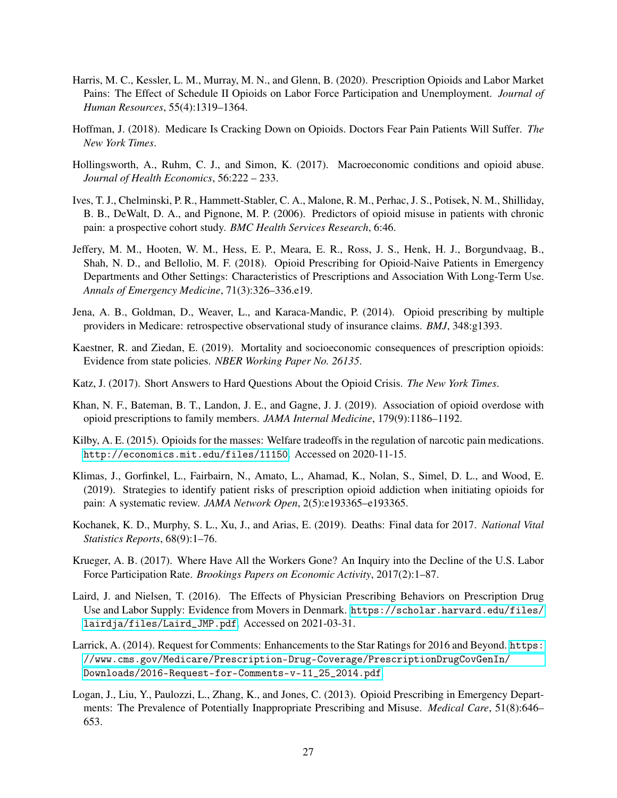- <span id="page-27-10"></span>Harris, M. C., Kessler, L. M., Murray, M. N., and Glenn, B. (2020). Prescription Opioids and Labor Market Pains: The Effect of Schedule II Opioids on Labor Force Participation and Unemployment. *Journal of Human Resources*, 55(4):1319–1364.
- <span id="page-27-15"></span>Hoffman, J. (2018). Medicare Is Cracking Down on Opioids. Doctors Fear Pain Patients Will Suffer. *The New York Times*.
- <span id="page-27-7"></span>Hollingsworth, A., Ruhm, C. J., and Simon, K. (2017). Macroeconomic conditions and opioid abuse. *Journal of Health Economics*, 56:222 – 233.
- <span id="page-27-1"></span>Ives, T. J., Chelminski, P. R., Hammett-Stabler, C. A., Malone, R. M., Perhac, J. S., Potisek, N. M., Shilliday, B. B., DeWalt, D. A., and Pignone, M. P. (2006). Predictors of opioid misuse in patients with chronic pain: a prospective cohort study. *BMC Health Services Research*, 6:46.
- <span id="page-27-14"></span>Jeffery, M. M., Hooten, W. M., Hess, E. P., Meara, E. R., Ross, J. S., Henk, H. J., Borgundvaag, B., Shah, N. D., and Bellolio, M. F. (2018). Opioid Prescribing for Opioid-Naive Patients in Emergency Departments and Other Settings: Characteristics of Prescriptions and Association With Long-Term Use. *Annals of Emergency Medicine*, 71(3):326–336.e19.
- <span id="page-27-12"></span>Jena, A. B., Goldman, D., Weaver, L., and Karaca-Mandic, P. (2014). Opioid prescribing by multiple providers in Medicare: retrospective observational study of insurance claims. *BMJ*, 348:g1393.
- <span id="page-27-3"></span>Kaestner, R. and Ziedan, E. (2019). Mortality and socioeconomic consequences of prescription opioids: Evidence from state policies. *NBER Working Paper No. 26135*.
- <span id="page-27-5"></span>Katz, J. (2017). Short Answers to Hard Questions About the Opioid Crisis. *The New York Times*.
- <span id="page-27-4"></span>Khan, N. F., Bateman, B. T., Landon, J. E., and Gagne, J. J. (2019). Association of opioid overdose with opioid prescriptions to family members. *JAMA Internal Medicine*, 179(9):1186–1192.
- <span id="page-27-2"></span>Kilby, A. E. (2015). Opioids for the masses: Welfare tradeoffs in the regulation of narcotic pain medications. <http://economics.mit.edu/files/11150>. Accessed on 2020-11-15.
- <span id="page-27-13"></span>Klimas, J., Gorfinkel, L., Fairbairn, N., Amato, L., Ahamad, K., Nolan, S., Simel, D. L., and Wood, E. (2019). Strategies to identify patient risks of prescription opioid addiction when initiating opioids for pain: A systematic review. *JAMA Network Open*, 2(5):e193365–e193365.
- <span id="page-27-0"></span>Kochanek, K. D., Murphy, S. L., Xu, J., and Arias, E. (2019). Deaths: Final data for 2017. *National Vital Statistics Reports*, 68(9):1–76.
- <span id="page-27-9"></span>Krueger, A. B. (2017). Where Have All the Workers Gone? An Inquiry into the Decline of the U.S. Labor Force Participation Rate. *Brookings Papers on Economic Activity*, 2017(2):1–87.
- <span id="page-27-8"></span>Laird, J. and Nielsen, T. (2016). The Effects of Physician Prescribing Behaviors on Prescription Drug Use and Labor Supply: Evidence from Movers in Denmark. [https://scholar.harvard.edu/files/](https://scholar.harvard.edu/files/lairdja/files/Laird_JMP.pdf) [lairdja/files/Laird\\_JMP.pdf](https://scholar.harvard.edu/files/lairdja/files/Laird_JMP.pdf). Accessed on 2021-03-31.
- <span id="page-27-6"></span>Larrick, A. (2014). Request for Comments: Enhancements to the Star Ratings for 2016 and Beyond. [https:](https://www.cms.gov/Medicare/Prescription-Drug-Coverage/PrescriptionDrugCovGenIn/Downloads/2016-Request-for-Comments-v-11_25_2014.pdf) [//www.cms.gov/Medicare/Prescription-Drug-Coverage/PrescriptionDrugCovGenIn/](https://www.cms.gov/Medicare/Prescription-Drug-Coverage/PrescriptionDrugCovGenIn/Downloads/2016-Request-for-Comments-v-11_25_2014.pdf) [Downloads/2016-Request-for-Comments-v-11\\_25\\_2014.pdf](https://www.cms.gov/Medicare/Prescription-Drug-Coverage/PrescriptionDrugCovGenIn/Downloads/2016-Request-for-Comments-v-11_25_2014.pdf).
- <span id="page-27-11"></span>Logan, J., Liu, Y., Paulozzi, L., Zhang, K., and Jones, C. (2013). Opioid Prescribing in Emergency Departments: The Prevalence of Potentially Inappropriate Prescribing and Misuse. *Medical Care*, 51(8):646– 653.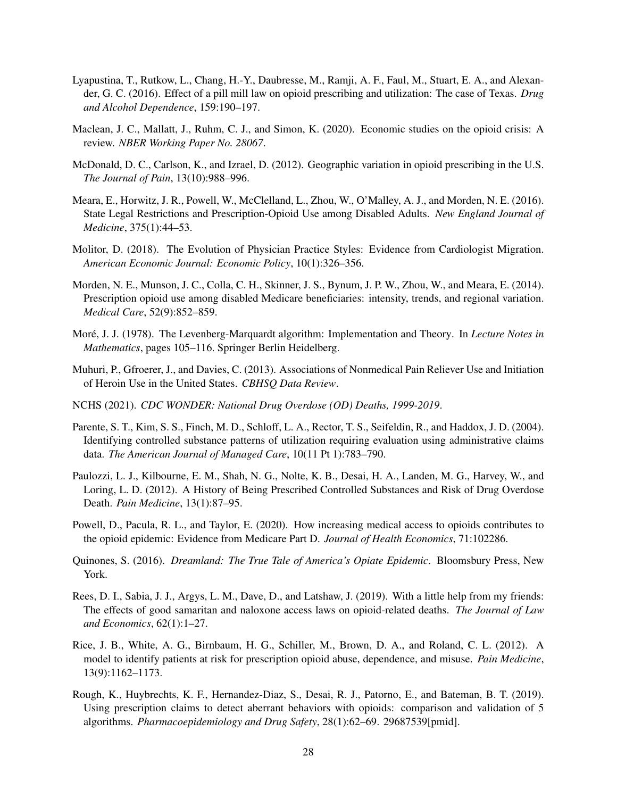- <span id="page-28-3"></span>Lyapustina, T., Rutkow, L., Chang, H.-Y., Daubresse, M., Ramji, A. F., Faul, M., Stuart, E. A., and Alexander, G. C. (2016). Effect of a pill mill law on opioid prescribing and utilization: The case of Texas. *Drug and Alcohol Dependence*, 159:190–197.
- <span id="page-28-2"></span>Maclean, J. C., Mallatt, J., Ruhm, C. J., and Simon, K. (2020). Economic studies on the opioid crisis: A review. *NBER Working Paper No. 28067*.
- <span id="page-28-7"></span>McDonald, D. C., Carlson, K., and Izrael, D. (2012). Geographic variation in opioid prescribing in the U.S. *The Journal of Pain*, 13(10):988–996.
- <span id="page-28-5"></span>Meara, E., Horwitz, J. R., Powell, W., McClelland, L., Zhou, W., O'Malley, A. J., and Morden, N. E. (2016). State Legal Restrictions and Prescription-Opioid Use among Disabled Adults. *New England Journal of Medicine*, 375(1):44–53.
- <span id="page-28-9"></span>Molitor, D. (2018). The Evolution of Physician Practice Styles: Evidence from Cardiologist Migration. *American Economic Journal: Economic Policy*, 10(1):326–356.
- <span id="page-28-8"></span>Morden, N. E., Munson, J. C., Colla, C. H., Skinner, J. S., Bynum, J. P. W., Zhou, W., and Meara, E. (2014). Prescription opioid use among disabled Medicare beneficiaries: intensity, trends, and regional variation. *Medical Care*, 52(9):852–859.
- <span id="page-28-15"></span>Moré, J. J. (1978). The Levenberg-Marquardt algorithm: Implementation and Theory. In *Lecture Notes in Mathematics*, pages 105–116. Springer Berlin Heidelberg.
- <span id="page-28-14"></span>Muhuri, P., Gfroerer, J., and Davies, C. (2013). Associations of Nonmedical Pain Reliever Use and Initiation of Heroin Use in the United States. *CBHSQ Data Review*.
- <span id="page-28-0"></span>NCHS (2021). *CDC WONDER: National Drug Overdose (OD) Deaths, 1999-2019*.
- <span id="page-28-10"></span>Parente, S. T., Kim, S. S., Finch, M. D., Schloff, L. A., Rector, T. S., Seifeldin, R., and Haddox, J. D. (2004). Identifying controlled substance patterns of utilization requiring evaluation using administrative claims data. *The American Journal of Managed Care*, 10(11 Pt 1):783–790.
- <span id="page-28-13"></span>Paulozzi, L. J., Kilbourne, E. M., Shah, N. G., Nolte, K. B., Desai, H. A., Landen, M. G., Harvey, W., and Loring, L. D. (2012). A History of Being Prescribed Controlled Substances and Risk of Drug Overdose Death. *Pain Medicine*, 13(1):87–95.
- <span id="page-28-6"></span>Powell, D., Pacula, R. L., and Taylor, E. (2020). How increasing medical access to opioids contributes to the opioid epidemic: Evidence from Medicare Part D. *Journal of Health Economics*, 71:102286.
- <span id="page-28-1"></span>Quinones, S. (2016). *Dreamland: The True Tale of America's Opiate Epidemic*. Bloomsbury Press, New York.
- <span id="page-28-4"></span>Rees, D. I., Sabia, J. J., Argys, L. M., Dave, D., and Latshaw, J. (2019). With a little help from my friends: The effects of good samaritan and naloxone access laws on opioid-related deaths. *The Journal of Law and Economics*, 62(1):1–27.
- <span id="page-28-11"></span>Rice, J. B., White, A. G., Birnbaum, H. G., Schiller, M., Brown, D. A., and Roland, C. L. (2012). A model to identify patients at risk for prescription opioid abuse, dependence, and misuse. *Pain Medicine*, 13(9):1162–1173.
- <span id="page-28-12"></span>Rough, K., Huybrechts, K. F., Hernandez-Diaz, S., Desai, R. J., Patorno, E., and Bateman, B. T. (2019). Using prescription claims to detect aberrant behaviors with opioids: comparison and validation of 5 algorithms. *Pharmacoepidemiology and Drug Safety*, 28(1):62–69. 29687539[pmid].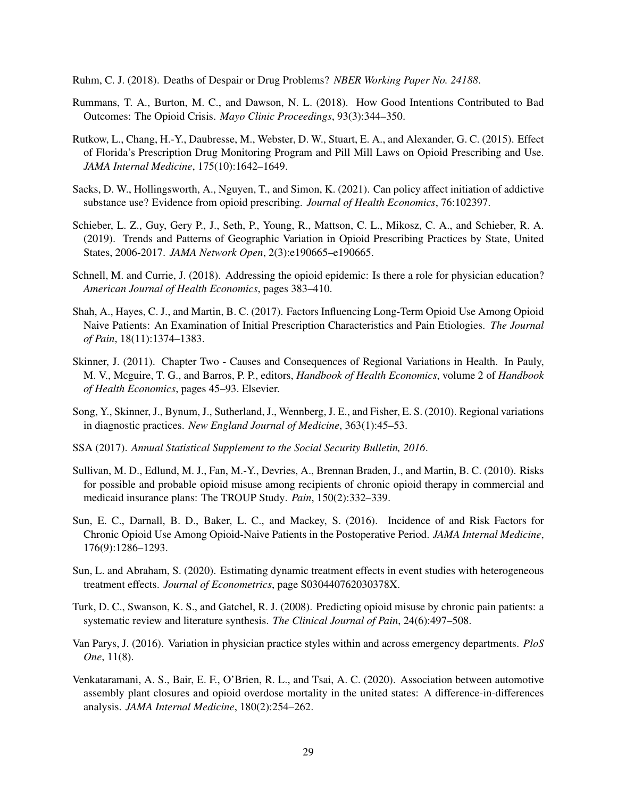<span id="page-29-7"></span>Ruhm, C. J. (2018). Deaths of Despair or Drug Problems? *NBER Working Paper No. 24188*.

- <span id="page-29-14"></span>Rummans, T. A., Burton, M. C., and Dawson, N. L. (2018). How Good Intentions Contributed to Bad Outcomes: The Opioid Crisis. *Mayo Clinic Proceedings*, 93(3):344–350.
- <span id="page-29-2"></span>Rutkow, L., Chang, H.-Y., Daubresse, M., Webster, D. W., Stuart, E. A., and Alexander, G. C. (2015). Effect of Florida's Prescription Drug Monitoring Program and Pill Mill Laws on Opioid Prescribing and Use. *JAMA Internal Medicine*, 175(10):1642–1649.
- <span id="page-29-3"></span>Sacks, D. W., Hollingsworth, A., Nguyen, T., and Simon, K. (2021). Can policy affect initiation of addictive substance use? Evidence from opioid prescribing. *Journal of Health Economics*, 76:102397.
- <span id="page-29-4"></span>Schieber, L. Z., Guy, Gery P., J., Seth, P., Young, R., Mattson, C. L., Mikosz, C. A., and Schieber, R. A. (2019). Trends and Patterns of Geographic Variation in Opioid Prescribing Practices by State, United States, 2006-2017. *JAMA Network Open*, 2(3):e190665–e190665.
- <span id="page-29-1"></span>Schnell, M. and Currie, J. (2018). Addressing the opioid epidemic: Is there a role for physician education? *American Journal of Health Economics*, pages 383–410.
- <span id="page-29-13"></span>Shah, A., Hayes, C. J., and Martin, B. C. (2017). Factors Influencing Long-Term Opioid Use Among Opioid Naive Patients: An Examination of Initial Prescription Characteristics and Pain Etiologies. *The Journal of Pain*, 18(11):1374–1383.
- <span id="page-29-9"></span>Skinner, J. (2011). Chapter Two - Causes and Consequences of Regional Variations in Health. In Pauly, M. V., Mcguire, T. G., and Barros, P. P., editors, *Handbook of Health Economics*, volume 2 of *Handbook of Health Economics*, pages 45–93. Elsevier.
- <span id="page-29-8"></span>Song, Y., Skinner, J., Bynum, J., Sutherland, J., Wennberg, J. E., and Fisher, E. S. (2010). Regional variations in diagnostic practices. *New England Journal of Medicine*, 363(1):45–53.
- <span id="page-29-5"></span>SSA (2017). *Annual Statistical Supplement to the Social Security Bulletin, 2016*.
- <span id="page-29-0"></span>Sullivan, M. D., Edlund, M. J., Fan, M.-Y., Devries, A., Brennan Braden, J., and Martin, B. C. (2010). Risks for possible and probable opioid misuse among recipients of chronic opioid therapy in commercial and medicaid insurance plans: The TROUP Study. *Pain*, 150(2):332–339.
- <span id="page-29-11"></span>Sun, E. C., Darnall, B. D., Baker, L. C., and Mackey, S. (2016). Incidence of and Risk Factors for Chronic Opioid Use Among Opioid-Naive Patients in the Postoperative Period. *JAMA Internal Medicine*, 176(9):1286–1293.
- <span id="page-29-12"></span>Sun, L. and Abraham, S. (2020). Estimating dynamic treatment effects in event studies with heterogeneous treatment effects. *Journal of Econometrics*, page S030440762030378X.
- <span id="page-29-10"></span>Turk, D. C., Swanson, K. S., and Gatchel, R. J. (2008). Predicting opioid misuse by chronic pain patients: a systematic review and literature synthesis. *The Clinical Journal of Pain*, 24(6):497–508.
- <span id="page-29-15"></span>Van Parys, J. (2016). Variation in physician practice styles within and across emergency departments. *PloS One*, 11(8).
- <span id="page-29-6"></span>Venkataramani, A. S., Bair, E. F., O'Brien, R. L., and Tsai, A. C. (2020). Association between automotive assembly plant closures and opioid overdose mortality in the united states: A difference-in-differences analysis. *JAMA Internal Medicine*, 180(2):254–262.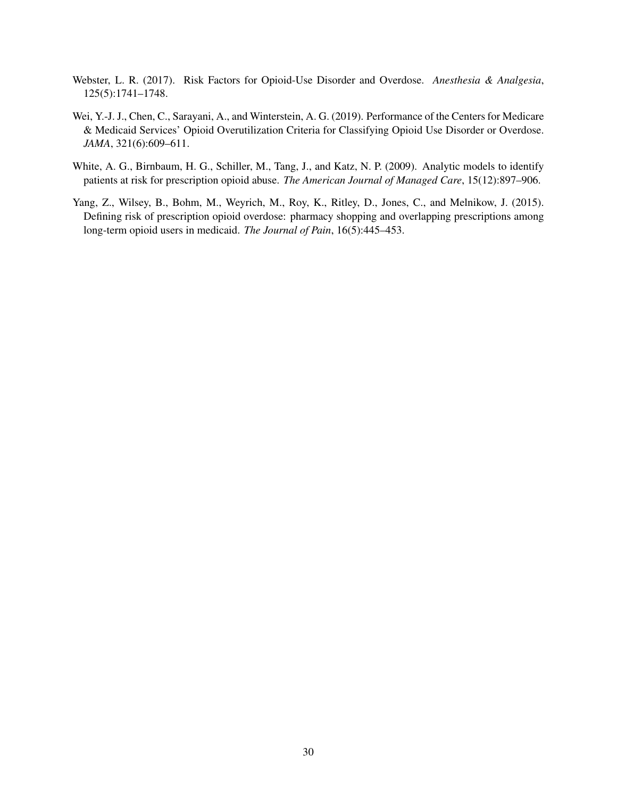- <span id="page-30-0"></span>Webster, L. R. (2017). Risk Factors for Opioid-Use Disorder and Overdose. *Anesthesia & Analgesia*, 125(5):1741–1748.
- <span id="page-30-2"></span>Wei, Y.-J. J., Chen, C., Sarayani, A., and Winterstein, A. G. (2019). Performance of the Centers for Medicare & Medicaid Services' Opioid Overutilization Criteria for Classifying Opioid Use Disorder or Overdose. *JAMA*, 321(6):609–611.
- <span id="page-30-1"></span>White, A. G., Birnbaum, H. G., Schiller, M., Tang, J., and Katz, N. P. (2009). Analytic models to identify patients at risk for prescription opioid abuse. *The American Journal of Managed Care*, 15(12):897–906.
- <span id="page-30-3"></span>Yang, Z., Wilsey, B., Bohm, M., Weyrich, M., Roy, K., Ritley, D., Jones, C., and Melnikow, J. (2015). Defining risk of prescription opioid overdose: pharmacy shopping and overlapping prescriptions among long-term opioid users in medicaid. *The Journal of Pain*, 16(5):445–453.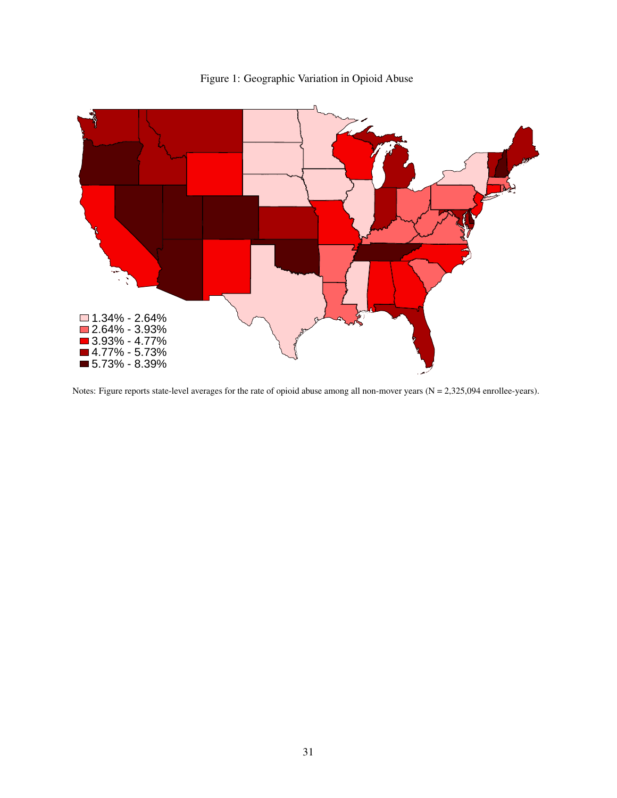<span id="page-31-0"></span>

Figure 1: Geographic Variation in Opioid Abuse

Notes: Figure reports state-level averages for the rate of opioid abuse among all non-mover years (N = 2,325,094 enrollee-years).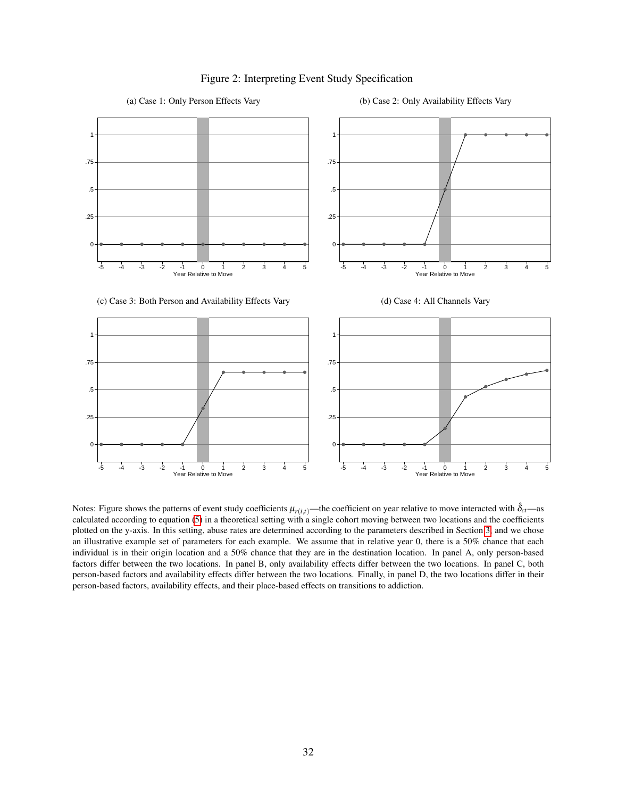<span id="page-32-0"></span>

### Figure 2: Interpreting Event Study Specification

Notes: Figure shows the patterns of event study coefficients  $\mu_{r(i,t)}$ —the coefficient on year relative to move interacted with  $\delta_{ct}$ —as calculated according to equation [\(5\)](#page-13-0) in a theoretical setting with a single cohort moving between two locations and the coefficients plotted on the y-axis. In this setting, abuse rates are determined according to the parameters described in Section [3,](#page-9-0) and we chose an illustrative example set of parameters for each example. We assume that in relative year 0, there is a 50% chance that each individual is in their origin location and a 50% chance that they are in the destination location. In panel A, only person-based factors differ between the two locations. In panel B, only availability effects differ between the two locations. In panel C, both person-based factors and availability effects differ between the two locations. Finally, in panel D, the two locations differ in their person-based factors, availability effects, and their place-based effects on transitions to addiction.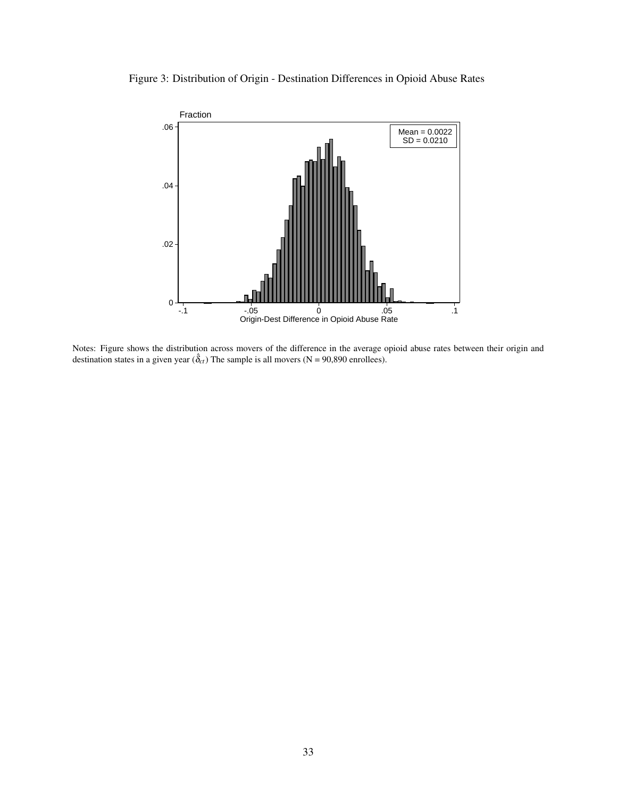<span id="page-33-0"></span>



Notes: Figure shows the distribution across movers of the difference in the average opioid abuse rates between their origin and destination states in a given year  $(\hat{\delta}_{ct})$  The sample is all movers (N = 90,890 enrollees).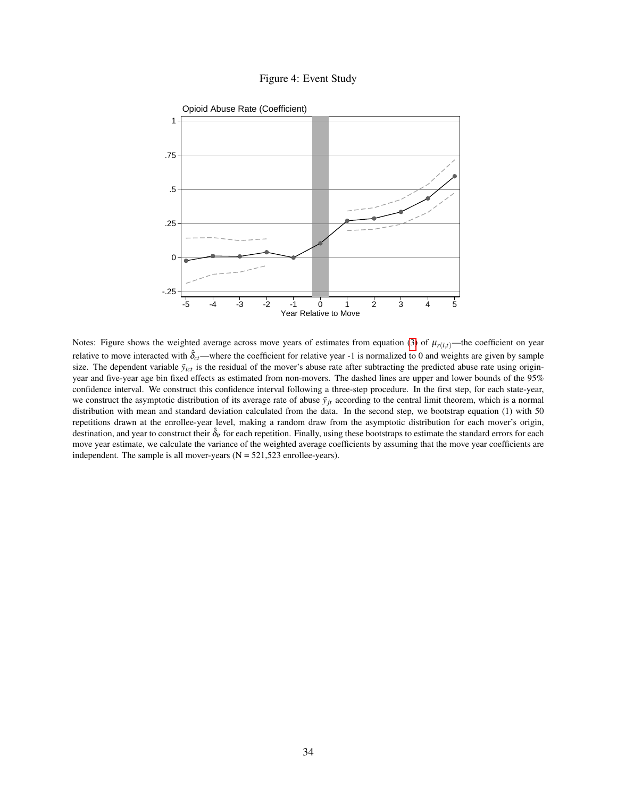

<span id="page-34-0"></span>

Notes: Figure shows the weighted average across move years of estimates from equation [\(3\)](#page-12-0) of  $\mu_{r(i,t)}$ —the coefficient on year relative to move interacted with  $\hat{\delta}_{ct}$ —where the coefficient for relative year -1 is normalized to 0 and weights are given by sample size. The dependent variable  $\tilde{y}_{ict}$  is the residual of the mover's abuse rate after subtracting the predicted abuse rate using originyear and five-year age bin fixed effects as estimated from non-movers. The dashed lines are upper and lower bounds of the 95% confidence interval. We construct this confidence interval following a three-step procedure. In the first step, for each state-year, we construct the asymptotic distribution of its average rate of abuse  $\bar{y}_{it}$  according to the central limit theorem, which is a normal distribution with mean and standard deviation calculated from the data. In the second step, we bootstrap equation (1) with 50 repetitions drawn at the enrollee-year level, making a random draw from the asymptotic distribution for each mover's origin, destination, and year to construct their  $\hat{\delta}_{it}$  for each repetition. Finally, using these bootstraps to estimate the standard errors for each move year estimate, we calculate the variance of the weighted average coefficients by assuming that the move year coefficients are independent. The sample is all mover-years  $(N = 521,523$  enrollee-years).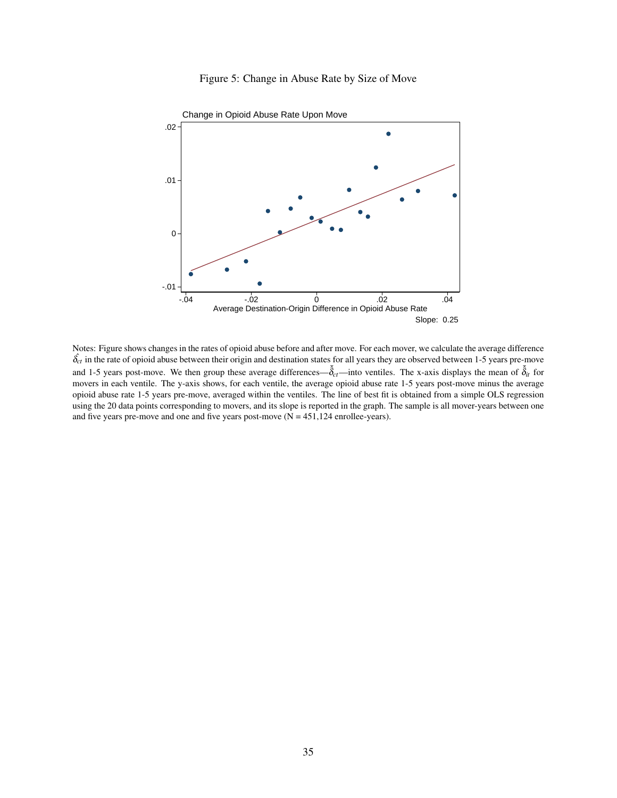

<span id="page-35-0"></span>

Notes: Figure shows changes in the rates of opioid abuse before and after move. For each mover, we calculate the average difference  $\hat{\delta}_{ct}$  in the rate of opioid abuse between their origin and destination states for all years they are observed between 1-5 years pre-move and 1-5 years post-move. We then group these average differences— $\bar{\delta}_{ct}$ —into ventiles. The x-axis displays the mean of  $\bar{\delta}_{it}$  for movers in each ventile. The y-axis shows, for each ventile, the average opioid abuse rate 1-5 years post-move minus the average opioid abuse rate 1-5 years pre-move, averaged within the ventiles. The line of best fit is obtained from a simple OLS regression using the 20 data points corresponding to movers, and its slope is reported in the graph. The sample is all mover-years between one and five years pre-move and one and five years post-move  $(N = 451, 124$  enrollee-years).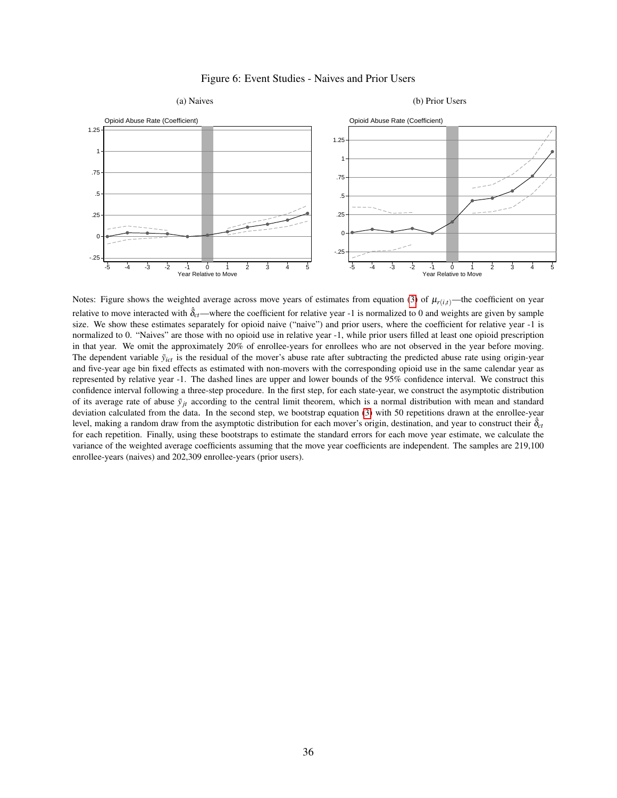<span id="page-36-0"></span>

### Figure 6: Event Studies - Naives and Prior Users

Notes: Figure shows the weighted average across move years of estimates from equation [\(3\)](#page-12-0) of  $\mu_{r(i,t)}$ —the coefficient on year relative to move interacted with  $\hat{\delta}_{ct}$ —where the coefficient for relative year -1 is normalized to 0 and weights are given by sample size. We show these estimates separately for opioid naive ("naive") and prior users, where the coefficient for relative year -1 is normalized to 0. "Naives" are those with no opioid use in relative year -1, while prior users filled at least one opioid prescription in that year. We omit the approximately 20% of enrollee-years for enrollees who are not observed in the year before moving. The dependent variable  $\tilde{y}_{ict}$  is the residual of the mover's abuse rate after subtracting the predicted abuse rate using origin-year and five-year age bin fixed effects as estimated with non-movers with the corresponding opioid use in the same calendar year as represented by relative year -1. The dashed lines are upper and lower bounds of the 95% confidence interval. We construct this confidence interval following a three-step procedure. In the first step, for each state-year, we construct the asymptotic distribution of its average rate of abuse  $\bar{y}_{it}$  according to the central limit theorem, which is a normal distribution with mean and standard deviation calculated from the data. In the second step, we bootstrap equation [\(3\)](#page-12-0) with 50 repetitions drawn at the enrollee-year level, making a random draw from the asymptotic distribution for each mover's origin, destination, and year to construct their  $\hat{\delta}_{ct}$ for each repetition. Finally, using these bootstraps to estimate the standard errors for each move year estimate, we calculate the variance of the weighted average coefficients assuming that the move year coefficients are independent. The samples are 219,100 enrollee-years (naives) and 202,309 enrollee-years (prior users).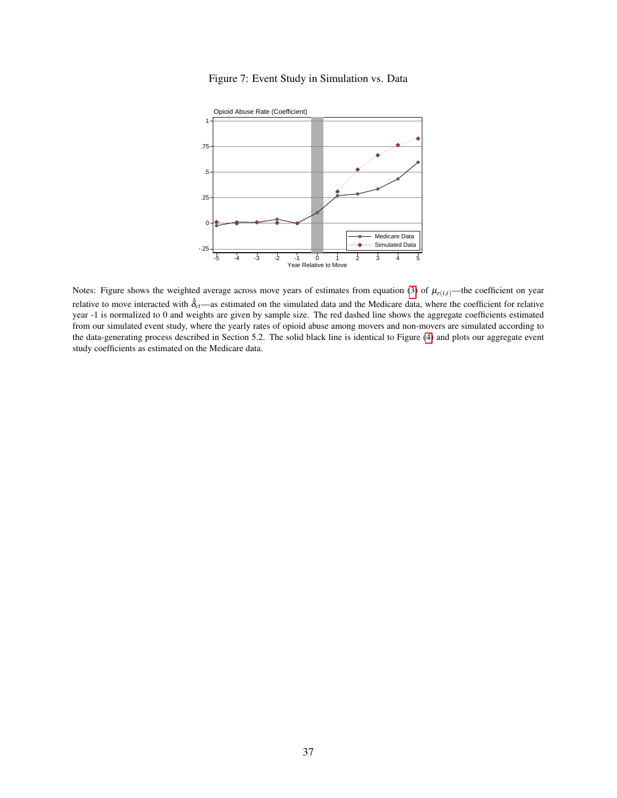<span id="page-37-0"></span>

Figure 7: Event Study in Simulation vs. Data

Notes: Figure shows the weighted average across move years of estimates from equation [\(3\)](#page-12-0) of  $\mu_{r(i,t)}$ —the coefficient on year relative to move interacted with  $\hat{\delta}_{ct}$ —as estimated on the simulated data and the Medicare data, where the coefficient for relative year -1 is normalized to 0 and weights are given by sample size. The red dashed line shows the aggregate coefficients estimated from our simulated event study, where the yearly rates of opioid abuse among movers and non-movers are simulated according to the data-generating process described in Section 5.2. The solid black line is identical to Figure [\(4\)](#page-34-0) and plots our aggregate event study coefficients as estimated on the Medicare data.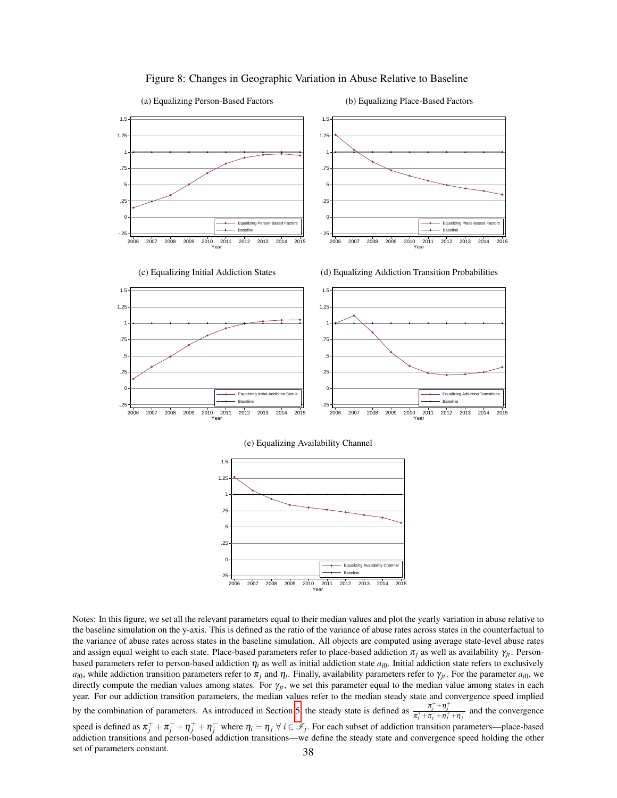<span id="page-38-0"></span>

#### Figure 8: Changes in Geographic Variation in Abuse Relative to Baseline

Notes: In this figure, we set all the relevant parameters equal to their median values and plot the yearly variation in abuse relative to the baseline simulation on the y-axis. This is defined as the ratio of the variance of abuse rates across states in the counterfactual to the variance of abuse rates across states in the baseline simulation. All objects are computed using average state-level abuse rates and assign equal weight to each state. Place-based parameters refer to place-based addiction  $\pi_j$  as well as availability  $\gamma_i$ . Personbased parameters refer to person-based addiction  $\eta_i$  as well as initial addiction state *a<sub>i</sub>*0. Initial addiction state refers to exclusively  $a_{i0}$ , while addiction transition parameters refer to  $\pi_j$  and  $\eta_i$ . Finally, availability parameters refer to  $\gamma_{jt}$ . For the parameter  $a_{i0}$ , we directly compute the median values among states. For  $\gamma_{it}$ , we set this parameter equal to the median value among states in each year. For our addiction transition parameters, the median values refer to the median steady state and convergence speed implied by the combination of parameters. As introduced in Section [5,](#page-18-0) the steady state is defined as  $\frac{\pi_j^+ + \eta_j^+}{\pi_j^+ + \eta_j^-}$  and the convergence speed is defined as  $\pi_j^+ + \pi_j^- + \eta_j^+ + \eta_j^-$  where  $\eta_i = \eta_j \forall i \in \mathscr{I}_j$ . For each subset of addiction transition parameters—place-based addiction transitions and person-based addiction transitions—we define the steady state and convergence speed holding the other set of parameters constant. 38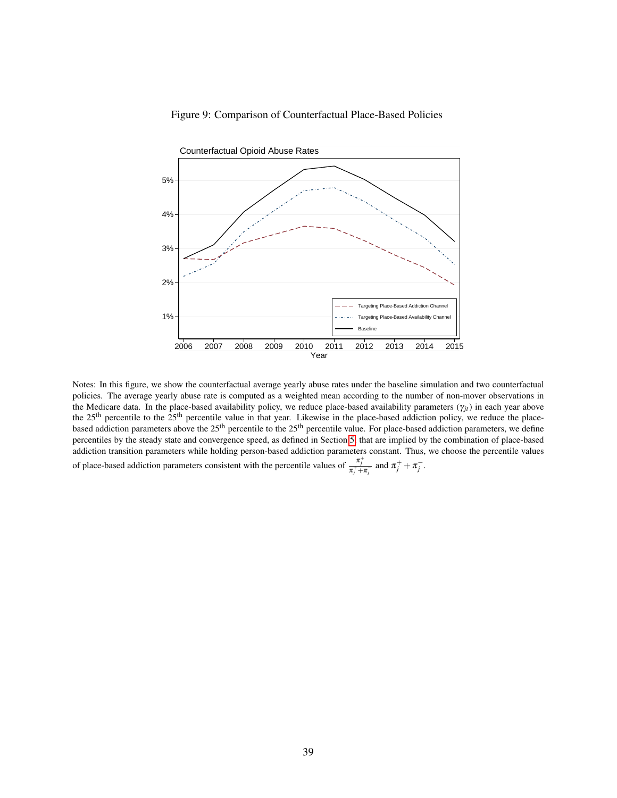

<span id="page-39-0"></span>

Notes: In this figure, we show the counterfactual average yearly abuse rates under the baseline simulation and two counterfactual policies. The average yearly abuse rate is computed as a weighted mean according to the number of non-mover observations in the Medicare data. In the place-based availability policy, we reduce place-based availability parameters  $(\gamma_{it})$  in each year above the 25<sup>th</sup> percentile to the 25<sup>th</sup> percentile value in that year. Likewise in the place-based addiction policy, we reduce the placebased addiction parameters above the 25<sup>th</sup> percentile to the 25<sup>th</sup> percentile value. For place-based addiction parameters, we define percentiles by the steady state and convergence speed, as defined in Section [5,](#page-18-0) that are implied by the combination of place-based addiction transition parameters while holding person-based addiction parameters constant. Thus, we choose the percentile values of place-based addiction parameters consistent with the percentile values of  $\frac{\pi_j^+}{\pi_j^+ + \pi_j^-}$  and  $\pi_j^+ + \pi_j^-$ .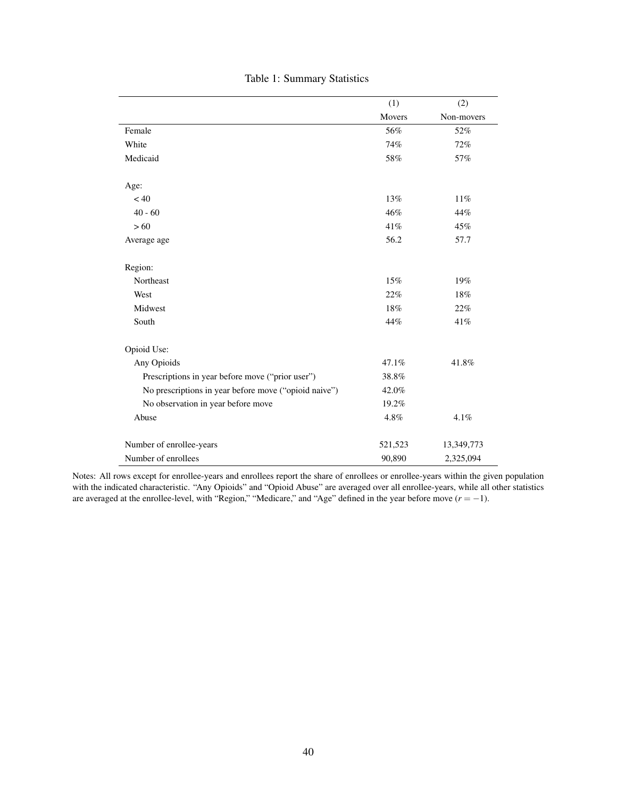<span id="page-40-0"></span>

|                                                       | (1)     | (2)        |
|-------------------------------------------------------|---------|------------|
|                                                       | Movers  | Non-movers |
| Female                                                | 56%     | 52%        |
| White                                                 | 74%     | 72%        |
| Medicaid                                              | 58%     | 57%        |
| Age:                                                  |         |            |
| < 40                                                  | 13%     | $11\%$     |
| $40 - 60$                                             | 46%     | 44%        |
| >60                                                   | 41%     | 45%        |
| Average age                                           | 56.2    | 57.7       |
| Region:                                               |         |            |
| Northeast                                             | 15%     | 19%        |
| West                                                  | 22%     | 18%        |
| Midwest                                               | 18%     | 22%        |
| South                                                 | 44%     | 41%        |
| Opioid Use:                                           |         |            |
| Any Opioids                                           | 47.1%   | 41.8%      |
| Prescriptions in year before move ("prior user")      | 38.8%   |            |
| No prescriptions in year before move ("opioid naive") | 42.0%   |            |
| No observation in year before move                    | 19.2%   |            |
| Abuse                                                 | 4.8%    | 4.1%       |
| Number of enrollee-years                              | 521,523 | 13,349,773 |
| Number of enrollees                                   | 90,890  | 2,325,094  |

# Table 1: Summary Statistics

Notes: All rows except for enrollee-years and enrollees report the share of enrollees or enrollee-years within the given population with the indicated characteristic. "Any Opioids" and "Opioid Abuse" are averaged over all enrollee-years, while all other statistics are averaged at the enrollee-level, with "Region," "Medicare," and "Age" defined in the year before move (*r* = −1).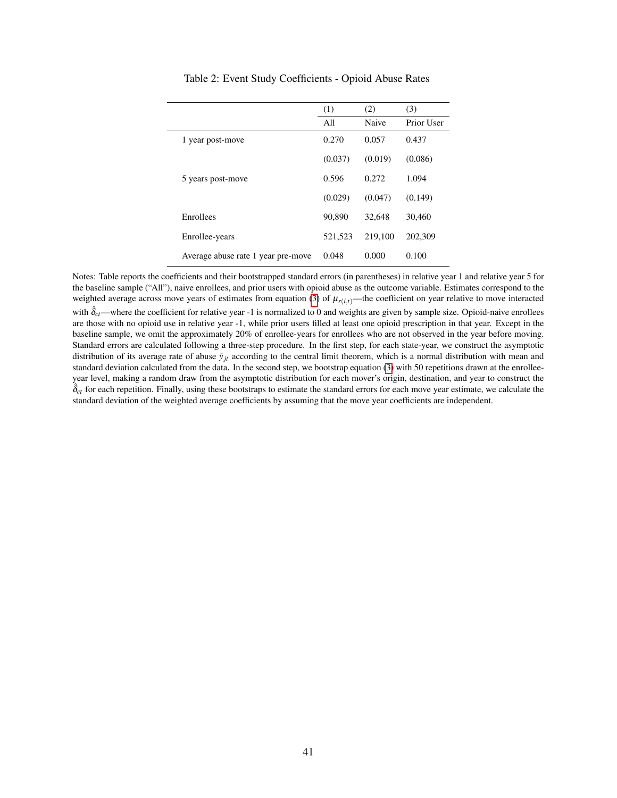<span id="page-41-0"></span>

|                                    | (1)     | (2)     | (3)        |
|------------------------------------|---------|---------|------------|
|                                    | All     | Naive   | Prior User |
| 1 year post-move                   | 0.270   | 0.057   | 0.437      |
|                                    | (0.037) | (0.019) | (0.086)    |
| 5 years post-move                  | 0.596   | 0.272   | 1.094      |
|                                    | (0.029) | (0.047) | (0.149)    |
| Enrollees                          | 90.890  | 32,648  | 30,460     |
| Enrollee-years                     | 521,523 | 219,100 | 202,309    |
| Average abuse rate 1 year pre-move | 0.048   | 0.000   | 0.100      |

Table 2: Event Study Coefficients - Opioid Abuse Rates

Notes: Table reports the coefficients and their bootstrapped standard errors (in parentheses) in relative year 1 and relative year 5 for the baseline sample ("All"), naive enrollees, and prior users with opioid abuse as the outcome variable. Estimates correspond to the weighted average across move years of estimates from equation [\(3\)](#page-12-0) of  $\mu_{r(i,t)}$ —the coefficient on year relative to move interacted with  $\hat{\delta}_{ct}$ —where the coefficient for relative year -1 is normalized to 0 and weights are given by sample size. Opioid-naive enrollees are those with no opioid use in relative year -1, while prior users filled at least one opioid prescription in that year. Except in the baseline sample, we omit the approximately 20% of enrollee-years for enrollees who are not observed in the year before moving. Standard errors are calculated following a three-step procedure. In the first step, for each state-year, we construct the asymptotic distribution of its average rate of abuse  $\bar{y}_{it}$  according to the central limit theorem, which is a normal distribution with mean and standard deviation calculated from the data. In the second step, we bootstrap equation [\(3\)](#page-12-0) with 50 repetitions drawn at the enrolleeyear level, making a random draw from the asymptotic distribution for each mover's origin, destination, and year to construct the  $\hat{\delta}_{ct}$  for each repetition. Finally, using these bootstraps to estimate the standard errors for each move year estimate, we calculate the standard deviation of the weighted average coefficients by assuming that the move year coefficients are independent.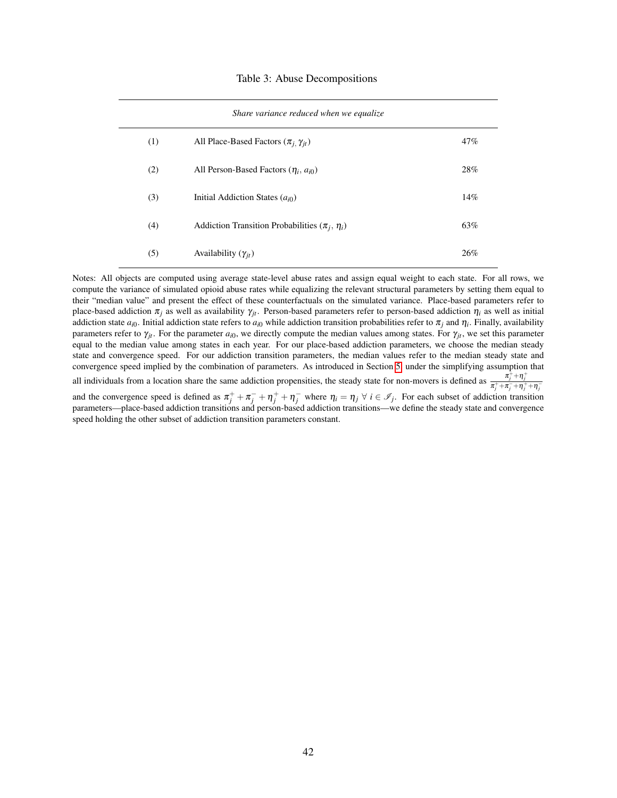#### Table 3: Abuse Decompositions

<span id="page-42-0"></span>

| Share variance reduced when we equalize |                                                      |     |  |
|-----------------------------------------|------------------------------------------------------|-----|--|
| (1)                                     | All Place-Based Factors $(\pi_i, \gamma_{it})$       | 47% |  |
| (2)                                     | All Person-Based Factors $(\eta_i, a_{i0})$          | 28% |  |
| (3)                                     | Initial Addiction States $(a_{i0})$                  | 14% |  |
| (4)                                     | Addiction Transition Probabilities $(\pi_i, \eta_i)$ | 63% |  |
| (5)                                     | Availability $(\gamma_{it})$                         | 26% |  |

Notes: All objects are computed using average state-level abuse rates and assign equal weight to each state. For all rows, we compute the variance of simulated opioid abuse rates while equalizing the relevant structural parameters by setting them equal to their "median value" and present the effect of these counterfactuals on the simulated variance. Place-based parameters refer to place-based addiction  $\pi_i$  as well as availability  $\gamma_i$ . Person-based parameters refer to person-based addiction  $\eta_i$  as well as initial addiction state  $a_{i0}$ . Initial addiction state refers to  $a_{i0}$  while addiction transition probabilities refer to  $\pi_j$  and  $\eta_i$ . Finally, availability parameters refer to  $\gamma_{it}$ . For the parameter  $a_{i0}$ , we directly compute the median values among states. For  $\gamma_{it}$ , we set this parameter equal to the median value among states in each year. For our place-based addiction parameters, we choose the median steady state and convergence speed. For our addiction transition parameters, the median values refer to the median steady state and convergence speed implied by the combination of parameters. As introduced in Section [5,](#page-18-0) under the simplifying assumption that all individuals from a location share the same addiction propensities, the steady state for non-movers is defined as  $\frac{\pi_j^+ + \eta_j^-}{\pi_j^+ + \pi_j^- + \eta_j^+ + \eta_j^-}$ and the convergence speed is defined as  $\pi_j^+ + \pi_j^- + \eta_j^+ + \eta_j^-$  where  $\eta_i = \eta_j \forall i \in \mathscr{I}_j$ . For each subset of addiction transition parameters—place-based addiction transitions and person-based addiction transitions—we define the steady state and convergence speed holding the other subset of addiction transition parameters constant.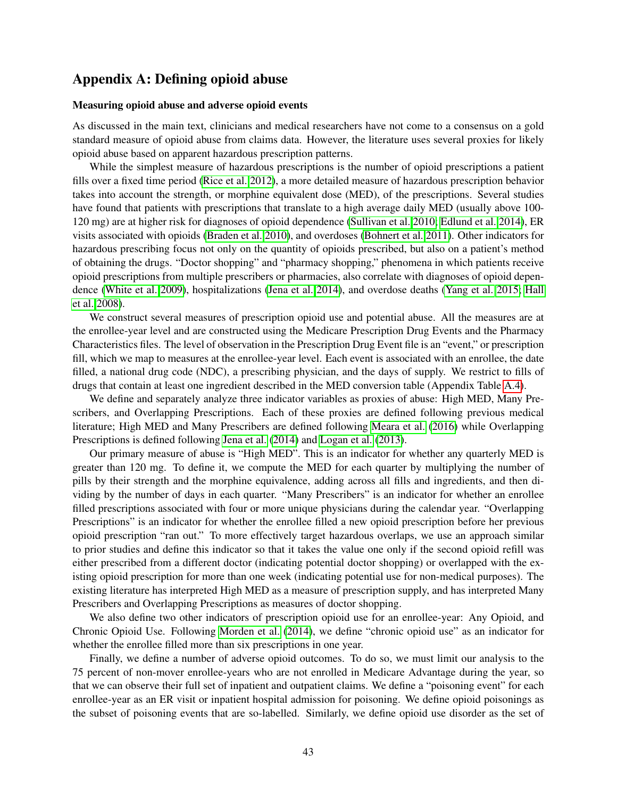# <span id="page-43-0"></span>Appendix A: Defining opioid abuse

### Measuring opioid abuse and adverse opioid events

As discussed in the main text, clinicians and medical researchers have not come to a consensus on a gold standard measure of opioid abuse from claims data. However, the literature uses several proxies for likely opioid abuse based on apparent hazardous prescription patterns.

While the simplest measure of hazardous prescriptions is the number of opioid prescriptions a patient fills over a fixed time period [\(Rice et al. 2012\)](#page-28-11), a more detailed measure of hazardous prescription behavior takes into account the strength, or morphine equivalent dose (MED), of the prescriptions. Several studies have found that patients with prescriptions that translate to a high average daily MED (usually above 100- 120 mg) are at higher risk for diagnoses of opioid dependence [\(Sullivan et al. 2010;](#page-29-0) [Edlund et al. 2014\)](#page-26-11), ER visits associated with opioids [\(Braden et al. 2010\)](#page-24-10), and overdoses [\(Bohnert et al. 2011\)](#page-24-11). Other indicators for hazardous prescribing focus not only on the quantity of opioids prescribed, but also on a patient's method of obtaining the drugs. "Doctor shopping" and "pharmacy shopping," phenomena in which patients receive opioid prescriptions from multiple prescribers or pharmacies, also correlate with diagnoses of opioid dependence [\(White et al. 2009\)](#page-30-1), hospitalizations [\(Jena et al. 2014\)](#page-27-12), and overdose deaths [\(Yang et al. 2015;](#page-30-3) [Hall](#page-26-7) [et al. 2008\)](#page-26-7).

We construct several measures of prescription opioid use and potential abuse. All the measures are at the enrollee-year level and are constructed using the Medicare Prescription Drug Events and the Pharmacy Characteristics files. The level of observation in the Prescription Drug Event file is an "event," or prescription fill, which we map to measures at the enrollee-year level. Each event is associated with an enrollee, the date filled, a national drug code (NDC), a prescribing physician, and the days of supply. We restrict to fills of drugs that contain at least one ingredient described in the MED conversion table (Appendix Table [A.4\)](#page-60-0).

We define and separately analyze three indicator variables as proxies of abuse: High MED, Many Prescribers, and Overlapping Prescriptions. Each of these proxies are defined following previous medical literature; High MED and Many Prescribers are defined following [Meara et al.](#page-28-5) [\(2016\)](#page-28-5) while Overlapping Prescriptions is defined following [Jena et al.](#page-27-12) [\(2014\)](#page-27-12) and [Logan et al.](#page-27-11) [\(2013\)](#page-27-11).

Our primary measure of abuse is "High MED". This is an indicator for whether any quarterly MED is greater than 120 mg. To define it, we compute the MED for each quarter by multiplying the number of pills by their strength and the morphine equivalence, adding across all fills and ingredients, and then dividing by the number of days in each quarter. "Many Prescribers" is an indicator for whether an enrollee filled prescriptions associated with four or more unique physicians during the calendar year. "Overlapping Prescriptions" is an indicator for whether the enrollee filled a new opioid prescription before her previous opioid prescription "ran out." To more effectively target hazardous overlaps, we use an approach similar to prior studies and define this indicator so that it takes the value one only if the second opioid refill was either prescribed from a different doctor (indicating potential doctor shopping) or overlapped with the existing opioid prescription for more than one week (indicating potential use for non-medical purposes). The existing literature has interpreted High MED as a measure of prescription supply, and has interpreted Many Prescribers and Overlapping Prescriptions as measures of doctor shopping.

We also define two other indicators of prescription opioid use for an enrollee-year: Any Opioid, and Chronic Opioid Use. Following [Morden et al.](#page-28-8) [\(2014\)](#page-28-8), we define "chronic opioid use" as an indicator for whether the enrollee filled more than six prescriptions in one year.

Finally, we define a number of adverse opioid outcomes. To do so, we must limit our analysis to the 75 percent of non-mover enrollee-years who are not enrolled in Medicare Advantage during the year, so that we can observe their full set of inpatient and outpatient claims. We define a "poisoning event" for each enrollee-year as an ER visit or inpatient hospital admission for poisoning. We define opioid poisonings as the subset of poisoning events that are so-labelled. Similarly, we define opioid use disorder as the set of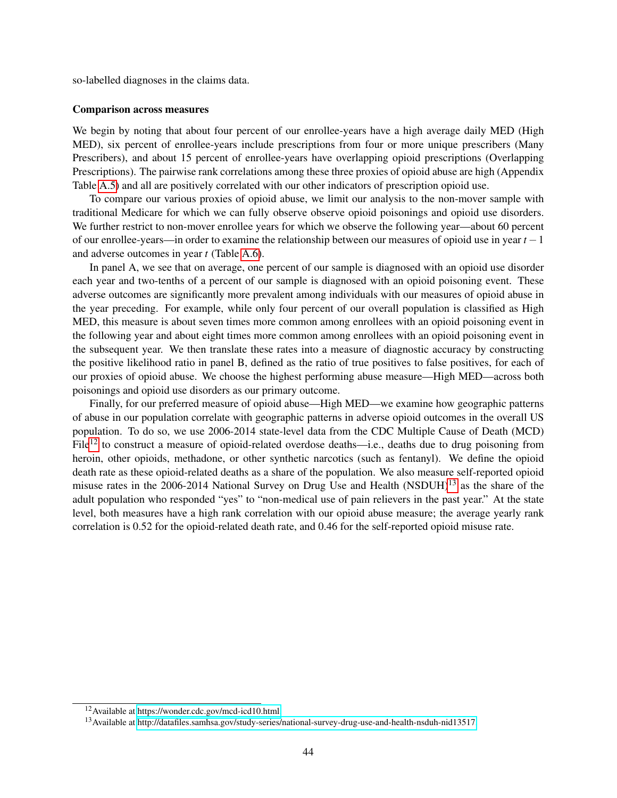so-labelled diagnoses in the claims data.

#### Comparison across measures

We begin by noting that about four percent of our enrollee-years have a high average daily MED (High MED), six percent of enrollee-years include prescriptions from four or more unique prescribers (Many Prescribers), and about 15 percent of enrollee-years have overlapping opioid prescriptions (Overlapping Prescriptions). The pairwise rank correlations among these three proxies of opioid abuse are high (Appendix Table [A.5\)](#page-60-1) and all are positively correlated with our other indicators of prescription opioid use.

To compare our various proxies of opioid abuse, we limit our analysis to the non-mover sample with traditional Medicare for which we can fully observe observe opioid poisonings and opioid use disorders. We further restrict to non-mover enrollee years for which we observe the following year—about 60 percent of our enrollee-years—in order to examine the relationship between our measures of opioid use in year *t* −1 and adverse outcomes in year *t* (Table [A.6\)](#page-61-0).

In panel A, we see that on average, one percent of our sample is diagnosed with an opioid use disorder each year and two-tenths of a percent of our sample is diagnosed with an opioid poisoning event. These adverse outcomes are significantly more prevalent among individuals with our measures of opioid abuse in the year preceding. For example, while only four percent of our overall population is classified as High MED, this measure is about seven times more common among enrollees with an opioid poisoning event in the following year and about eight times more common among enrollees with an opioid poisoning event in the subsequent year. We then translate these rates into a measure of diagnostic accuracy by constructing the positive likelihood ratio in panel B, defined as the ratio of true positives to false positives, for each of our proxies of opioid abuse. We choose the highest performing abuse measure—High MED—across both poisonings and opioid use disorders as our primary outcome.

Finally, for our preferred measure of opioid abuse—High MED—we examine how geographic patterns of abuse in our population correlate with geographic patterns in adverse opioid outcomes in the overall US population. To do so, we use 2006-2014 state-level data from the CDC Multiple Cause of Death (MCD)  $File<sup>12</sup>$  $File<sup>12</sup>$  $File<sup>12</sup>$  to construct a measure of opioid-related overdose deaths—i.e., deaths due to drug poisoning from heroin, other opioids, methadone, or other synthetic narcotics (such as fentanyl). We define the opioid death rate as these opioid-related deaths as a share of the population. We also measure self-reported opioid misuse rates in the 2006-2014 National Survey on Drug Use and Health (NSDUH)<sup>[13](#page-0-0)</sup> as the share of the adult population who responded "yes" to "non-medical use of pain relievers in the past year." At the state level, both measures have a high rank correlation with our opioid abuse measure; the average yearly rank correlation is 0.52 for the opioid-related death rate, and 0.46 for the self-reported opioid misuse rate.

<sup>12</sup>Available at [https://wonder.cdc.gov/mcd-icd10.html.](https://wonder.cdc.gov/mcd-icd10.html)

<sup>13</sup>Available at [http://datafiles.samhsa.gov/study-series/national-survey-drug-use-and-health-nsduh-nid13517.](http://datafiles.samhsa.gov/study-series/national-survey-drug-use-and-health-nsduh-nid13517)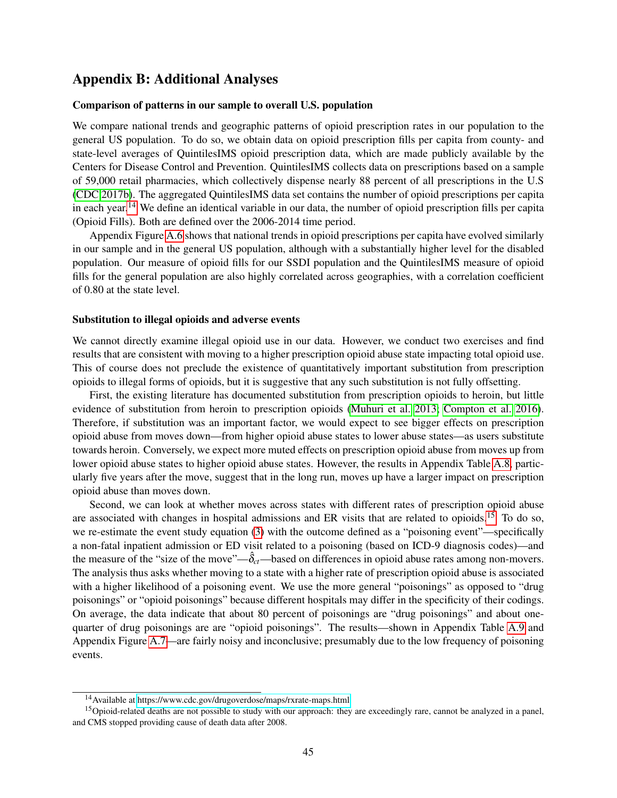# <span id="page-45-0"></span>Appendix B: Additional Analyses

### Comparison of patterns in our sample to overall U.S. population

We compare national trends and geographic patterns of opioid prescription rates in our population to the general US population. To do so, we obtain data on opioid prescription fills per capita from county- and state-level averages of QuintilesIMS opioid prescription data, which are made publicly available by the Centers for Disease Control and Prevention. QuintilesIMS collects data on prescriptions based on a sample of 59,000 retail pharmacies, which collectively dispense nearly 88 percent of all prescriptions in the U.S [\(CDC 2017b\)](#page-25-4). The aggregated QuintilesIMS data set contains the number of opioid prescriptions per capita in each year.[14](#page-0-0) We define an identical variable in our data, the number of opioid prescription fills per capita (Opioid Fills). Both are defined over the 2006-2014 time period.

Appendix Figure [A.6](#page-55-0) shows that national trends in opioid prescriptions per capita have evolved similarly in our sample and in the general US population, although with a substantially higher level for the disabled population. Our measure of opioid fills for our SSDI population and the QuintilesIMS measure of opioid fills for the general population are also highly correlated across geographies, with a correlation coefficient of 0.80 at the state level.

### Substitution to illegal opioids and adverse events

We cannot directly examine illegal opioid use in our data. However, we conduct two exercises and find results that are consistent with moving to a higher prescription opioid abuse state impacting total opioid use. This of course does not preclude the existence of quantitatively important substitution from prescription opioids to illegal forms of opioids, but it is suggestive that any such substitution is not fully offsetting.

First, the existing literature has documented substitution from prescription opioids to heroin, but little evidence of substitution from heroin to prescription opioids [\(Muhuri et al. 2013;](#page-28-14) [Compton et al. 2016\)](#page-25-17). Therefore, if substitution was an important factor, we would expect to see bigger effects on prescription opioid abuse from moves down—from higher opioid abuse states to lower abuse states—as users substitute towards heroin. Conversely, we expect more muted effects on prescription opioid abuse from moves up from lower opioid abuse states to higher opioid abuse states. However, the results in Appendix Table [A.8,](#page-63-0) particularly five years after the move, suggest that in the long run, moves up have a larger impact on prescription opioid abuse than moves down.

Second, we can look at whether moves across states with different rates of prescription opioid abuse are associated with changes in hospital admissions and ER visits that are related to opioids.<sup>[15](#page-0-0)</sup> To do so, we re-estimate the event study equation [\(3\)](#page-12-0) with the outcome defined as a "poisoning event"—specifically a non-fatal inpatient admission or ED visit related to a poisoning (based on ICD-9 diagnosis codes)—and the measure of the "size of the move"— $\hat{\delta}_{ct}$ —based on differences in opioid abuse rates among non-movers. The analysis thus asks whether moving to a state with a higher rate of prescription opioid abuse is associated with a higher likelihood of a poisoning event. We use the more general "poisonings" as opposed to "drug poisonings" or "opioid poisonings" because different hospitals may differ in the specificity of their codings. On average, the data indicate that about 80 percent of poisonings are "drug poisonings" and about onequarter of drug poisonings are are "opioid poisonings". The results—shown in Appendix Table [A.9](#page-64-0) and Appendix Figure [A.7—](#page-56-0)are fairly noisy and inconclusive; presumably due to the low frequency of poisoning events.

<sup>14</sup>Available at [https://www.cdc.gov/drugoverdose/maps/rxrate-maps.html.](https://www.cdc.gov/drugoverdose/maps/rxrate-maps.html)

<sup>&</sup>lt;sup>15</sup>Opioid-related deaths are not possible to study with our approach: they are exceedingly rare, cannot be analyzed in a panel, and CMS stopped providing cause of death data after 2008.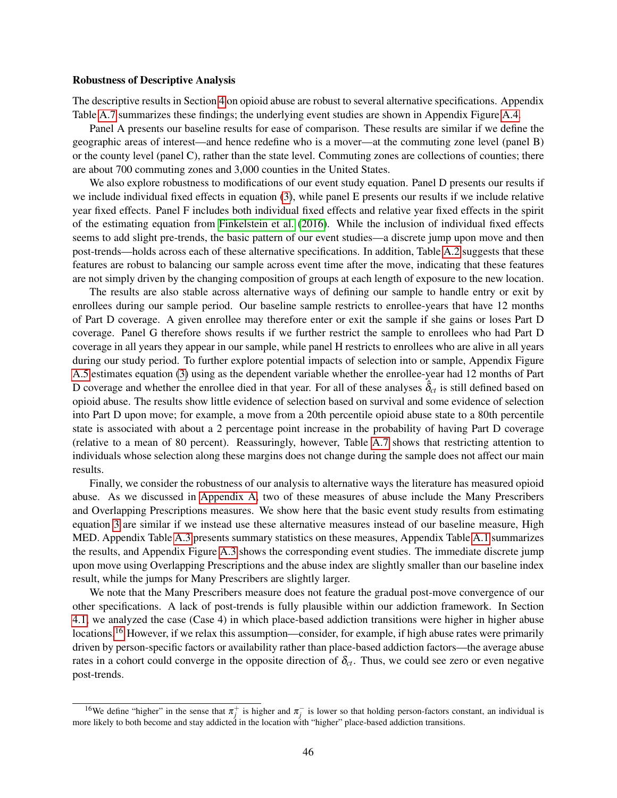### Robustness of Descriptive Analysis

The descriptive results in Section [4](#page-11-0) on opioid abuse are robust to several alternative specifications. Appendix Table [A.7](#page-62-0) summarizes these findings; the underlying event studies are shown in Appendix Figure [A.4.](#page-53-0)

Panel A presents our baseline results for ease of comparison. These results are similar if we define the geographic areas of interest—and hence redefine who is a mover—at the commuting zone level (panel B) or the county level (panel C), rather than the state level. Commuting zones are collections of counties; there are about 700 commuting zones and 3,000 counties in the United States.

We also explore robustness to modifications of our event study equation. Panel D presents our results if we include individual fixed effects in equation [\(3\)](#page-12-0), while panel E presents our results if we include relative year fixed effects. Panel F includes both individual fixed effects and relative year fixed effects in the spirit of the estimating equation from [Finkelstein et al.](#page-26-6) [\(2016\)](#page-26-6). While the inclusion of individual fixed effects seems to add slight pre-trends, the basic pattern of our event studies—a discrete jump upon move and then post-trends—holds across each of these alternative specifications. In addition, Table [A.2](#page-59-0) suggests that these features are robust to balancing our sample across event time after the move, indicating that these features are not simply driven by the changing composition of groups at each length of exposure to the new location.

The results are also stable across alternative ways of defining our sample to handle entry or exit by enrollees during our sample period. Our baseline sample restricts to enrollee-years that have 12 months of Part D coverage. A given enrollee may therefore enter or exit the sample if she gains or loses Part D coverage. Panel G therefore shows results if we further restrict the sample to enrollees who had Part D coverage in all years they appear in our sample, while panel H restricts to enrollees who are alive in all years during our study period. To further explore potential impacts of selection into or sample, Appendix Figure [A.5](#page-54-0) estimates equation [\(3\)](#page-12-0) using as the dependent variable whether the enrollee-year had 12 months of Part D coverage and whether the enrollee died in that year. For all of these analyses  $\hat{\delta}_{ct}$  is still defined based on opioid abuse. The results show little evidence of selection based on survival and some evidence of selection into Part D upon move; for example, a move from a 20th percentile opioid abuse state to a 80th percentile state is associated with about a 2 percentage point increase in the probability of having Part D coverage (relative to a mean of 80 percent). Reassuringly, however, Table [A.7](#page-62-0) shows that restricting attention to individuals whose selection along these margins does not change during the sample does not affect our main results.

Finally, we consider the robustness of our analysis to alternative ways the literature has measured opioid abuse. As we discussed in [Appendix A,](#page-43-0) two of these measures of abuse include the Many Prescribers and Overlapping Prescriptions measures. We show here that the basic event study results from estimating equation [3](#page-12-0) are similar if we instead use these alternative measures instead of our baseline measure, High MED. Appendix Table [A.3](#page-59-1) presents summary statistics on these measures, Appendix Table [A.1](#page-58-0) summarizes the results, and Appendix Figure [A.3](#page-52-0) shows the corresponding event studies. The immediate discrete jump upon move using Overlapping Prescriptions and the abuse index are slightly smaller than our baseline index result, while the jumps for Many Prescribers are slightly larger.

We note that the Many Prescribers measure does not feature the gradual post-move convergence of our other specifications. A lack of post-trends is fully plausible within our addiction framework. In Section [4.1,](#page-13-1) we analyzed the case (Case 4) in which place-based addiction transitions were higher in higher abuse locations.<sup>[16](#page-0-0)</sup> However, if we relax this assumption—consider, for example, if high abuse rates were primarily driven by person-specific factors or availability rather than place-based addiction factors—the average abuse rates in a cohort could converge in the opposite direction of  $\delta_{ct}$ . Thus, we could see zero or even negative post-trends.

<sup>&</sup>lt;sup>16</sup>We define "higher" in the sense that  $\pi_j^+$  is higher and  $\pi_j^-$  is lower so that holding person-factors constant, an individual is more likely to both become and stay addicted in the location with "higher" place-based addiction transitions.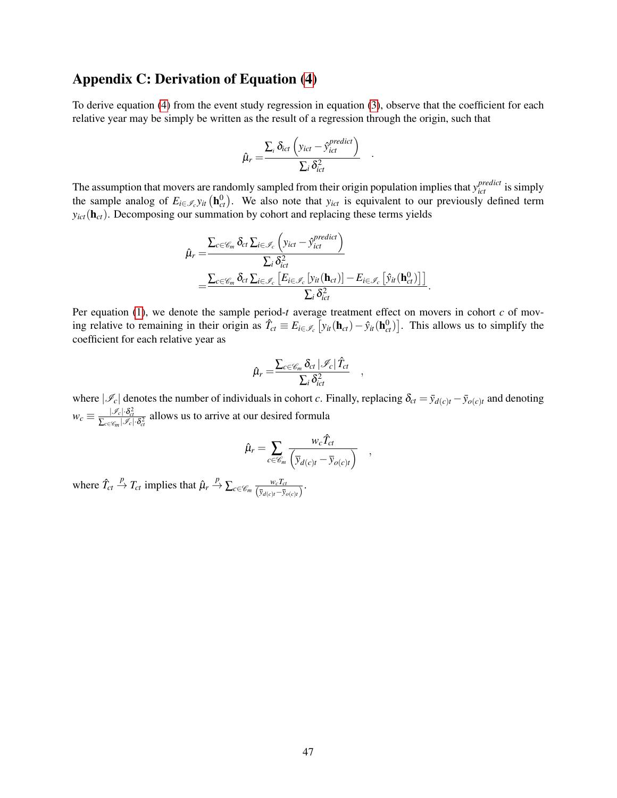# <span id="page-47-0"></span>Appendix C: Derivation of Equation [\(4\)](#page-13-2)

To derive equation [\(4\)](#page-13-2) from the event study regression in equation [\(3\)](#page-12-0), observe that the coefficient for each relative year may be simply be written as the result of a regression through the origin, such that

$$
\hat{\mu}_r = \frac{\sum_i \delta_{ict} \left( y_{ict} - \hat{y}_{ict}^{predict} \right)}{\sum_i \delta_{ict}^2} .
$$

The assumption that movers are randomly sampled from their origin population implies that  $y_{ict}^{predict}$  is simply the sample analog of  $E_{i \in \mathscr{I}_c}$  *y*<sub>*it*</sub> ( $\mathbf{h}_{ct}^0$ ). We also note that *y*<sub>*ict*</sub> is equivalent to our previously defined term  $y_{ict}(\mathbf{h}_{ct})$ . Decomposing our summation by cohort and replacing these terms yields

$$
\hat{\mu}_{r} = \frac{\sum_{c \in \mathscr{C}_{m}} \delta_{ct} \sum_{i \in \mathscr{I}_{c}} \left( y_{ict} - \hat{y}_{ict}^{predict} \right)}{\sum_{i} \delta_{ict}^{2}} \n= \frac{\sum_{c \in \mathscr{C}_{m}} \delta_{ct} \sum_{i \in \mathscr{I}_{c}} \left[ E_{i \in \mathscr{I}_{c}} \left[ y_{it} (\mathbf{h}_{ct}) \right] - E_{i \in \mathscr{I}_{c}} \left[ \hat{y}_{it} (\mathbf{h}_{ct}^{0}) \right] \right]}{\sum_{i} \delta_{ict}^{2}}.
$$

Per equation [\(1\)](#page-11-2), we denote the sample period-*t* average treatment effect on movers in cohort *c* of moving relative to remaining in their origin as  $\hat{T}_{ct} \equiv E_{i \in \mathcal{I}_c} [y_{it}(\mathbf{h}_{ct}) - \hat{y}_{it}(\mathbf{h}_{ct}^0)]$ . This allows us to simplify the coefficient for each relative year as

$$
\hat{\mu}_r = \frac{\sum_{c \in \mathscr{C}_m} \delta_{ct} |\mathscr{I}_c| \hat{T}_{ct}}{\sum_i \delta_{ict}^2} ,
$$

where  $|\mathcal{I}_c|$  denotes the number of individuals in cohort *c*. Finally, replacing  $\delta_{ct} = \bar{y}_{d(c)t} - \bar{y}_{o(c)t}$  and denoting  $w_c \equiv \frac{|\mathcal{I}_c| \cdot \delta_{ct}^2}{\sum_{c \in \mathcal{C}_m} |\mathcal{I}_c| \cdot \delta_{ct}^2}$  allows us to arrive at our desired formula

$$
\hat{\mu}_r = \sum_{c \in \mathscr{C}_m} \frac{w_c \hat{T}_{ct}}{\left(\overline{y}_{d(c)t} - \overline{y}_{o(c)t}\right)} ,
$$

where  $\hat{T}_{ct} \stackrel{P}{\rightarrow} T_{ct}$  implies that  $\hat{\mu}_r \stackrel{P}{\rightarrow} \sum_{c \in \mathscr{C}_m} \frac{w_c T_{ct}}{(\bar{v}_r \cdot \bar{v})^2}$  $\frac{w_c I_{ct}}{(\bar{y}_{d(c)t}-\bar{y}_{o(c)t})}$ .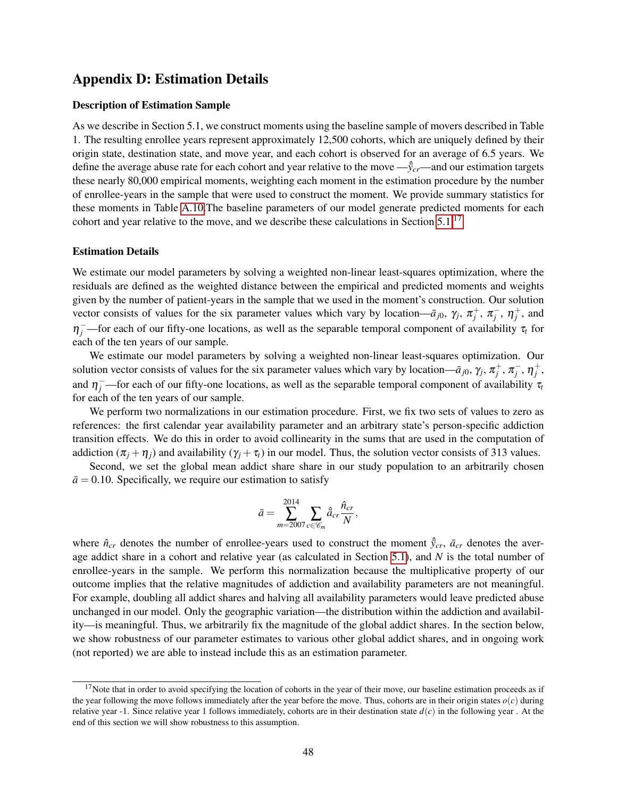# <span id="page-48-0"></span>Appendix D: Estimation Details

### Description of Estimation Sample

As we describe in Section 5.1, we construct moments using the baseline sample of movers described in Table 1. The resulting enrollee years represent approximately 12,500 cohorts, which are uniquely defined by their origin state, destination state, and move year, and each cohort is observed for an average of 6.5 years. We define the average abuse rate for each cohort and year relative to the move  $-\hat{y}_{cr}$ —and our estimation targets these nearly 80,000 empirical moments, weighting each moment in the estimation procedure by the number of enrollee-years in the sample that were used to construct the moment. We provide summary statistics for these moments in Table [A.10.](#page-65-0)The baseline parameters of our model generate predicted moments for each cohort and year relative to the move, and we describe these calculations in Section [5.1.](#page-18-1)[17](#page-0-0)

### Estimation Details

We estimate our model parameters by solving a weighted non-linear least-squares optimization, where the residuals are defined as the weighted distance between the empirical and predicted moments and weights given by the number of patient-years in the sample that we used in the moment's construction. Our solution vector consists of values for the six parameter values which vary by location— $\bar{a}_{j0}$ ,  $\gamma_j$ ,  $\pi_j^+$ ,  $\pi_j^-$ ,  $\eta_j^+$ , and  $\eta_j^-$ —for each of our fifty-one locations, as well as the separable temporal component of availability  $\tau_t$  for each of the ten years of our sample.

We estimate our model parameters by solving a weighted non-linear least-squares optimization. Our solution vector consists of values for the six parameter values which vary by location— $\bar{a}_{j0}$ ,  $\gamma_j$ ,  $\pi_j^+$ ,  $\pi_j^-$ ,  $\eta_j^+$ , and  $\eta_j^-$ —for each of our fifty-one locations, as well as the separable temporal component of availability  $\tau_t$ for each of the ten years of our sample.

We perform two normalizations in our estimation procedure. First, we fix two sets of values to zero as references: the first calendar year availability parameter and an arbitrary state's person-specific addiction transition effects. We do this in order to avoid collinearity in the sums that are used in the computation of addiction  $(\pi_j + \eta_j)$  and availability  $(\gamma_j + \tau_j)$  in our model. Thus, the solution vector consists of 313 values.

Second, we set the global mean addict share share in our study population to an arbitrarily chosen  $\bar{a}$  = 0.10. Specifically, we require our estimation to satisfy

$$
\bar{a}=\sum_{m=2007}^{2014}\sum_{c\in\mathscr{C}_m}\hat{\bar{a}}_{cr}\frac{\hat{n}_{cr}}{N},
$$

where  $\hat{n}_{cr}$  denotes the number of enrollee-years used to construct the moment  $\hat{y}_{cr}$ ,  $\bar{a}_{cr}$  denotes the average addict share in a cohort and relative year (as calculated in Section [5.1\)](#page-18-1), and *N* is the total number of enrollee-years in the sample. We perform this normalization because the multiplicative property of our outcome implies that the relative magnitudes of addiction and availability parameters are not meaningful. For example, doubling all addict shares and halving all availability parameters would leave predicted abuse unchanged in our model. Only the geographic variation—the distribution within the addiction and availability—is meaningful. Thus, we arbitrarily fix the magnitude of the global addict shares. In the section below, we show robustness of our parameter estimates to various other global addict shares, and in ongoing work (not reported) we are able to instead include this as an estimation parameter.

 $17$ Note that in order to avoid specifying the location of cohorts in the year of their move, our baseline estimation proceeds as if the year following the move follows immediately after the year before the move. Thus, cohorts are in their origin states  $o(c)$  during relative year -1. Since relative year 1 follows immediately, cohorts are in their destination state  $d(c)$  in the following year. At the end of this section we will show robustness to this assumption.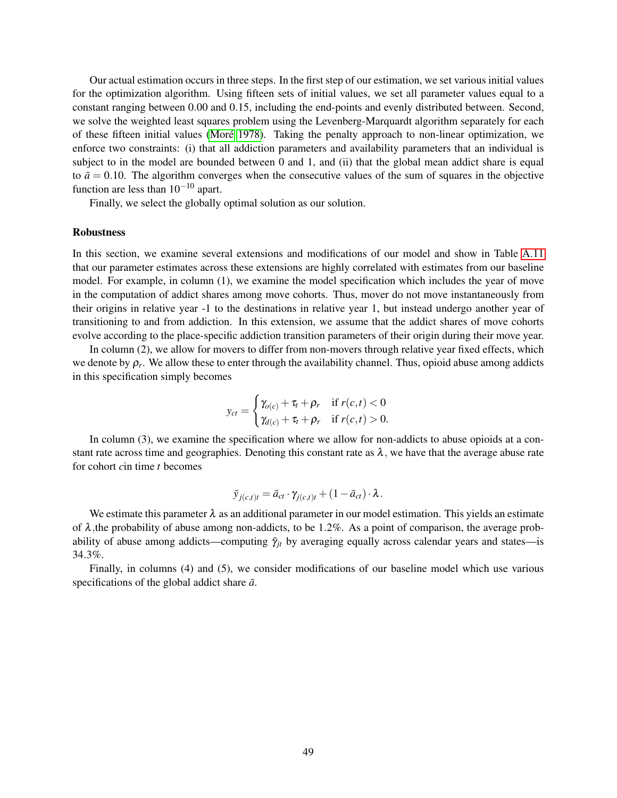Our actual estimation occurs in three steps. In the first step of our estimation, we set various initial values for the optimization algorithm. Using fifteen sets of initial values, we set all parameter values equal to a constant ranging between 0.00 and 0.15, including the end-points and evenly distributed between. Second, we solve the weighted least squares problem using the Levenberg-Marquardt algorithm separately for each of these fifteen initial values [\(Moré 1978\)](#page-28-15). Taking the penalty approach to non-linear optimization, we enforce two constraints: (i) that all addiction parameters and availability parameters that an individual is subject to in the model are bounded between 0 and 1, and (ii) that the global mean addict share is equal to  $\bar{a} = 0.10$ . The algorithm converges when the consecutive values of the sum of squares in the objective function are less than  $10^{-10}$  apart.

Finally, we select the globally optimal solution as our solution.

### Robustness

In this section, we examine several extensions and modifications of our model and show in Table [A.11](#page-66-0) that our parameter estimates across these extensions are highly correlated with estimates from our baseline model. For example, in column (1), we examine the model specification which includes the year of move in the computation of addict shares among move cohorts. Thus, mover do not move instantaneously from their origins in relative year -1 to the destinations in relative year 1, but instead undergo another year of transitioning to and from addiction. In this extension, we assume that the addict shares of move cohorts evolve according to the place-specific addiction transition parameters of their origin during their move year.

In column (2), we allow for movers to differ from non-movers through relative year fixed effects, which we denote by  $\rho_r$ . We allow these to enter through the availability channel. Thus, opioid abuse among addicts in this specification simply becomes

$$
y_{ct} = \begin{cases} \gamma_{o(c)} + \tau_t + \rho_r & \text{if } r(c, t) < 0 \\ \gamma_{d(c)} + \tau_t + \rho_r & \text{if } r(c, t) > 0. \end{cases}
$$

In column (3), we examine the specification where we allow for non-addicts to abuse opioids at a constant rate across time and geographies. Denoting this constant rate as  $\lambda$ , we have that the average abuse rate for cohort *c*in time *t* becomes

$$
\bar{y}_{j(c,t)t} = \bar{a}_{ct} \cdot \gamma_{j(c,t)t} + (1 - \bar{a}_{ct}) \cdot \lambda.
$$

We estimate this parameter  $\lambda$  as an additional parameter in our model estimation. This yields an estimate of  $\lambda$ , the probability of abuse among non-addicts, to be 1.2%. As a point of comparison, the average probability of abuse among addicts—computing  $\bar{\gamma}_{it}$  by averaging equally across calendar years and states—is 34.3%.

Finally, in columns (4) and (5), we consider modifications of our baseline model which use various specifications of the global addict share  $\bar{a}$ .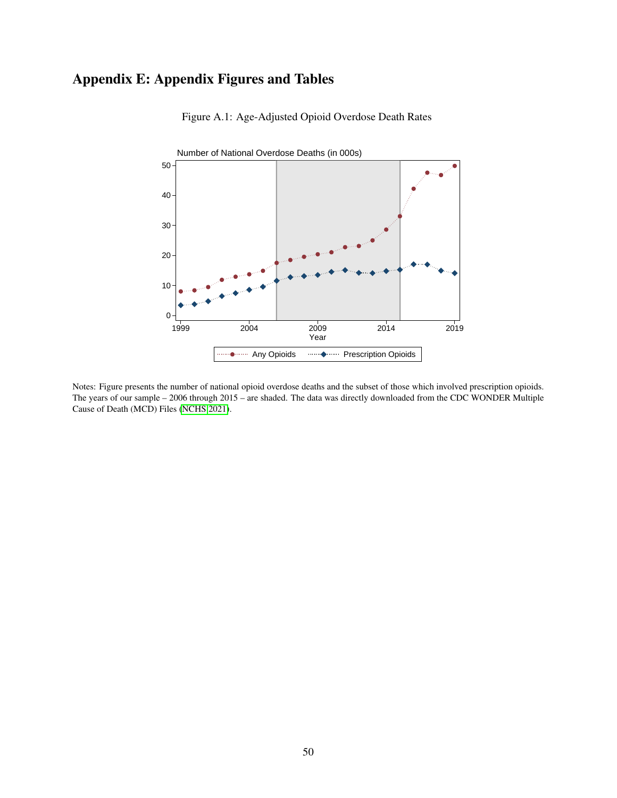# <span id="page-50-0"></span>Appendix E: Appendix Figures and Tables



Figure A.1: Age-Adjusted Opioid Overdose Death Rates

Notes: Figure presents the number of national opioid overdose deaths and the subset of those which involved prescription opioids. The years of our sample – 2006 through 2015 – are shaded. The data was directly downloaded from the CDC WONDER Multiple Cause of Death (MCD) Files [\(NCHS 2021\)](#page-28-0).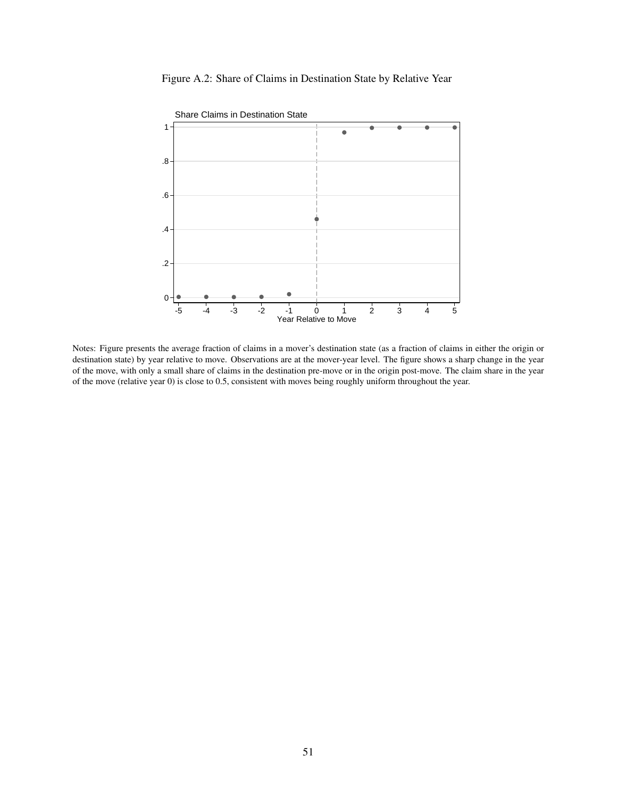<span id="page-51-0"></span>



Notes: Figure presents the average fraction of claims in a mover's destination state (as a fraction of claims in either the origin or destination state) by year relative to move. Observations are at the mover-year level. The figure shows a sharp change in the year of the move, with only a small share of claims in the destination pre-move or in the origin post-move. The claim share in the year of the move (relative year 0) is close to 0.5, consistent with moves being roughly uniform throughout the year.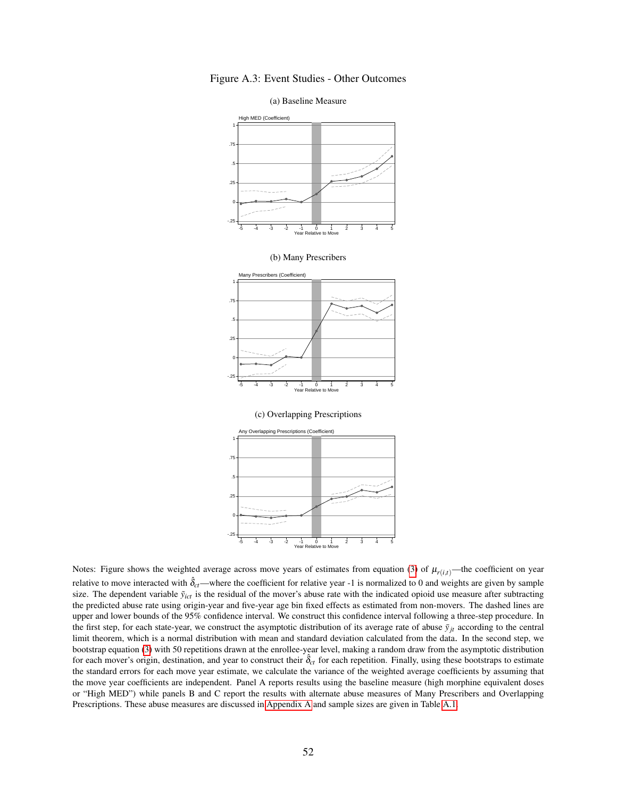

<span id="page-52-0"></span>Figure A.3: Event Studies - Other Outcomes

Notes: Figure shows the weighted average across move years of estimates from equation [\(3\)](#page-12-0) of  $\mu_{r(i,t)}$ —the coefficient on year relative to move interacted with  $\hat{\delta}_{ct}$ —where the coefficient for relative year -1 is normalized to 0 and weights are given by sample size. The dependent variable  $\tilde{y}_{ict}$  is the residual of the mover's abuse rate with the indicated opioid use measure after subtracting the predicted abuse rate using origin-year and five-year age bin fixed effects as estimated from non-movers. The dashed lines are upper and lower bounds of the 95% confidence interval. We construct this confidence interval following a three-step procedure. In the first step, for each state-year, we construct the asymptotic distribution of its average rate of abuse  $\bar{y}_{it}$  according to the central limit theorem, which is a normal distribution with mean and standard deviation calculated from the data. In the second step, we bootstrap equation [\(3\)](#page-12-0) with 50 repetitions drawn at the enrollee-year level, making a random draw from the asymptotic distribution for each mover's origin, destination, and year to construct their  $\hat{\delta}_{ct}$  for each repetition. Finally, using these bootstraps to estimate the standard errors for each move year estimate, we calculate the variance of the weighted average coefficients by assuming that the move year coefficients are independent. Panel A reports results using the baseline measure (high morphine equivalent doses or "High MED") while panels B and C report the results with alternate abuse measures of Many Prescribers and Overlapping Prescriptions. These abuse measures are discussed in [Appendix A](#page-43-0) and sample sizes are given in Table [A.1.](#page-58-0)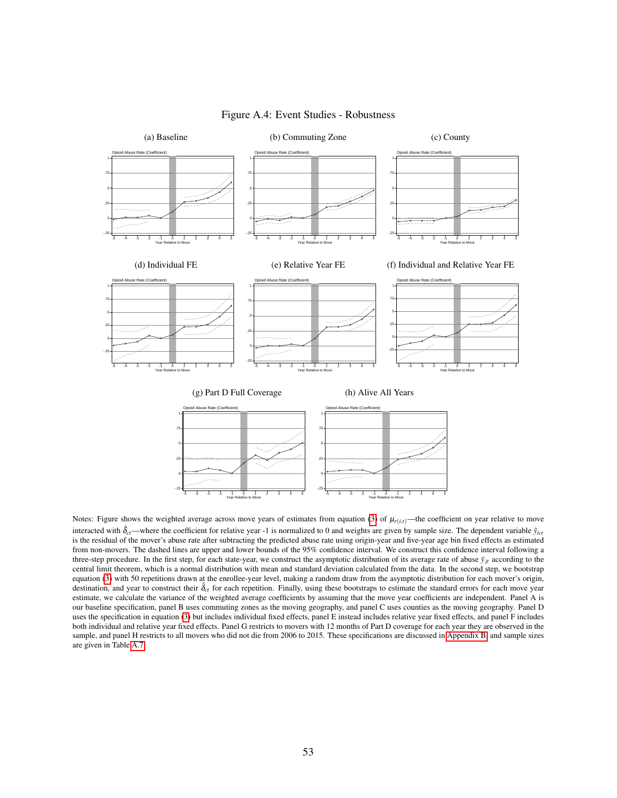<span id="page-53-0"></span>

#### Figure A.4: Event Studies - Robustness

Notes: Figure shows the weighted average across move years of estimates from equation ([3](#page-12-0)) of  $\mu_{r(i,t)}$ —the coefficient on year relative to move interacted with  $\hat{\delta}_{ct}$ —where the coefficient for relative year -1 is normalized to 0 and weights are given by sample size. The dependent variable  $\hat{y}_{ict}$ is the residual of the mover's abuse rate after subtracting the predicted abuse rate using origin-year and five-year age bin fixed effects as estimated from non-movers. The dashed lines are upper and lower bounds of the 95% confidence interval. We construct this confidence interval following a three-step procedure. In the first step, for each state-year, we construct the asymptotic distribution of its average rate of abuse  $\bar{y}_i$  according to the central limit theorem, which is a normal distribution with mean and standard deviation calculated from the data. In the second step, we bootstrap equation ([3](#page-12-0)) with 50 repetitions drawn at the enrollee-year level, making a random draw from the asymptotic distribution for each mover's origin, destination, and year to construct their  $\hat{\delta}_{ct}$  for each repetition. Finally, using these bootstraps to estimate the standard errors for each move year estimate, we calculate the variance of the weighted average coefficients by assuming that the move year coefficients are independent. Panel A is our baseline specification, panel B uses commuting zones as the moving geography, and panel C uses counties as the moving geography. Panel D uses the specification in equation [\(3\)](#page-12-0) but includes individual fixed effects, panel E instead includes relative year fixed effects, and panel F includes both individual and relative year fixed effects. Panel G restricts to movers with 12 months of Part D coverage for each year they are observed in the sample, and panel H restricts to all movers who did not die from 2006 to 2015. These specifications are discussed in [Appendix B,](#page-45-0) and sample sizes are given in Table [A.7.](#page-62-0)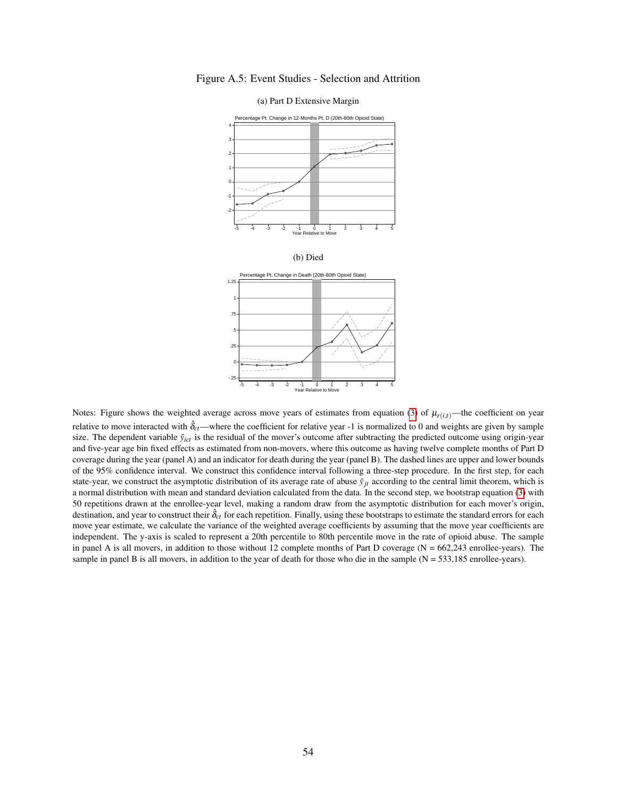<span id="page-54-0"></span>



(a) Part D Extensive Margin

Notes: Figure shows the weighted average across move years of estimates from equation [\(3\)](#page-12-0) of  $\mu_{r(i,t)}$ —the coefficient on year relative to move interacted with  $\hat{\delta}_{ct}$ —where the coefficient for relative year -1 is normalized to 0 and weights are given by sample size. The dependent variable  $\tilde{y}_{ict}$  is the residual of the mover's outcome after subtracting the predicted outcome using origin-year and five-year age bin fixed effects as estimated from non-movers, where this outcome as having twelve complete months of Part D coverage during the year (panel A) and an indicator for death during the year (panel B). The dashed lines are upper and lower bounds of the 95% confidence interval. We construct this confidence interval following a three-step procedure. In the first step, for each state-year, we construct the asymptotic distribution of its average rate of abuse  $\bar{y}_{it}$  according to the central limit theorem, which is a normal distribution with mean and standard deviation calculated from the data. In the second step, we bootstrap equation [\(3\)](#page-12-0) with 50 repetitions drawn at the enrollee-year level, making a random draw from the asymptotic distribution for each mover's origin, destination, and year to construct their  $\hat{\delta}_{ct}$  for each repetition. Finally, using these bootstraps to estimate the standard errors for each move year estimate, we calculate the variance of the weighted average coefficients by assuming that the move year coefficients are independent. The y-axis is scaled to represent a 20th percentile to 80th percentile move in the rate of opioid abuse. The sample in panel A is all movers, in addition to those without 12 complete months of Part D coverage ( $N = 662,243$  enrollee-years). The sample in panel B is all movers, in addition to the year of death for those who die in the sample  $(N = 533,185)$  enrollee-years).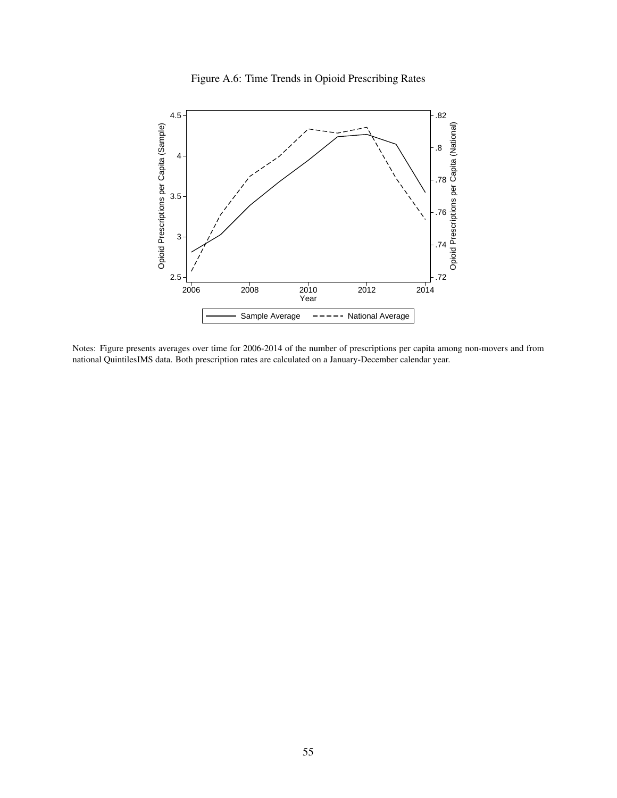

<span id="page-55-0"></span>

Notes: Figure presents averages over time for 2006-2014 of the number of prescriptions per capita among non-movers and from national QuintilesIMS data. Both prescription rates are calculated on a January-December calendar year.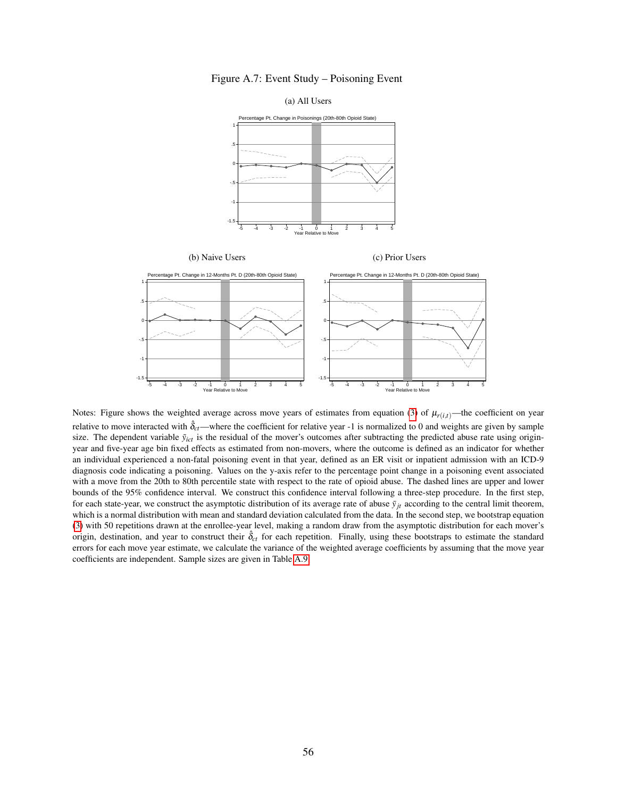

<span id="page-56-0"></span>

Notes: Figure shows the weighted average across move years of estimates from equation [\(3\)](#page-12-0) of  $\mu_{r(i,t)}$ —the coefficient on year relative to move interacted with  $\hat{\delta}_{ct}$ —where the coefficient for relative year -1 is normalized to 0 and weights are given by sample size. The dependent variable  $\tilde{y}_{ict}$  is the residual of the mover's outcomes after subtracting the predicted abuse rate using originyear and five-year age bin fixed effects as estimated from non-movers, where the outcome is defined as an indicator for whether an individual experienced a non-fatal poisoning event in that year, defined as an ER visit or inpatient admission with an ICD-9 diagnosis code indicating a poisoning. Values on the y-axis refer to the percentage point change in a poisoning event associated with a move from the 20th to 80th percentile state with respect to the rate of opioid abuse. The dashed lines are upper and lower bounds of the 95% confidence interval. We construct this confidence interval following a three-step procedure. In the first step, for each state-year, we construct the asymptotic distribution of its average rate of abuse  $\bar{y}_{it}$  according to the central limit theorem, which is a normal distribution with mean and standard deviation calculated from the data. In the second step, we bootstrap equation [\(3\)](#page-12-0) with 50 repetitions drawn at the enrollee-year level, making a random draw from the asymptotic distribution for each mover's origin, destination, and year to construct their  $\hat{\delta}_{ct}$  for each repetition. Finally, using these bootstraps to estimate the standard errors for each move year estimate, we calculate the variance of the weighted average coefficients by assuming that the move year coefficients are independent. Sample sizes are given in Table [A.9.](#page-64-0)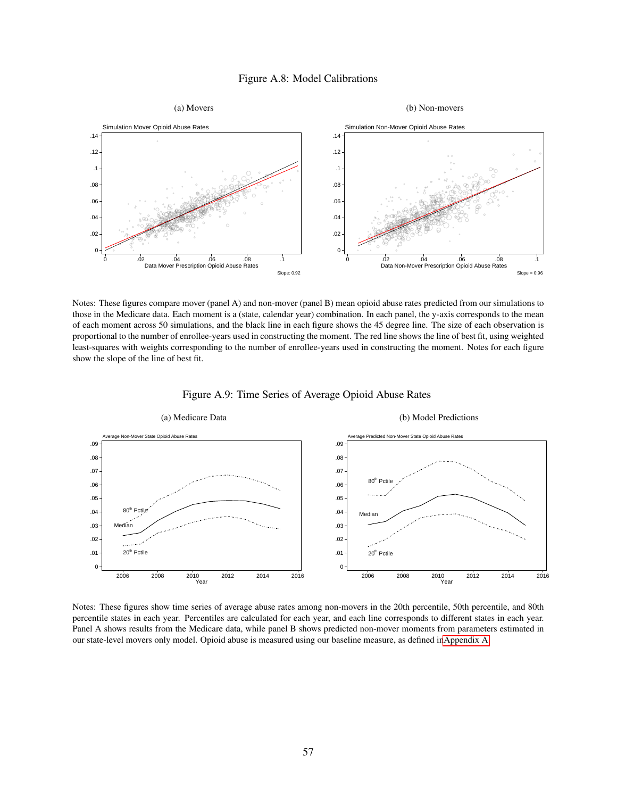### Figure A.8: Model Calibrations

<span id="page-57-0"></span>

Notes: These figures compare mover (panel A) and non-mover (panel B) mean opioid abuse rates predicted from our simulations to those in the Medicare data. Each moment is a (state, calendar year) combination. In each panel, the y-axis corresponds to the mean of each moment across 50 simulations, and the black line in each figure shows the 45 degree line. The size of each observation is proportional to the number of enrollee-years used in constructing the moment. The red line shows the line of best fit, using weighted least-squares with weights corresponding to the number of enrollee-years used in constructing the moment. Notes for each figure show the slope of the line of best fit.

<span id="page-57-1"></span>

Figure A.9: Time Series of Average Opioid Abuse Rates

Notes: These figures show time series of average abuse rates among non-movers in the 20th percentile, 50th percentile, and 80th percentile states in each year. Percentiles are calculated for each year, and each line corresponds to different states in each year. Panel A shows results from the Medicare data, while panel B shows predicted non-mover moments from parameters estimated in our state-level movers only model. Opioid abuse is measured using our baseline measure, as defined i[nAppendix A.](#page-43-0)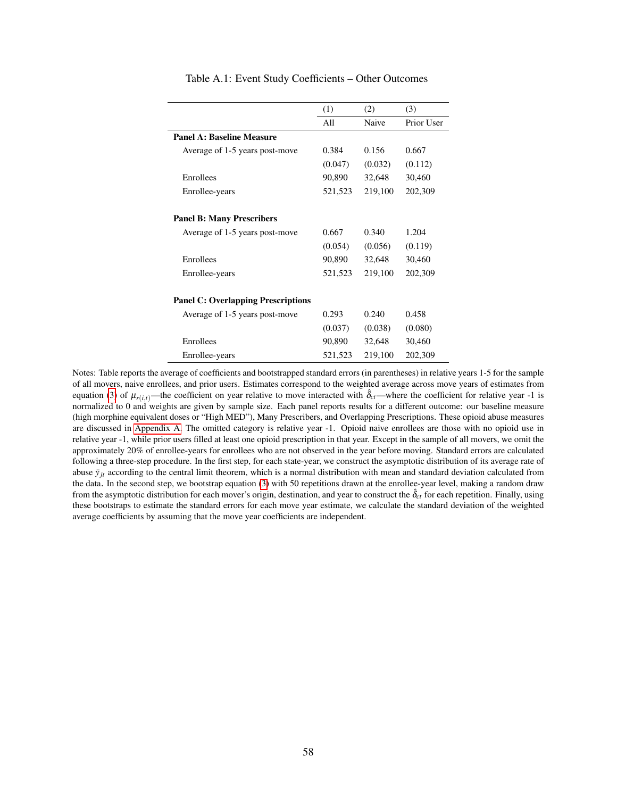<span id="page-58-0"></span>

|                                           | (1)     | (2)     | (3)        |
|-------------------------------------------|---------|---------|------------|
|                                           | All     | Naive   | Prior User |
| Panel A: Baseline Measure                 |         |         |            |
| Average of 1-5 years post-move            | 0.384   | 0.156   | 0.667      |
|                                           | (0.047) | (0.032) | (0.112)    |
| Enrollees                                 | 90,890  | 32,648  | 30,460     |
| Enrollee-years                            | 521,523 | 219,100 | 202,309    |
|                                           |         |         |            |
| <b>Panel B: Many Prescribers</b>          |         |         |            |
| Average of 1-5 years post-move            | 0.667   | 0.340   | 1.204      |
|                                           | (0.054) | (0.056) | (0.119)    |
| Enrollees                                 | 90,890  | 32,648  | 30,460     |
| Enrollee-years                            | 521,523 | 219,100 | 202,309    |
|                                           |         |         |            |
| <b>Panel C: Overlapping Prescriptions</b> |         |         |            |
| Average of 1-5 years post-move            | 0.293   | 0.240   | 0.458      |
|                                           | (0.037) | (0.038) | (0.080)    |
| Enrollees                                 | 90,890  | 32,648  | 30,460     |
| Enrollee-years                            | 521,523 | 219,100 | 202,309    |

#### Table A.1: Event Study Coefficients – Other Outcomes

Notes: Table reports the average of coefficients and bootstrapped standard errors (in parentheses) in relative years 1-5 for the sample of all movers, naive enrollees, and prior users. Estimates correspond to the weighted average across move years of estimates from equation [\(3\)](#page-12-0) of  $\mu_{r(i,t)}$ —the coefficient on year relative to move interacted with  $\hat{\delta}_{ct}$ —where the coefficient for relative year -1 is normalized to 0 and weights are given by sample size. Each panel reports results for a different outcome: our baseline measure (high morphine equivalent doses or "High MED"), Many Prescribers, and Overlapping Prescriptions. These opioid abuse measures are discussed in [Appendix A.](#page-43-0) The omitted category is relative year -1. Opioid naive enrollees are those with no opioid use in relative year -1, while prior users filled at least one opioid prescription in that year. Except in the sample of all movers, we omit the approximately 20% of enrollee-years for enrollees who are not observed in the year before moving. Standard errors are calculated following a three-step procedure. In the first step, for each state-year, we construct the asymptotic distribution of its average rate of abuse  $\bar{y}_{it}$  according to the central limit theorem, which is a normal distribution with mean and standard deviation calculated from the data. In the second step, we bootstrap equation [\(3\)](#page-12-0) with 50 repetitions drawn at the enrollee-year level, making a random draw from the asymptotic distribution for each mover's origin, destination, and year to construct the  $\hat{\delta}_{ct}$  for each repetition. Finally, using these bootstraps to estimate the standard errors for each move year estimate, we calculate the standard deviation of the weighted average coefficients by assuming that the move year coefficients are independent.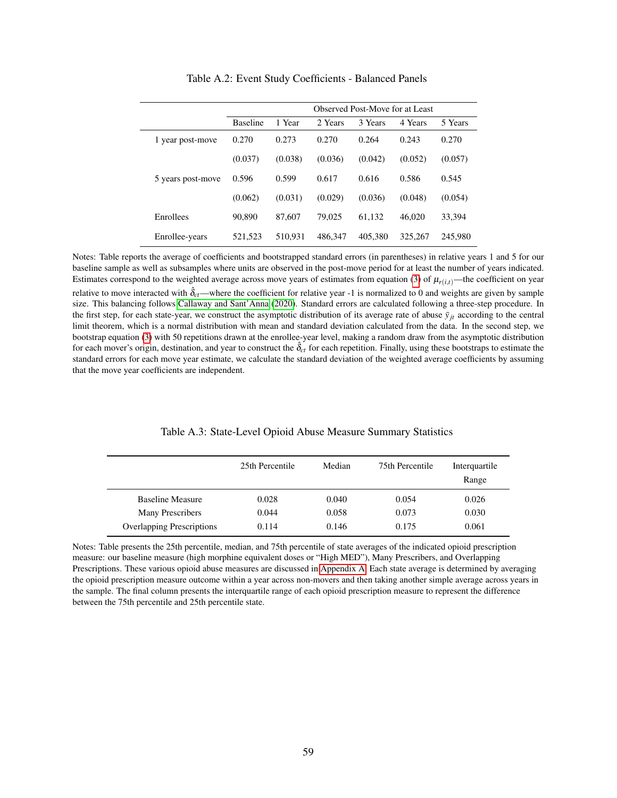<span id="page-59-0"></span>

|                   | Observed Post-Move for at Least |         |         |         |         |         |
|-------------------|---------------------------------|---------|---------|---------|---------|---------|
|                   | <b>Baseline</b>                 | 1 Year  | 2 Years | 3 Years | 4 Years | 5 Years |
| 1 year post-move  | 0.270                           | 0.273   | 0.270   | 0.264   | 0.243   | 0.270   |
|                   | (0.037)                         | (0.038) | (0.036) | (0.042) | (0.052) | (0.057) |
| 5 years post-move | 0.596                           | 0.599   | 0.617   | 0.616   | 0.586   | 0.545   |
|                   | (0.062)                         | (0.031) | (0.029) | (0.036) | (0.048) | (0.054) |
| Enrollees         | 90,890                          | 87,607  | 79,025  | 61.132  | 46,020  | 33.394  |
| Enrollee-years    | 521,523                         | 510.931 | 486,347 | 405,380 | 325,267 | 245,980 |

Table A.2: Event Study Coefficients - Balanced Panels

Notes: Table reports the average of coefficients and bootstrapped standard errors (in parentheses) in relative years 1 and 5 for our baseline sample as well as subsamples where units are observed in the post-move period for at least the number of years indicated. Estimates correspond to the weighted average across move years of estimates from equation [\(3\)](#page-12-0) of  $\mu_{r(i,t)}$ —the coefficient on year relative to move interacted with  $\hat{\delta}_{ct}$ —where the coefficient for relative year -1 is normalized to 0 and weights are given by sample size. This balancing follows [Callaway and Sant'Anna](#page-24-13) [\(2020\)](#page-24-13). Standard errors are calculated following a three-step procedure. In the first step, for each state-year, we construct the asymptotic distribution of its average rate of abuse  $\bar{y}_{jt}$  according to the central limit theorem, which is a normal distribution with mean and standard deviation calculated from the data. In the second step, we bootstrap equation [\(3\)](#page-12-0) with 50 repetitions drawn at the enrollee-year level, making a random draw from the asymptotic distribution for each mover's origin, destination, and year to construct the  $\hat{\delta}_{ct}$  for each repetition. Finally, using these bootstraps to estimate the standard errors for each move year estimate, we calculate the standard deviation of the weighted average coefficients by assuming that the move year coefficients are independent.

<span id="page-59-1"></span>

|                           | 25th Percentile | Median | 75th Percentile | Interquartile<br>Range |
|---------------------------|-----------------|--------|-----------------|------------------------|
| <b>Baseline Measure</b>   | 0.028           | 0.040  | 0.054           | 0.026                  |
| <b>Many Prescribers</b>   | 0.044           | 0.058  | 0.073           | 0.030                  |
| Overlapping Prescriptions | 0.114           | 0.146  | 0.175           | 0.061                  |

#### Table A.3: State-Level Opioid Abuse Measure Summary Statistics

Notes: Table presents the 25th percentile, median, and 75th percentile of state averages of the indicated opioid prescription measure: our baseline measure (high morphine equivalent doses or "High MED"), Many Prescribers, and Overlapping Prescriptions. These various opioid abuse measures are discussed in [Appendix A.](#page-43-0) Each state average is determined by averaging the opioid prescription measure outcome within a year across non-movers and then taking another simple average across years in the sample. The final column presents the interquartile range of each opioid prescription measure to represent the difference between the 75th percentile and 25th percentile state.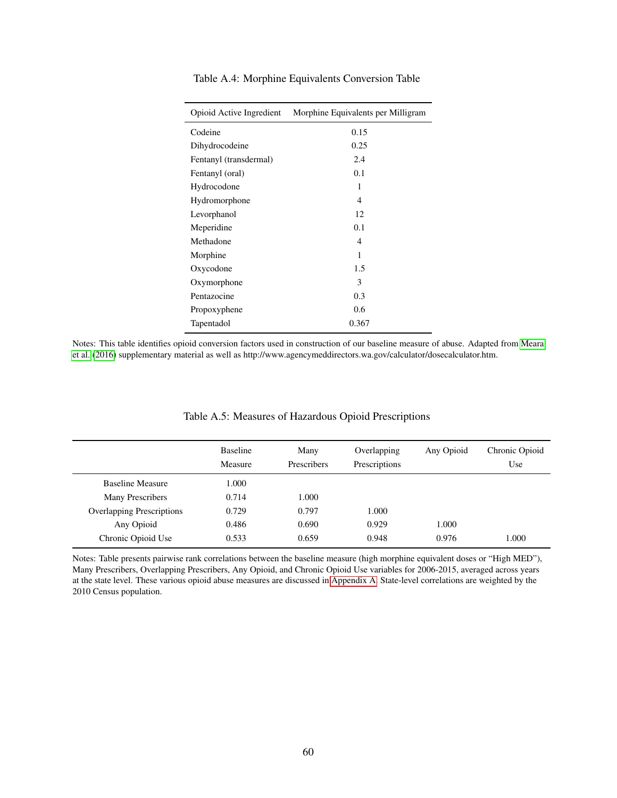| Opioid Active Ingredient | Morphine Equivalents per Milligram |
|--------------------------|------------------------------------|
| Codeine                  | 0.15                               |
| Dihydrocodeine           | 0.25                               |
| Fentanyl (transdermal)   | 2.4                                |
| Fentanyl (oral)          | 0.1                                |
| Hydrocodone              | 1                                  |
| Hydromorphone            | 4                                  |
| Levorphanol              | 12                                 |
| Meperidine               | 0.1                                |
| Methadone                | 4                                  |
| Morphine                 | 1                                  |
| Oxycodone                | 1.5                                |
| Oxymorphone              | 3                                  |
| Pentazocine              | 0.3                                |
| Propoxyphene             | 0.6                                |
| Tapentadol               | 0.367                              |
|                          |                                    |

<span id="page-60-0"></span>Table A.4: Morphine Equivalents Conversion Table

Notes: This table identifies opioid conversion factors used in construction of our baseline measure of abuse. Adapted from [Meara](#page-28-5) [et al.](#page-28-5) [\(2016\)](#page-28-5) supplementary material as well as http://www.agencymeddirectors.wa.gov/calculator/dosecalculator.htm.

<span id="page-60-1"></span>

| <b>Baseline</b> | Many               | Overlapping   | Any Opioid | Chronic Opioid |
|-----------------|--------------------|---------------|------------|----------------|
| Measure         | <b>Prescribers</b> | Prescriptions |            | Use            |
| 000.1           |                    |               |            |                |
| 0.714           | 1.000              |               |            |                |
| 0.729           | 0.797              | 1.000         |            |                |
| 0.486           | 0.690              | 0.929         | 1.000      |                |
| 0.533           | 0.659              | 0.948         | 0.976      | 1.000          |
|                 |                    |               |            |                |

### Table A.5: Measures of Hazardous Opioid Prescriptions

Notes: Table presents pairwise rank correlations between the baseline measure (high morphine equivalent doses or "High MED"), Many Prescribers, Overlapping Prescribers, Any Opioid, and Chronic Opioid Use variables for 2006-2015, averaged across years at the state level. These various opioid abuse measures are discussed in [Appendix A.](#page-43-0) State-level correlations are weighted by the 2010 Census population.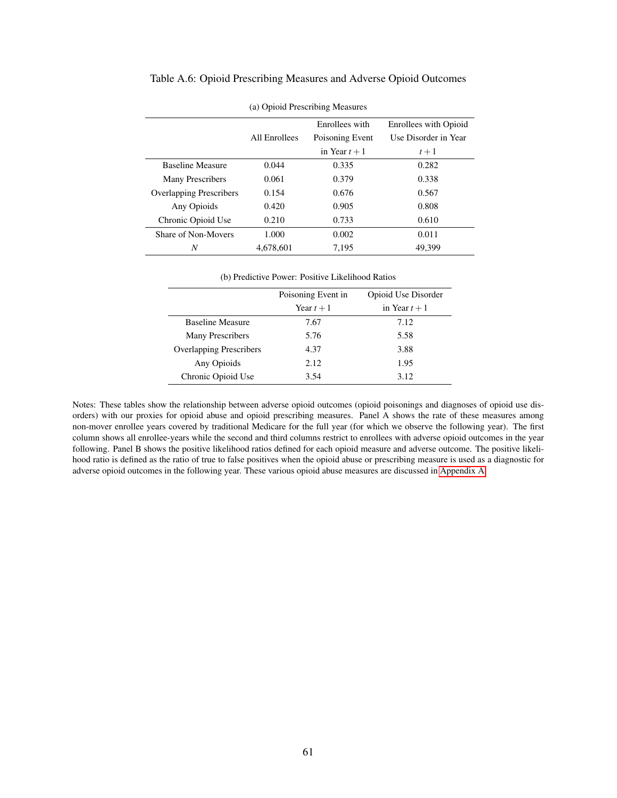| (a) Opioid Prescribing Measures |                |                 |                       |  |
|---------------------------------|----------------|-----------------|-----------------------|--|
|                                 | Enrollees with |                 | Enrollees with Opioid |  |
|                                 | All Enrollees  | Poisoning Event | Use Disorder in Year  |  |
|                                 |                | in Year $t+1$   | $t+1$                 |  |
| <b>Baseline Measure</b>         | 0.044          | 0.335           | 0.282                 |  |
| <b>Many Prescribers</b>         | 0.061          | 0.379           | 0.338                 |  |
| <b>Overlapping Prescribers</b>  | 0.154          | 0.676           | 0.567                 |  |
| Any Opioids                     | 0.420          | 0.905           | 0.808                 |  |
| Chronic Opioid Use              | 0.210          | 0.733           | 0.610                 |  |
| Share of Non-Movers             | 1.000          | 0.002           | 0.011                 |  |
| N                               | 4,678,601      | 7,195           | 49.399                |  |

### <span id="page-61-0"></span>Table A.6: Opioid Prescribing Measures and Adverse Opioid Outcomes

(b) Predictive Power: Positive Likelihood Ratios

|                                | Poisoning Event in | Opioid Use Disorder |
|--------------------------------|--------------------|---------------------|
|                                | Year $t+1$         | in Year $t+1$       |
| <b>Baseline Measure</b>        | 7.67               | 7.12                |
| <b>Many Prescribers</b>        | 5.76               | 5.58                |
| <b>Overlapping Prescribers</b> | 4.37               | 3.88                |
| Any Opioids                    | 2.12               | 1.95                |
| Chronic Opioid Use             | 3.54               | 3.12                |

Notes: These tables show the relationship between adverse opioid outcomes (opioid poisonings and diagnoses of opioid use disorders) with our proxies for opioid abuse and opioid prescribing measures. Panel A shows the rate of these measures among non-mover enrollee years covered by traditional Medicare for the full year (for which we observe the following year). The first column shows all enrollee-years while the second and third columns restrict to enrollees with adverse opioid outcomes in the year following. Panel B shows the positive likelihood ratios defined for each opioid measure and adverse outcome. The positive likelihood ratio is defined as the ratio of true to false positives when the opioid abuse or prescribing measure is used as a diagnostic for adverse opioid outcomes in the following year. These various opioid abuse measures are discussed in [Appendix A.](#page-43-0)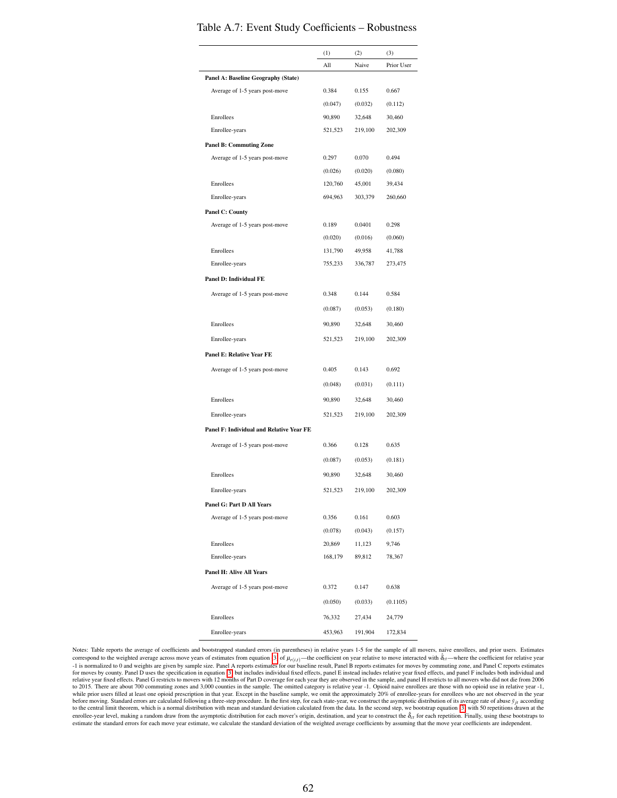|                                          | (1)     | (2)     | (3)        |
|------------------------------------------|---------|---------|------------|
|                                          | All     | Naive   | Prior User |
| Panel A: Baseline Geography (State)      |         |         |            |
| Average of 1-5 years post-move           | 0.384   | 0.155   | 0.667      |
|                                          | (0.047) | (0.032) | (0.112)    |
| Enrollees                                | 90,890  | 32,648  | 30,460     |
| Enrollee-years                           | 521,523 | 219,100 | 202,309    |
| <b>Panel B: Commuting Zone</b>           |         |         |            |
| Average of 1-5 years post-move           | 0.297   | 0.070   | 0.494      |
|                                          | (0.026) | (0.020) | (0.080)    |
| Enrollees                                | 120,760 | 45,001  | 39,434     |
| Enrollee-years                           | 694,963 | 303,379 | 260,660    |
| <b>Panel C: County</b>                   |         |         |            |
| Average of 1-5 years post-move           | 0.189   | 0.0401  | 0.298      |
|                                          | (0.020) | (0.016) | (0.060)    |
| Enrollees                                | 131,790 | 49,958  | 41,788     |
| Enrollee-years                           | 755,233 | 336,787 | 273,475    |
| <b>Panel D: Individual FE</b>            |         |         |            |
| Average of 1-5 years post-move           | 0.348   | 0.144   | 0.584      |
|                                          | (0.087) | (0.053) | (0.180)    |
| Enrollees                                | 90,890  | 32,648  | 30,460     |
| Enrollee-years                           | 521,523 | 219,100 | 202,309    |
| Panel E: Relative Year FE                |         |         |            |
| Average of 1-5 years post-move           | 0.405   | 0.143   | 0.692      |
|                                          |         |         |            |
|                                          | (0.048) | (0.031) | (0.111)    |
| Enrollees                                | 90,890  | 32,648  | 30,460     |
| Enrollee-years                           | 521,523 | 219,100 | 202,309    |
| Panel F: Individual and Relative Year FE |         |         |            |
| Average of 1-5 years post-move           | 0.366   | 0.128   | 0.635      |
|                                          | (0.087) | (0.053) | (0.181)    |
| Enrollees                                | 90,890  | 32,648  | 30,460     |
| Enrollee-years                           | 521,523 | 219,100 | 202,309    |
| <b>Panel G: Part D All Years</b>         |         |         |            |
| Average of 1-5 years post-move           | 0.356   | 0.161   | 0.603      |
|                                          | (0.078) | (0.043) | (0.157)    |
| Enrollees                                | 20,869  | 11,123  | 9,746      |
| Enrollee-years                           | 168,179 | 89,812  | 78,367     |
| <b>Panel H: Alive All Years</b>          |         |         |            |
| Average of 1-5 years post-move           | 0.372   | 0.147   | 0.638      |
|                                          |         |         |            |
|                                          | (0.050) | (0.033) | (0.1105)   |
| Enrollees                                | 76,332  | 27,434  | 24,779     |
| Enrollee-years                           | 453,963 | 191,904 | 172,834    |

### <span id="page-62-0"></span>Table A.7: Event Study Coefficients – Robustness

Notes: Table reports the average of coefficients and bootstrapped standard errors (in parentheses) in relative years 1-5 for the sample of all movers, naive enrollees, and prior users. Estimates correspond to the weighted average across move years of estimates from equation [\(3\)](#page-12-0) of  $\mu_{r(i,t)}$ —the coefficient on year relative to move interacted with  $\hat{\delta}_{ct}$ —where the coefficient for relative year -1 is normalized to 0 and weights are given by sample size. Panel A reports estimates for our baseline result, Panel B reports estimates for moves by commuting zone, and Panel C reports estimates for moves by county. Panel D uses the specification in equation [\(3\)](#page-12-0) but includes individual fixed effects, panel E instead includes relative year fixed effects, and panel F includes both individual and enoting the strengt to the central limit theorem, which is a normal distribution with mean and standard deviation calculated from the data. In the second step, we bootstrap equation [\(3\)](#page-12-0) with 50 repetitions drawn at the enrollee-year level, making a random draw from the asymptotic distribution for each mover's origin, destination, and year to construct the δ<sub>ct</sub> for each repetition. Finally, using these bootstraps to estimate the standard errors for each move year estimate, we calculate the standard deviation of the weighted average coefficients by assuming that the move year coefficients are independent.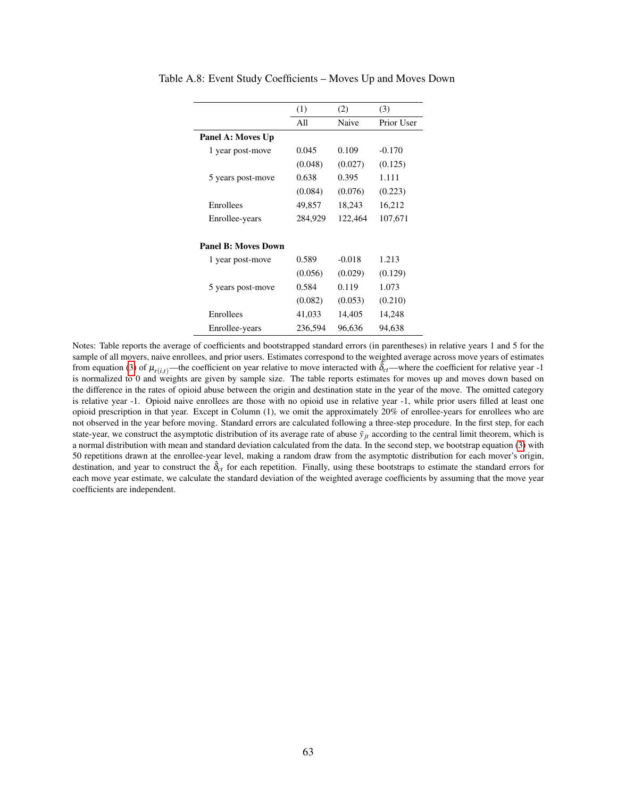|                            | (1)     | (2)      | (3)        |
|----------------------------|---------|----------|------------|
|                            | All     | Naive    | Prior User |
| Panel A: Moves Up          |         |          |            |
| 1 year post-move           | 0.045   | 0.109    | $-0.170$   |
|                            | (0.048) | (0.027)  | (0.125)    |
| 5 years post-move          | 0.638   | 0.395    | 1.111      |
|                            | (0.084) | (0.076)  | (0.223)    |
| Enrollees                  | 49,857  | 18,243   | 16,212     |
| Enrollee-years             | 284,929 | 122,464  | 107,671    |
|                            |         |          |            |
| <b>Panel B: Moves Down</b> |         |          |            |
| 1 year post-move           | 0.589   | $-0.018$ | 1.213      |
|                            | (0.056) | (0.029)  | (0.129)    |
| 5 years post-move          | 0.584   | 0.119    | 1.073      |
|                            | (0.082) | (0.053)  | (0.210)    |
| Enrollees                  | 41,033  | 14,405   | 14,248     |
| Enrollee-years             | 236,594 | 96,636   | 94,638     |

<span id="page-63-0"></span>Table A.8: Event Study Coefficients – Moves Up and Moves Down

Notes: Table reports the average of coefficients and bootstrapped standard errors (in parentheses) in relative years 1 and 5 for the sample of all movers, naive enrollees, and prior users. Estimates correspond to the weighted average across move years of estimates from equation [\(3\)](#page-12-0) of  $\mu_{r(i,t)}$ —the coefficient on year relative to move interacted with  $\hat{\delta}_{ct}$ —where the coefficient for relative year -1 is normalized to 0 and weights are given by sample size. The table reports estimates for moves up and moves down based on the difference in the rates of opioid abuse between the origin and destination state in the year of the move. The omitted category is relative year -1. Opioid naive enrollees are those with no opioid use in relative year -1, while prior users filled at least one opioid prescription in that year. Except in Column (1), we omit the approximately 20% of enrollee-years for enrollees who are not observed in the year before moving. Standard errors are calculated following a three-step procedure. In the first step, for each state-year, we construct the asymptotic distribution of its average rate of abuse  $\bar{y}_{it}$  according to the central limit theorem, which is a normal distribution with mean and standard deviation calculated from the data. In the second step, we bootstrap equation [\(3\)](#page-12-0) with 50 repetitions drawn at the enrollee-year level, making a random draw from the asymptotic distribution for each mover's origin, destination, and year to construct the  $\hat{\delta}_{ct}$  for each repetition. Finally, using these bootstraps to estimate the standard errors for each move year estimate, we calculate the standard deviation of the weighted average coefficients by assuming that the move year coefficients are independent.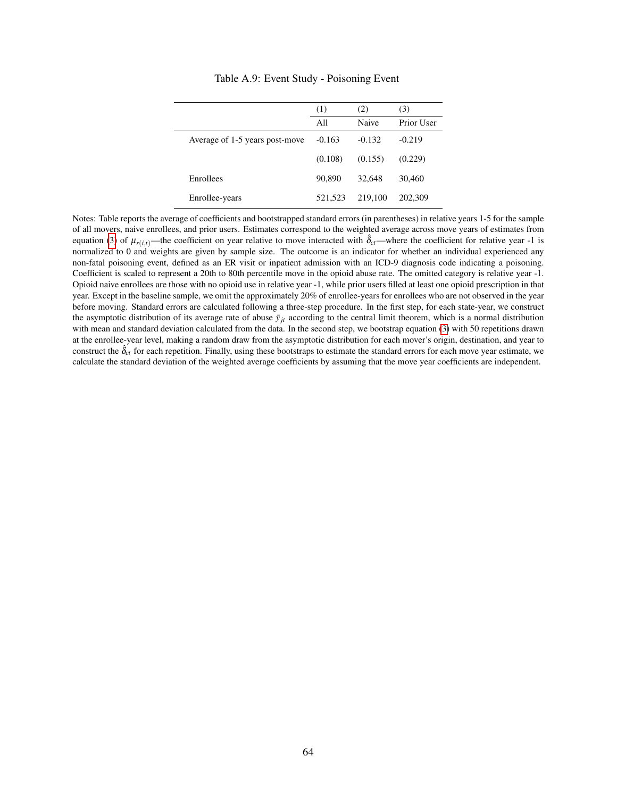<span id="page-64-0"></span>

|                                | (1)      | (2)      | (3)        |
|--------------------------------|----------|----------|------------|
|                                | All      | Naive    | Prior User |
| Average of 1-5 years post-move | $-0.163$ | $-0.132$ | $-0.219$   |
|                                | (0.108)  | (0.155)  | (0.229)    |
| Enrollees                      | 90,890   | 32,648   | 30,460     |
| Enrollee-years                 | 521.523  | 219,100  | 202,309    |

Table A.9: Event Study - Poisoning Event

Notes: Table reports the average of coefficients and bootstrapped standard errors (in parentheses) in relative years 1-5 for the sample of all movers, naive enrollees, and prior users. Estimates correspond to the weighted average across move years of estimates from equation [\(3\)](#page-12-0) of  $\mu_{r(i,t)}$ —the coefficient on year relative to move interacted with  $\hat{\delta}_{ct}$ —where the coefficient for relative year -1 is normalized to 0 and weights are given by sample size. The outcome is an indicator for whether an individual experienced any non-fatal poisoning event, defined as an ER visit or inpatient admission with an ICD-9 diagnosis code indicating a poisoning. Coefficient is scaled to represent a 20th to 80th percentile move in the opioid abuse rate. The omitted category is relative year -1. Opioid naive enrollees are those with no opioid use in relative year -1, while prior users filled at least one opioid prescription in that year. Except in the baseline sample, we omit the approximately 20% of enrollee-years for enrollees who are not observed in the year before moving. Standard errors are calculated following a three-step procedure. In the first step, for each state-year, we construct the asymptotic distribution of its average rate of abuse  $\bar{y}_{it}$  according to the central limit theorem, which is a normal distribution with mean and standard deviation calculated from the data. In the second step, we bootstrap equation [\(3\)](#page-12-0) with 50 repetitions drawn at the enrollee-year level, making a random draw from the asymptotic distribution for each mover's origin, destination, and year to construct the  $\hat{\delta}_{ct}$  for each repetition. Finally, using these bootstraps to estimate the standard errors for each move year estimate, we calculate the standard deviation of the weighted average coefficients by assuming that the move year coefficients are independent.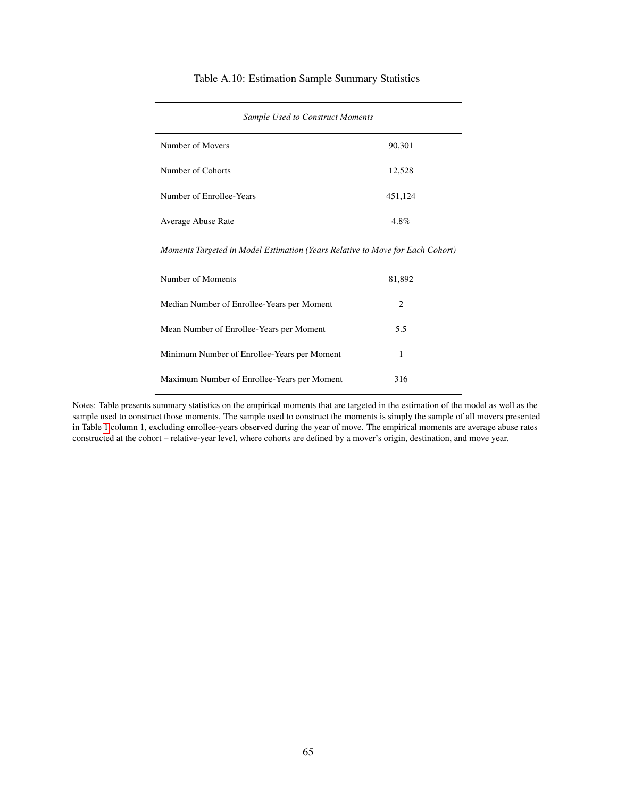### Table A.10: Estimation Sample Summary Statistics

<span id="page-65-0"></span>

| $\sim$                   |         |  |
|--------------------------|---------|--|
| Number of Movers         | 90,301  |  |
| Number of Cohorts        | 12,528  |  |
| Number of Enrollee-Years | 451,124 |  |
| Average Abuse Rate       | 4.8%    |  |

*Sample Used to Construct Moments*

*Moments Targeted in Model Estimation (Years Relative to Move for Each Cohort)*

| Number of Moments                           | 81,892 |
|---------------------------------------------|--------|
| Median Number of Enrollee-Years per Moment  | 2      |
| Mean Number of Enrollee-Years per Moment    | 5.5    |
| Minimum Number of Enrollee-Years per Moment | 1      |
| Maximum Number of Enrollee-Years per Moment | 316    |

Notes: Table presents summary statistics on the empirical moments that are targeted in the estimation of the model as well as the sample used to construct those moments. The sample used to construct the moments is simply the sample of all movers presented in Table [1](#page-40-0) column 1, excluding enrollee-years observed during the year of move. The empirical moments are average abuse rates constructed at the cohort – relative-year level, where cohorts are defined by a mover's origin, destination, and move year.